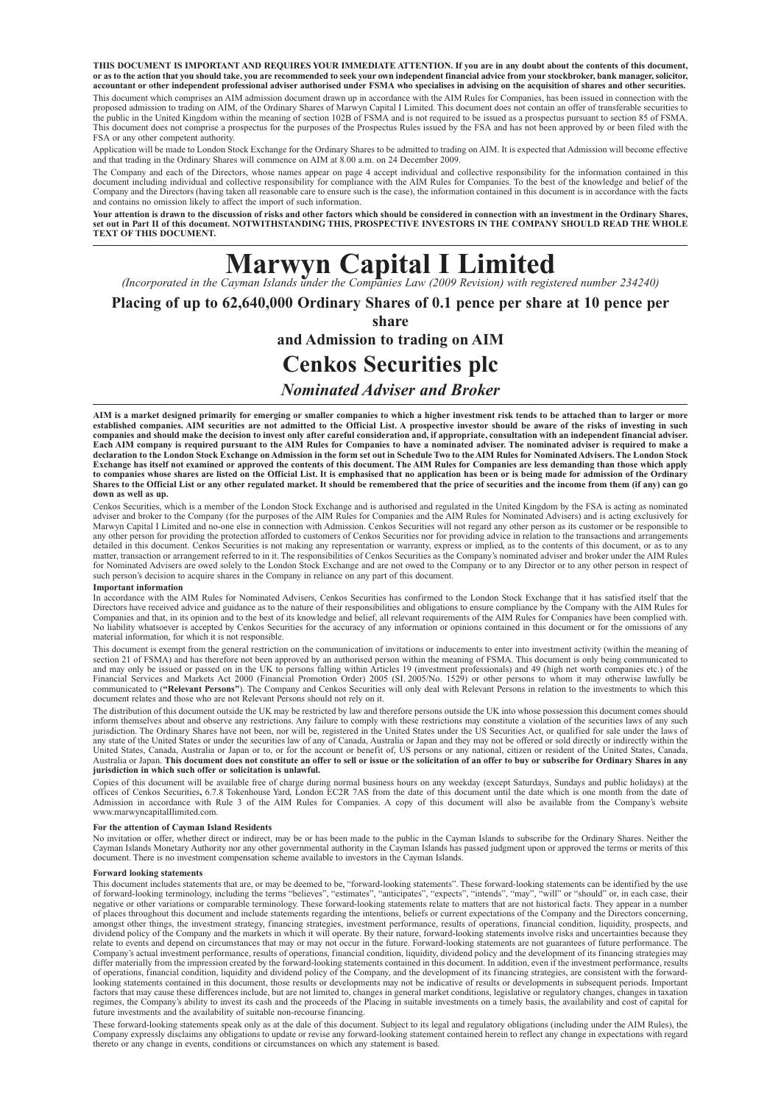**THIS DOCUMENT IS IMPORTANT AND REQUIRES YOUR IMMEDIATE ATTENTION. If you are in any doubt about the contents of this document,** or as to the action that you should take, you are recommended to seek your own independent financial advice from your stockbroker, bank manager, solicitor,<br>accountant or other independent professional adviser authorised un This document which comprises an AIM admission document drawn up in accordance with the AIM Rules for Companies, has been issued in connection with the proposed admission to trading on AIM, of the Ordinary Shares of Marwyn Capital I Limited. This document does not contain an offer of transferable securities to<br>the public in the United Kingdom within the meaning of section This document does not comprise a prospectus for the purposes of the Prospectus Rules issued by the FSA and has not been approved by or been filed with the FSA or any other competent authority.

Application will be made to London Stock Exchange for the Ordinary Shares to be admitted to trading on AIM. It is expected that Admission will become effective and that trading in the Ordinary Shares will commence on AIM at 8.00 a.m. on 24 December 2009.

The Company and each of the Directors, whose names appear on page 4 accept individual and collective responsibility for the information contained in this document including individual and collective responsibility for comp and contains no omission likely to affect the import of such information.

**Your attention is drawn to the discussion of risks and other factors which should be considered in connection with an investment in the Ordinary Shares, set out in Part II of this document. NOTWITHSTANDING THIS, PROSPECTIVE INVESTORS IN THE COMPANY SHOULD READ THE WHOLE TEXT OF THIS DOCUMENT.**

# **Marwyn Capital I Limited** *(Incorporated in the Cayman Islands under the Companies Law (2009 Revision) with registered number 234240)*

**Placing of up to 62,640,000 Ordinary Shares of 0.1 pence per share at 10 pence per**

**share** 

**and Admission to trading on AIM**

# **Cenkos Securities plc**

#### *Nominated Adviser and Broker*

**AIM is a market designed primarily for emerging or smaller companies to which a higher investment risk tends to be attached than to larger or more established companies. AIM securities are not admitted to the Official List. A prospective investor should be aware of the risks of investing in such companies and should make the decision to invest only after careful consideration and, if appropriate, consultation with an independent financial adviser. Each AIM company is required pursuant to the AIM Rules for Companies to have a nominated adviser. The nominated adviser is required to make a** declaration to the London Stock Exchange on Admission in the form set out in Schedule Two to the AIM Rules for Nominated Advisers. The London Stock<br>Exchange has itself not examined or approved the contents of this document **Shares to the Official List or any other regulated market. It should be remembered that the price of securities and the income from them (if any) can go down as well as up.**

Cenkos Securities, which is a member of the London Stock Exchange and is authorised and regulated in the United Kingdom by the FSA is acting as nominated<br>adviser and broker to the Company (for the purposes of the AIM Rules Marwyn Capital I Limited and no-one else in connection with Admission. Cenkos Securities will not regard any other person as its customer or be responsible to any other person for providing the protection afforded to customers of Cenkos Securities nor for providing advice in relation to the transactions and arrangements<br>detailed in this document. Cenkos Securities is not making for Nominated Advisers are owed solely to the London Stock Exchange and are not owed to the Company or to any Director or to any other person in respect of<br>such person's decision to acquire shares in the Company in relianc

#### **Important information**

In accordance with the AIM Rules for Nominated Advisers, Cenkos Securities has confirmed to the London Stock Exchange that it has satisfied itself that the<br>Directors have received advice and guidance as to the nature of th Companies and that, in its opinion and to the best of its knowledge and belief, all relevant requirements of the AIM Rules for Companies have been complied with. No liability whatsoever is accepted by Cenkos Securities for the accuracy of any information or opinions contained in this document or for the omissions of any material information, for which it is not responsible.

This document is exempt from the general restriction on the communication of invitations or inducements to enter into investment activity (within the meaning of section 21 of FSMA) and has therefore not been approved by an Financial Services and Markets Act 2000 (Financial Promotion Order) 2005 (SI. 2005/No. 1529) or other persons to whom it may otherwise lawfully be communicated to ("Relevant Persons"). The Company and Cenkos Securities wil

The distribution of this document outside the UK may be restricted by law and therefore persons outside the UK into whose possession this document comes should<br>inform themselves about and observe any restrictions. Any fail jurisdiction. The Ordinary Shares have not been, nor will be, registered in the United States under the US Securities Act, or qualified for sale under the laws of any state of the United States or under the securities law of any of Canada, Australia or Japan and they may not be offered or sold directly or indirectly within the<br>United States, Canada, Australia or Japan or to, or for Australia or Japan. **This document does not constitute an offer to sell or issue or the solicitation of an offer to buy or subscribe for Ordinary Shares in any jurisdiction in which such offer or solicitation is unlawful.**

Copies of this document will be available free of charge during normal business hours on any weekday (except Saturdays, Sundays and public holidays) at the<br>offices of Cenkos Securities, 6.7.8 Tokenhouse Yard, London EC2R 7 Admission in accordance with Rule 3 of the AIM Rules for Companies. A copy of this document will also be available from the Company's website www.marwyncapitalIlimited.com.

#### **For the attention of Cayman Island Residents**

No invitation or offer, whether direct or indirect, may be or has been made to the public in the Cayman Islands to subscribe for the Ordinary Shares. Neither the Cayman Islands Monetary Authority nor any other governmental authority in the Cayman Islands has passed judgment upon or approved the terms or merits of this<br>document. There is no investment compensation scheme available t

#### **Forward looking statements**

This document includes statements that are, or may be deemed to be, "forward-looking statements". These forward-looking statements can be identified by the use<br>of forward-looking terminology, including the terms "believes" negative or other variations or comparable terminology. These forward-looking statements relate to matters that are not historical facts. They appear in a number of places throughout this document and include statements regarding the intentions, beliefs or current expectations of the Company and the Directors concerning, amongst other things, the investment strategy, financing stra dividend policy of the Company and the markets in which it will operate. By their nature, forward-looking statements involve risks and uncertainties because they relate to events and depend on circumstances that may or may not occur in the future. Forward-looking statements are not guarantees of future performance. The<br>Company's actual investment performance, results of operations, differ materially from the impression created by the forward-looking statements contained in this document. In addition, even if the investment performance, results of operations, financial condition, liquidity and dividend policy of the Company, and the development of its financing strategies, are consistent with the forward-<br>looking statements contained in this document, those resul factors that may cause these differences include, but are not limited to, changes in general market conditions, legislative or regulatory changes, changes in taxation regimes, the Company's ability to invest its cash and the proceeds of the Placing in suitable investments on a timely basis, the availability and cost of capital for<br>future investments and the availability of suitable non-

These forward-looking statements speak only as at the dale of this document. Subject to its legal and regulatory obligations (including under the AIM Rules), the Company expressly disclaims any obligations to update or revise any forward-looking statement contained herein to reflect any change in expectations with regard thereto or any change in events, conditions or circumstances on which any statement is based.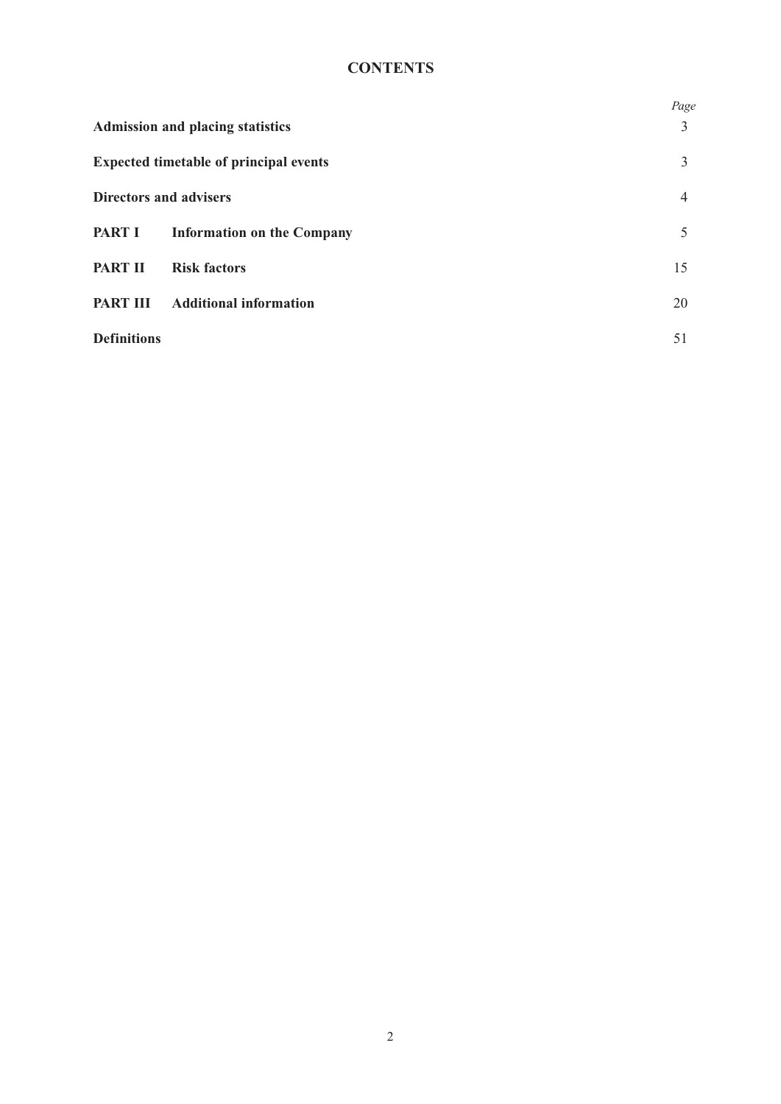# **CONTENTS**

|                               |                                               | Page |
|-------------------------------|-----------------------------------------------|------|
|                               | <b>Admission and placing statistics</b>       | 3    |
|                               | <b>Expected timetable of principal events</b> | 3    |
| <b>Directors and advisers</b> |                                               | 4    |
| <b>PART I</b>                 | <b>Information on the Company</b>             | 5    |
| <b>PART II</b>                | <b>Risk factors</b>                           | 15   |
| <b>PART III</b>               | <b>Additional information</b>                 | 20   |
| <b>Definitions</b>            |                                               | 51   |
|                               |                                               |      |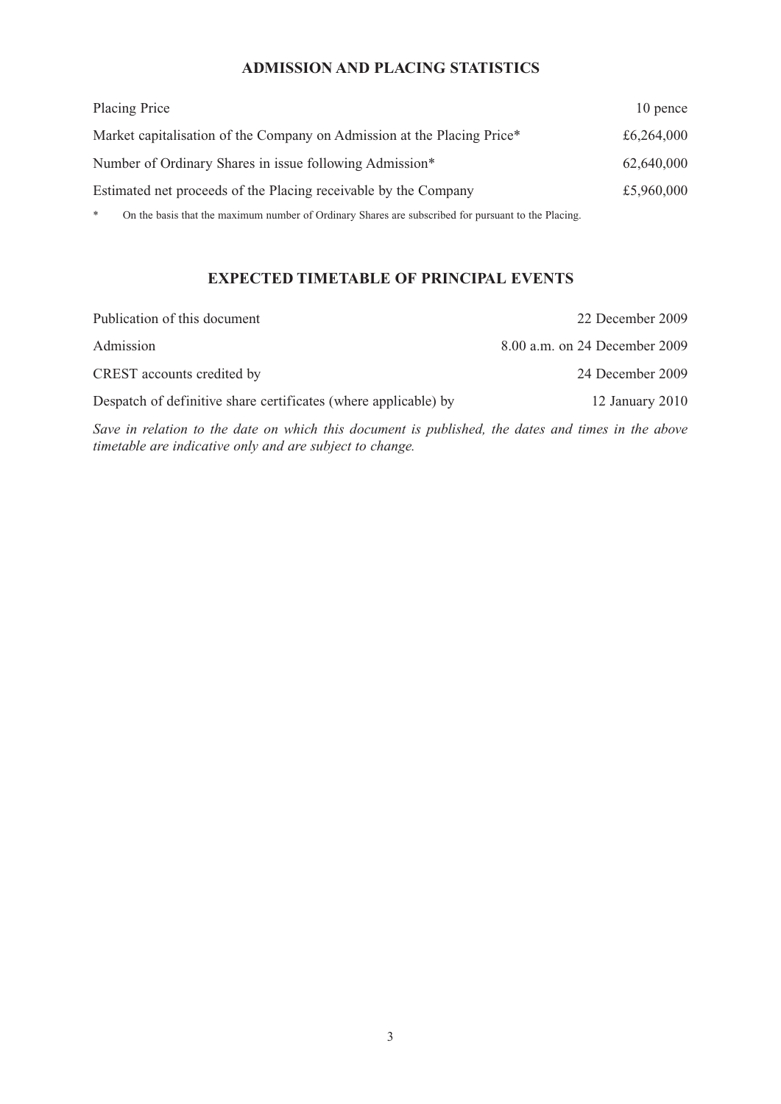## **ADMISSION AND PLACING STATISTICS**

| Placing Price                                                           | 10 pence   |
|-------------------------------------------------------------------------|------------|
| Market capitalisation of the Company on Admission at the Placing Price* | £6,264,000 |
| Number of Ordinary Shares in issue following Admission*                 | 62,640,000 |
| Estimated net proceeds of the Placing receivable by the Company         | £5,960,000 |
|                                                                         |            |

\* On the basis that the maximum number of Ordinary Shares are subscribed for pursuant to the Placing.

## **EXPECTED TIMETABLE OF PRINCIPAL EVENTS**

| Publication of this document                                    | 22 December 2009              |
|-----------------------------------------------------------------|-------------------------------|
| Admission                                                       | 8.00 a.m. on 24 December 2009 |
| CREST accounts credited by                                      | 24 December 2009              |
| Despatch of definitive share certificates (where applicable) by | 12 January 2010               |

*Save in relation to the date on which this document is published, the dates and times in the above timetable are indicative only and are subject to change.*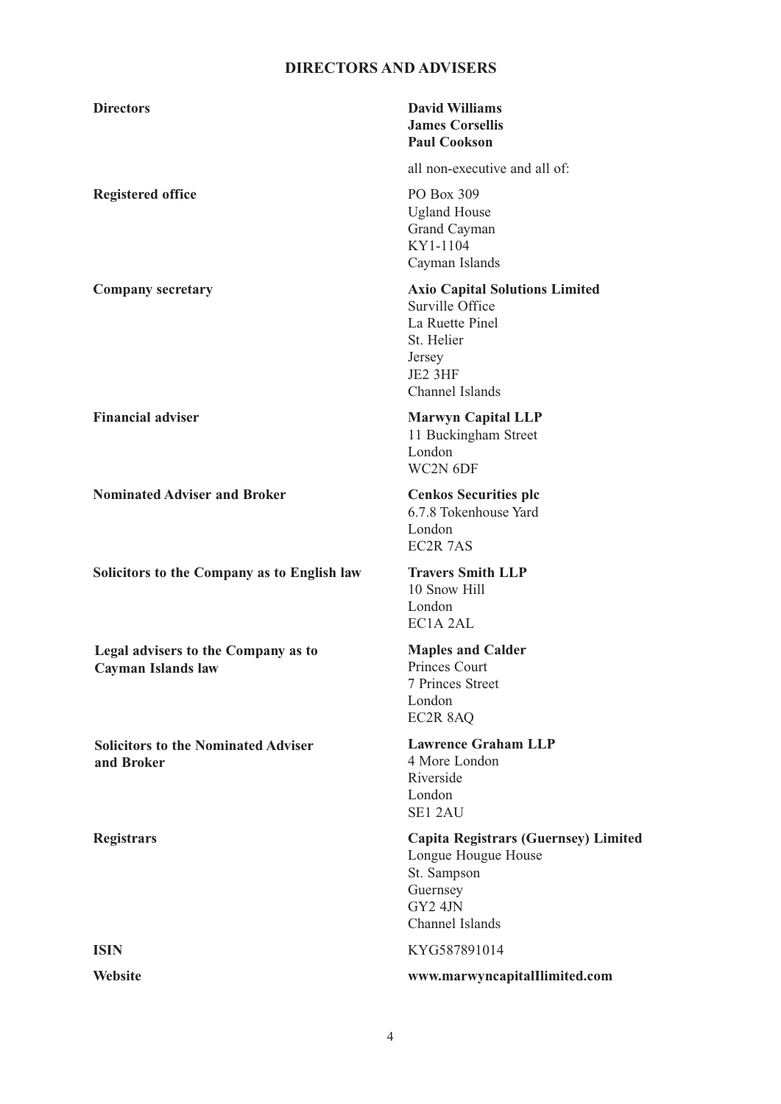## **DIRECTORS AND ADVISERS**

| <b>Directors</b>                                          | <b>David Williams</b><br><b>James Corsellis</b><br><b>Paul Cookson</b>                                                            |
|-----------------------------------------------------------|-----------------------------------------------------------------------------------------------------------------------------------|
|                                                           | all non-executive and all of:                                                                                                     |
| <b>Registered office</b>                                  | PO Box 309<br><b>Ugland House</b><br>Grand Cayman<br>KY1-1104<br>Cayman Islands                                                   |
| <b>Company secretary</b>                                  | <b>Axio Capital Solutions Limited</b><br>Surville Office<br>La Ruette Pinel<br>St. Helier<br>Jersey<br>JE2 3HF<br>Channel Islands |
| <b>Financial adviser</b>                                  | <b>Marwyn Capital LLP</b><br>11 Buckingham Street<br>London<br>WC2N 6DF                                                           |
| <b>Nominated Adviser and Broker</b>                       | <b>Cenkos Securities plc</b><br>6.7.8 Tokenhouse Yard<br>London<br>EC2R 7AS                                                       |
| Solicitors to the Company as to English law               | <b>Travers Smith LLP</b><br>10 Snow Hill<br>London<br>EC1A <sub>2AL</sub>                                                         |
| Legal advisers to the Company as to<br>Cayman Islands law | <b>Maples and Calder</b><br>Princes Court<br>7 Princes Street<br>London<br>EC2R 8AQ                                               |
| <b>Solicitors to the Nominated Adviser</b><br>and Broker  | <b>Lawrence Graham LLP</b><br>4 More London<br>Riverside<br>London<br>SE1 2AU                                                     |
| <b>Registrars</b>                                         | <b>Capita Registrars (Guernsey) Limited</b><br>Longue Hougue House<br>St. Sampson<br>Guernsey<br>GY2 4JN<br>Channel Islands       |
| <b>ISIN</b>                                               | KYG587891014                                                                                                                      |
| <b>Website</b>                                            | www.marwyncapitalIlimited.com                                                                                                     |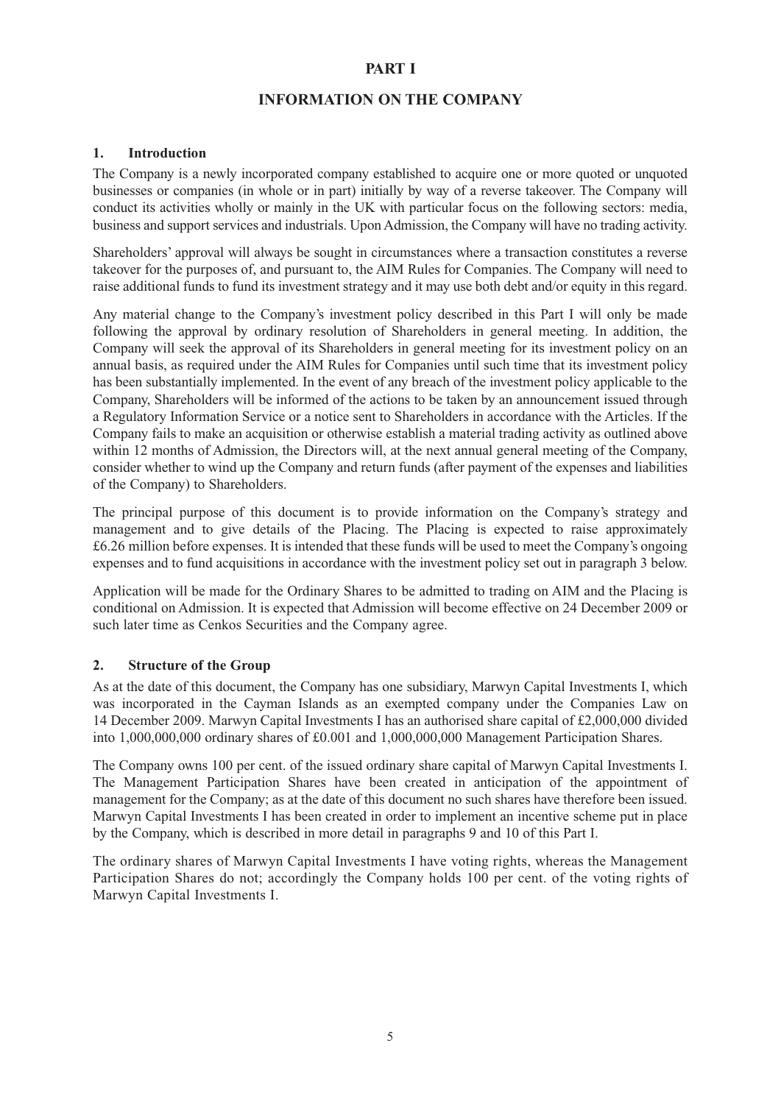#### **PART I**

#### **INFORMATION ON THE COMPANY**

#### **1. Introduction**

The Company is a newly incorporated company established to acquire one or more quoted or unquoted businesses or companies (in whole or in part) initially by way of a reverse takeover. The Company will conduct its activities wholly or mainly in the UK with particular focus on the following sectors: media, business and support services and industrials. Upon Admission, the Company will have no trading activity.

Shareholders' approval will always be sought in circumstances where a transaction constitutes a reverse takeover for the purposes of, and pursuant to, the AIM Rules for Companies. The Company will need to raise additional funds to fund its investment strategy and it may use both debt and/or equity in this regard.

Any material change to the Company's investment policy described in this Part I will only be made following the approval by ordinary resolution of Shareholders in general meeting. In addition, the Company will seek the approval of its Shareholders in general meeting for its investment policy on an annual basis, as required under the AIM Rules for Companies until such time that its investment policy has been substantially implemented. In the event of any breach of the investment policy applicable to the Company, Shareholders will be informed of the actions to be taken by an announcement issued through a Regulatory Information Service or a notice sent to Shareholders in accordance with the Articles. If the Company fails to make an acquisition or otherwise establish a material trading activity as outlined above within 12 months of Admission, the Directors will, at the next annual general meeting of the Company, consider whether to wind up the Company and return funds (after payment of the expenses and liabilities of the Company) to Shareholders.

The principal purpose of this document is to provide information on the Company's strategy and management and to give details of the Placing. The Placing is expected to raise approximately £6.26 million before expenses. It is intended that these funds will be used to meet the Company's ongoing expenses and to fund acquisitions in accordance with the investment policy set out in paragraph 3 below.

Application will be made for the Ordinary Shares to be admitted to trading on AIM and the Placing is conditional on Admission. It is expected that Admission will become effective on 24 December 2009 or such later time as Cenkos Securities and the Company agree.

#### **2. Structure of the Group**

As at the date of this document, the Company has one subsidiary, Marwyn Capital Investments I, which was incorporated in the Cayman Islands as an exempted company under the Companies Law on 14 December 2009. Marwyn Capital Investments I has an authorised share capital of £2,000,000 divided into 1,000,000,000 ordinary shares of £0.001 and 1,000,000,000 Management Participation Shares.

The Company owns 100 per cent. of the issued ordinary share capital of Marwyn Capital Investments I. The Management Participation Shares have been created in anticipation of the appointment of management for the Company; as at the date of this document no such shares have therefore been issued. Marwyn Capital Investments I has been created in order to implement an incentive scheme put in place by the Company, which is described in more detail in paragraphs 9 and 10 of this Part I.

The ordinary shares of Marwyn Capital Investments I have voting rights, whereas the Management Participation Shares do not; accordingly the Company holds 100 per cent. of the voting rights of Marwyn Capital Investments I.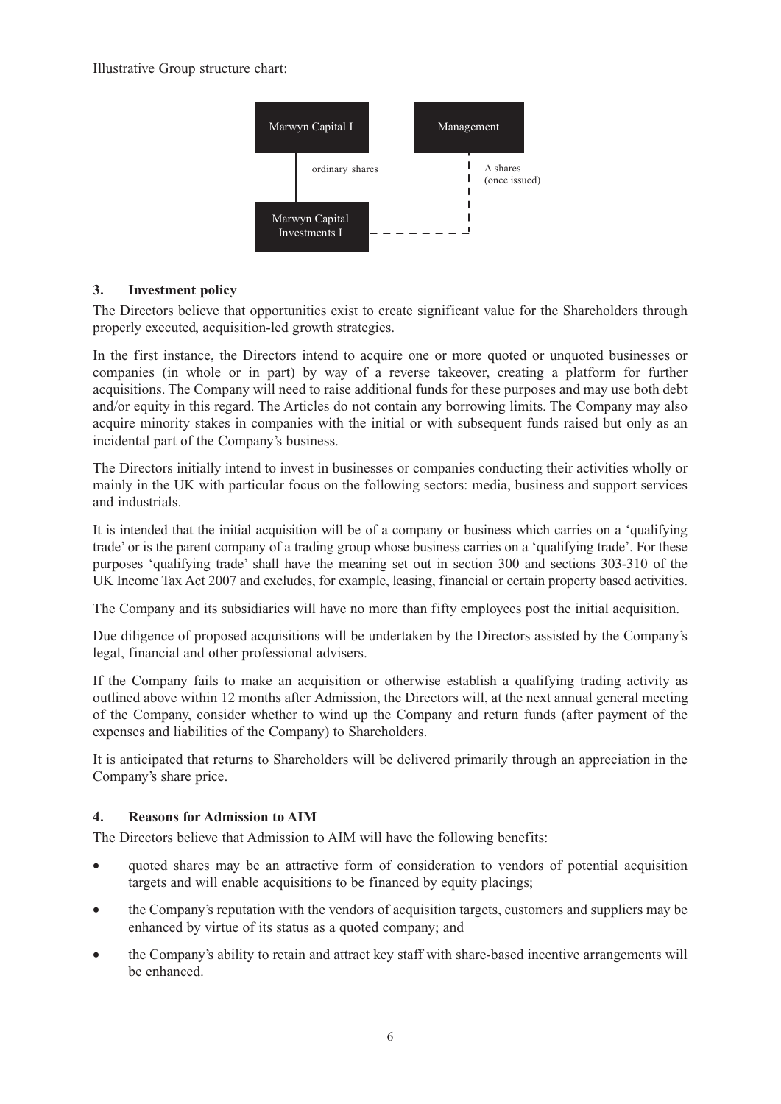Illustrative Group structure chart:



#### **3. Investment policy**

The Directors believe that opportunities exist to create significant value for the Shareholders through properly executed, acquisition-led growth strategies.

In the first instance, the Directors intend to acquire one or more quoted or unquoted businesses or companies (in whole or in part) by way of a reverse takeover, creating a platform for further acquisitions. The Company will need to raise additional funds for these purposes and may use both debt and/or equity in this regard. The Articles do not contain any borrowing limits. The Company may also acquire minority stakes in companies with the initial or with subsequent funds raised but only as an incidental part of the Company's business.

The Directors initially intend to invest in businesses or companies conducting their activities wholly or mainly in the UK with particular focus on the following sectors: media, business and support services and industrials.

It is intended that the initial acquisition will be of a company or business which carries on a 'qualifying trade' or is the parent company of a trading group whose business carries on a 'qualifying trade'. For these purposes 'qualifying trade' shall have the meaning set out in section 300 and sections 303-310 of the UK Income Tax Act 2007 and excludes, for example, leasing, financial or certain property based activities.

The Company and its subsidiaries will have no more than fifty employees post the initial acquisition.

Due diligence of proposed acquisitions will be undertaken by the Directors assisted by the Company's legal, financial and other professional advisers.

If the Company fails to make an acquisition or otherwise establish a qualifying trading activity as outlined above within 12 months after Admission, the Directors will, at the next annual general meeting of the Company, consider whether to wind up the Company and return funds (after payment of the expenses and liabilities of the Company) to Shareholders.

It is anticipated that returns to Shareholders will be delivered primarily through an appreciation in the Company's share price.

#### **4. Reasons for Admission to AIM**

The Directors believe that Admission to AIM will have the following benefits:

- quoted shares may be an attractive form of consideration to vendors of potential acquisition targets and will enable acquisitions to be financed by equity placings;
- the Company's reputation with the vendors of acquisition targets, customers and suppliers may be enhanced by virtue of its status as a quoted company; and
- the Company's ability to retain and attract key staff with share-based incentive arrangements will be enhanced.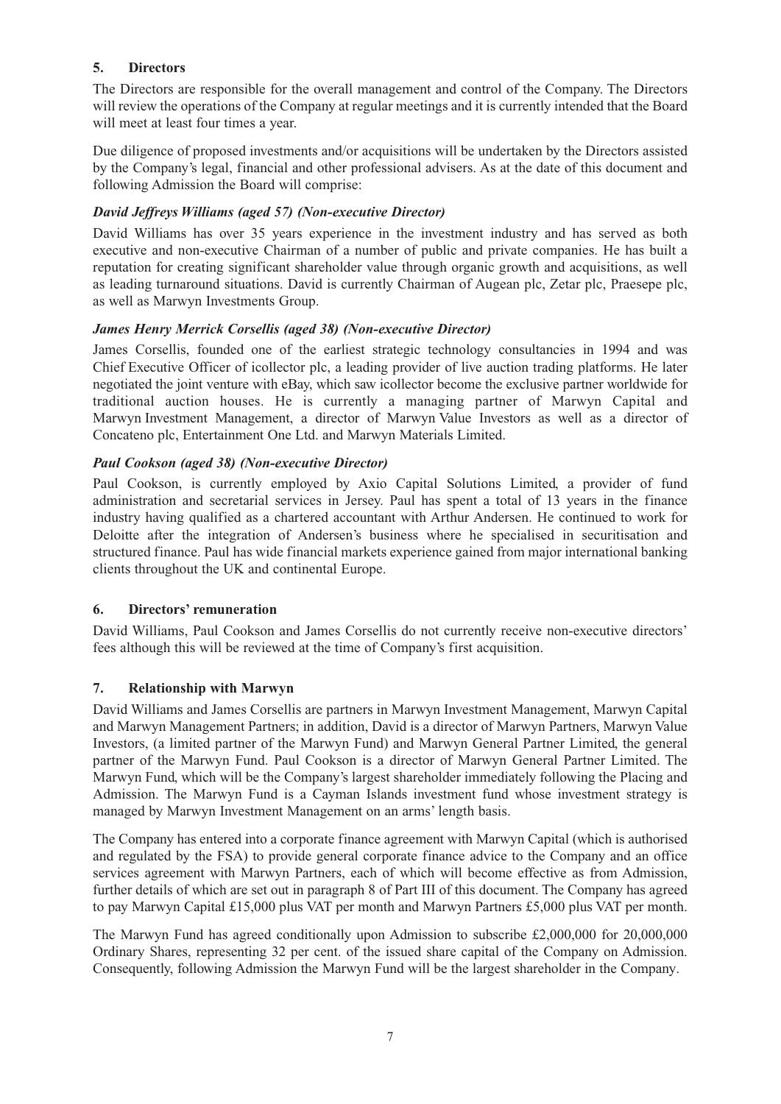### **5. Directors**

The Directors are responsible for the overall management and control of the Company. The Directors will review the operations of the Company at regular meetings and it is currently intended that the Board will meet at least four times a year.

Due diligence of proposed investments and/or acquisitions will be undertaken by the Directors assisted by the Company's legal, financial and other professional advisers. As at the date of this document and following Admission the Board will comprise:

#### *David Jeffreys Williams (aged 57) (Non-executive Director)*

David Williams has over 35 years experience in the investment industry and has served as both executive and non-executive Chairman of a number of public and private companies. He has built a reputation for creating significant shareholder value through organic growth and acquisitions, as well as leading turnaround situations. David is currently Chairman of Augean plc, Zetar plc, Praesepe plc, as well as Marwyn Investments Group.

#### *James Henry Merrick Corsellis (aged 38) (Non-executive Director)*

James Corsellis, founded one of the earliest strategic technology consultancies in 1994 and was Chief Executive Officer of icollector plc, a leading provider of live auction trading platforms. He later negotiated the joint venture with eBay, which saw icollector become the exclusive partner worldwide for traditional auction houses. He is currently a managing partner of Marwyn Capital and Marwyn Investment Management, a director of Marwyn Value Investors as well as a director of Concateno plc, Entertainment One Ltd. and Marwyn Materials Limited.

#### *Paul Cookson (aged 38) (Non-executive Director)*

Paul Cookson, is currently employed by Axio Capital Solutions Limited, a provider of fund administration and secretarial services in Jersey. Paul has spent a total of 13 years in the finance industry having qualified as a chartered accountant with Arthur Andersen. He continued to work for Deloitte after the integration of Andersen's business where he specialised in securitisation and structured finance. Paul has wide financial markets experience gained from major international banking clients throughout the UK and continental Europe.

#### **6. Directors' remuneration**

David Williams, Paul Cookson and James Corsellis do not currently receive non-executive directors' fees although this will be reviewed at the time of Company's first acquisition.

#### **7. Relationship with Marwyn**

David Williams and James Corsellis are partners in Marwyn Investment Management, Marwyn Capital and Marwyn Management Partners; in addition, David is a director of Marwyn Partners, Marwyn Value Investors, (a limited partner of the Marwyn Fund) and Marwyn General Partner Limited, the general partner of the Marwyn Fund. Paul Cookson is a director of Marwyn General Partner Limited. The Marwyn Fund, which will be the Company's largest shareholder immediately following the Placing and Admission. The Marwyn Fund is a Cayman Islands investment fund whose investment strategy is managed by Marwyn Investment Management on an arms' length basis.

The Company has entered into a corporate finance agreement with Marwyn Capital (which is authorised and regulated by the FSA) to provide general corporate finance advice to the Company and an office services agreement with Marwyn Partners, each of which will become effective as from Admission, further details of which are set out in paragraph 8 of Part III of this document. The Company has agreed to pay Marwyn Capital £15,000 plus VAT per month and Marwyn Partners £5,000 plus VAT per month.

The Marwyn Fund has agreed conditionally upon Admission to subscribe £2,000,000 for 20,000,000 Ordinary Shares, representing 32 per cent. of the issued share capital of the Company on Admission. Consequently, following Admission the Marwyn Fund will be the largest shareholder in the Company.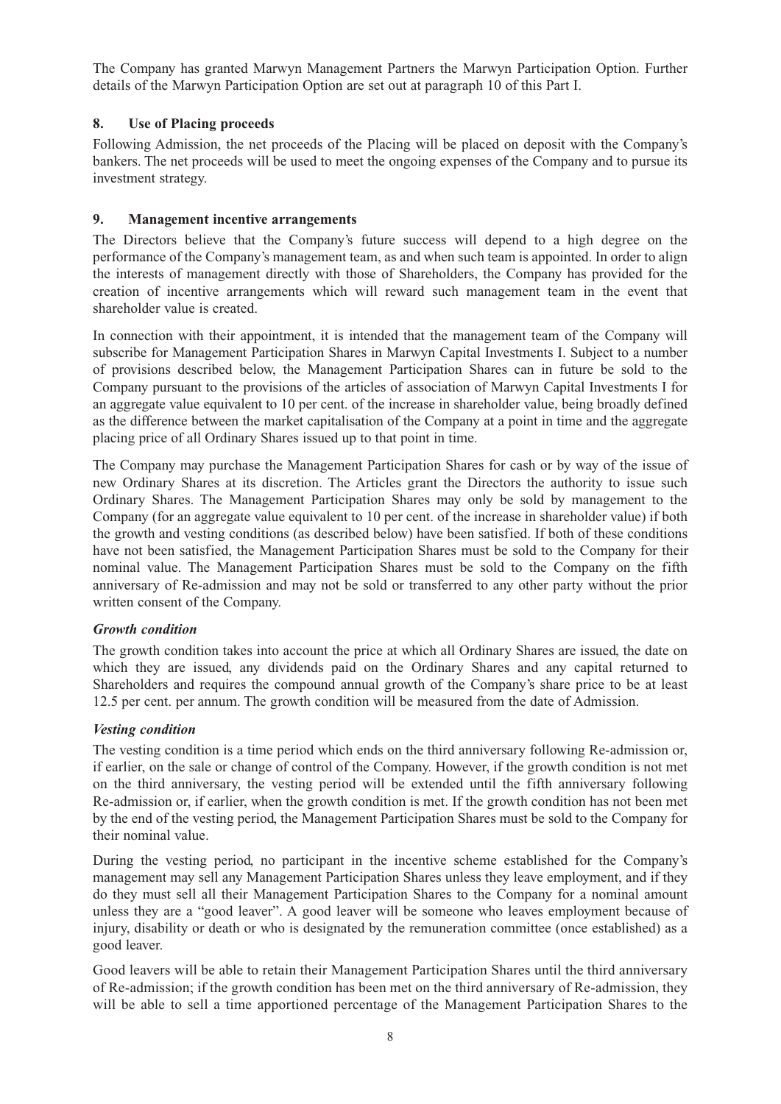The Company has granted Marwyn Management Partners the Marwyn Participation Option. Further details of the Marwyn Participation Option are set out at paragraph 10 of this Part I.

#### **8. Use of Placing proceeds**

Following Admission, the net proceeds of the Placing will be placed on deposit with the Company's bankers. The net proceeds will be used to meet the ongoing expenses of the Company and to pursue its investment strategy.

#### **9. Management incentive arrangements**

The Directors believe that the Company's future success will depend to a high degree on the performance of the Company's management team, as and when such team is appointed. In order to align the interests of management directly with those of Shareholders, the Company has provided for the creation of incentive arrangements which will reward such management team in the event that shareholder value is created.

In connection with their appointment, it is intended that the management team of the Company will subscribe for Management Participation Shares in Marwyn Capital Investments I. Subject to a number of provisions described below, the Management Participation Shares can in future be sold to the Company pursuant to the provisions of the articles of association of Marwyn Capital Investments I for an aggregate value equivalent to 10 per cent. of the increase in shareholder value, being broadly defined as the difference between the market capitalisation of the Company at a point in time and the aggregate placing price of all Ordinary Shares issued up to that point in time.

The Company may purchase the Management Participation Shares for cash or by way of the issue of new Ordinary Shares at its discretion. The Articles grant the Directors the authority to issue such Ordinary Shares. The Management Participation Shares may only be sold by management to the Company (for an aggregate value equivalent to 10 per cent. of the increase in shareholder value) if both the growth and vesting conditions (as described below) have been satisfied. If both of these conditions have not been satisfied, the Management Participation Shares must be sold to the Company for their nominal value. The Management Participation Shares must be sold to the Company on the fifth anniversary of Re-admission and may not be sold or transferred to any other party without the prior written consent of the Company.

#### *Growth condition*

The growth condition takes into account the price at which all Ordinary Shares are issued, the date on which they are issued, any dividends paid on the Ordinary Shares and any capital returned to Shareholders and requires the compound annual growth of the Company's share price to be at least 12.5 per cent. per annum. The growth condition will be measured from the date of Admission.

#### *Vesting condition*

The vesting condition is a time period which ends on the third anniversary following Re-admission or, if earlier, on the sale or change of control of the Company. However, if the growth condition is not met on the third anniversary, the vesting period will be extended until the fifth anniversary following Re-admission or, if earlier, when the growth condition is met. If the growth condition has not been met by the end of the vesting period, the Management Participation Shares must be sold to the Company for their nominal value.

During the vesting period, no participant in the incentive scheme established for the Company's management may sell any Management Participation Shares unless they leave employment, and if they do they must sell all their Management Participation Shares to the Company for a nominal amount unless they are a "good leaver". A good leaver will be someone who leaves employment because of injury, disability or death or who is designated by the remuneration committee (once established) as a good leaver.

Good leavers will be able to retain their Management Participation Shares until the third anniversary of Re-admission; if the growth condition has been met on the third anniversary of Re-admission, they will be able to sell a time apportioned percentage of the Management Participation Shares to the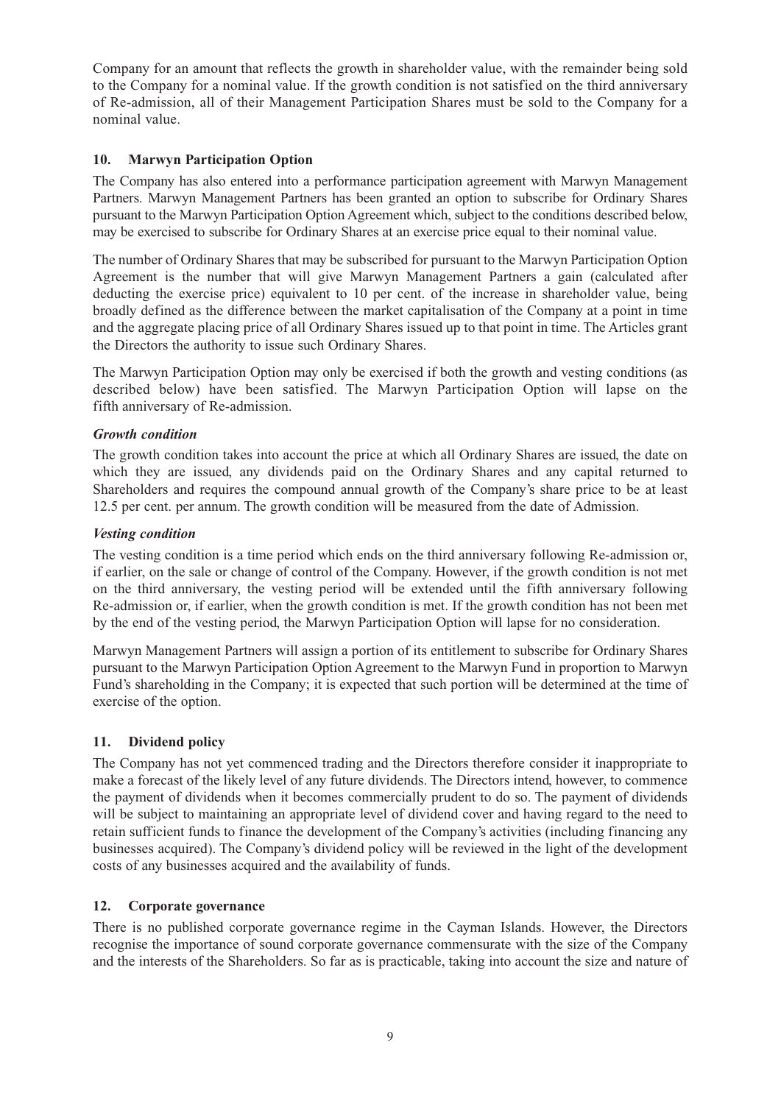Company for an amount that reflects the growth in shareholder value, with the remainder being sold to the Company for a nominal value. If the growth condition is not satisfied on the third anniversary of Re-admission, all of their Management Participation Shares must be sold to the Company for a nominal value.

#### **10. Marwyn Participation Option**

The Company has also entered into a performance participation agreement with Marwyn Management Partners. Marwyn Management Partners has been granted an option to subscribe for Ordinary Shares pursuant to the Marwyn Participation Option Agreement which, subject to the conditions described below, may be exercised to subscribe for Ordinary Shares at an exercise price equal to their nominal value.

The number of Ordinary Shares that may be subscribed for pursuant to the Marwyn Participation Option Agreement is the number that will give Marwyn Management Partners a gain (calculated after deducting the exercise price) equivalent to 10 per cent. of the increase in shareholder value, being broadly defined as the difference between the market capitalisation of the Company at a point in time and the aggregate placing price of all Ordinary Shares issued up to that point in time. The Articles grant the Directors the authority to issue such Ordinary Shares.

The Marwyn Participation Option may only be exercised if both the growth and vesting conditions (as described below) have been satisfied. The Marwyn Participation Option will lapse on the fifth anniversary of Re-admission.

#### *Growth condition*

The growth condition takes into account the price at which all Ordinary Shares are issued, the date on which they are issued, any dividends paid on the Ordinary Shares and any capital returned to Shareholders and requires the compound annual growth of the Company's share price to be at least 12.5 per cent. per annum. The growth condition will be measured from the date of Admission.

#### *Vesting condition*

The vesting condition is a time period which ends on the third anniversary following Re-admission or, if earlier, on the sale or change of control of the Company. However, if the growth condition is not met on the third anniversary, the vesting period will be extended until the fifth anniversary following Re-admission or, if earlier, when the growth condition is met. If the growth condition has not been met by the end of the vesting period, the Marwyn Participation Option will lapse for no consideration.

Marwyn Management Partners will assign a portion of its entitlement to subscribe for Ordinary Shares pursuant to the Marwyn Participation Option Agreement to the Marwyn Fund in proportion to Marwyn Fund's shareholding in the Company; it is expected that such portion will be determined at the time of exercise of the option.

#### **11. Dividend policy**

The Company has not yet commenced trading and the Directors therefore consider it inappropriate to make a forecast of the likely level of any future dividends. The Directors intend, however, to commence the payment of dividends when it becomes commercially prudent to do so. The payment of dividends will be subject to maintaining an appropriate level of dividend cover and having regard to the need to retain sufficient funds to finance the development of the Company's activities (including financing any businesses acquired). The Company's dividend policy will be reviewed in the light of the development costs of any businesses acquired and the availability of funds.

#### **12. Corporate governance**

There is no published corporate governance regime in the Cayman Islands. However, the Directors recognise the importance of sound corporate governance commensurate with the size of the Company and the interests of the Shareholders. So far as is practicable, taking into account the size and nature of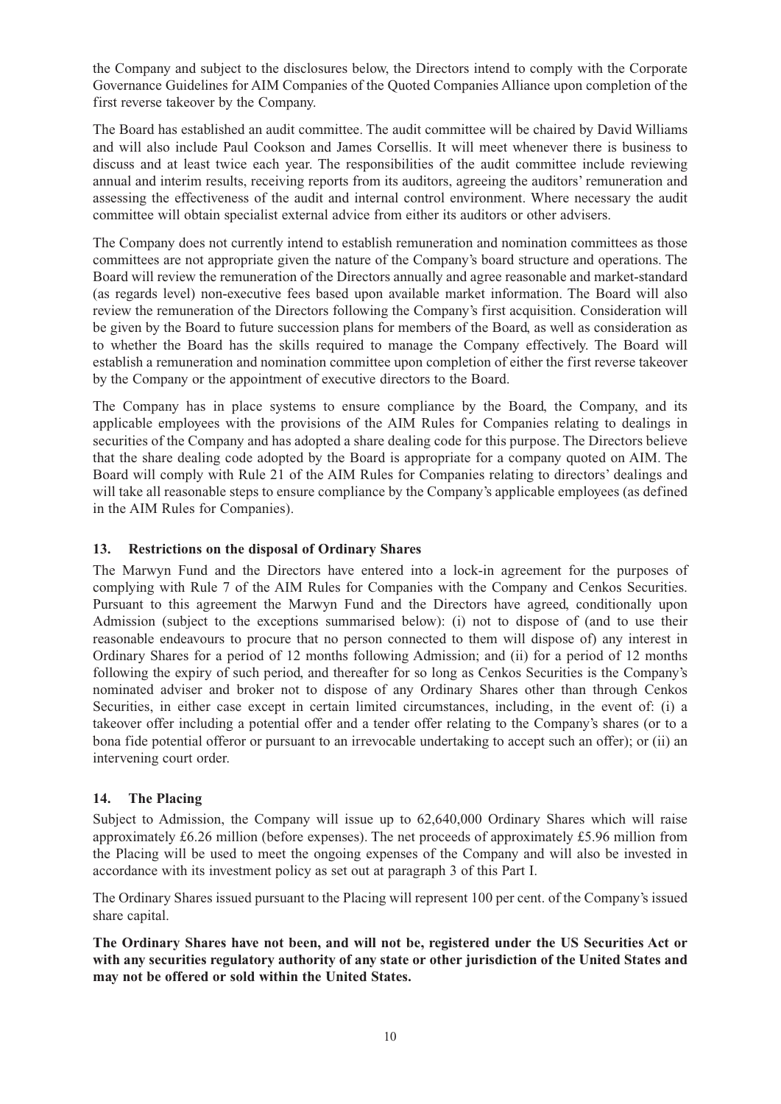the Company and subject to the disclosures below, the Directors intend to comply with the Corporate Governance Guidelines for AIM Companies of the Quoted Companies Alliance upon completion of the first reverse takeover by the Company.

The Board has established an audit committee. The audit committee will be chaired by David Williams and will also include Paul Cookson and James Corsellis. It will meet whenever there is business to discuss and at least twice each year. The responsibilities of the audit committee include reviewing annual and interim results, receiving reports from its auditors, agreeing the auditors' remuneration and assessing the effectiveness of the audit and internal control environment. Where necessary the audit committee will obtain specialist external advice from either its auditors or other advisers.

The Company does not currently intend to establish remuneration and nomination committees as those committees are not appropriate given the nature of the Company's board structure and operations. The Board will review the remuneration of the Directors annually and agree reasonable and market-standard (as regards level) non-executive fees based upon available market information. The Board will also review the remuneration of the Directors following the Company's first acquisition. Consideration will be given by the Board to future succession plans for members of the Board, as well as consideration as to whether the Board has the skills required to manage the Company effectively. The Board will establish a remuneration and nomination committee upon completion of either the first reverse takeover by the Company or the appointment of executive directors to the Board.

The Company has in place systems to ensure compliance by the Board, the Company, and its applicable employees with the provisions of the AIM Rules for Companies relating to dealings in securities of the Company and has adopted a share dealing code for this purpose. The Directors believe that the share dealing code adopted by the Board is appropriate for a company quoted on AIM. The Board will comply with Rule 21 of the AIM Rules for Companies relating to directors' dealings and will take all reasonable steps to ensure compliance by the Company's applicable employees (as defined in the AIM Rules for Companies).

#### **13. Restrictions on the disposal of Ordinary Shares**

The Marwyn Fund and the Directors have entered into a lock-in agreement for the purposes of complying with Rule 7 of the AIM Rules for Companies with the Company and Cenkos Securities. Pursuant to this agreement the Marwyn Fund and the Directors have agreed, conditionally upon Admission (subject to the exceptions summarised below): (i) not to dispose of (and to use their reasonable endeavours to procure that no person connected to them will dispose of) any interest in Ordinary Shares for a period of 12 months following Admission; and (ii) for a period of 12 months following the expiry of such period, and thereafter for so long as Cenkos Securities is the Company's nominated adviser and broker not to dispose of any Ordinary Shares other than through Cenkos Securities, in either case except in certain limited circumstances, including, in the event of: (i) a takeover offer including a potential offer and a tender offer relating to the Company's shares (or to a bona fide potential offeror or pursuant to an irrevocable undertaking to accept such an offer); or (ii) an intervening court order.

#### **14. The Placing**

Subject to Admission, the Company will issue up to 62,640,000 Ordinary Shares which will raise approximately £6.26 million (before expenses). The net proceeds of approximately £5.96 million from the Placing will be used to meet the ongoing expenses of the Company and will also be invested in accordance with its investment policy as set out at paragraph 3 of this Part I.

The Ordinary Shares issued pursuant to the Placing will represent 100 per cent. of the Company's issued share capital.

**The Ordinary Shares have not been, and will not be, registered under the US Securities Act or with any securities regulatory authority of any state or other jurisdiction of the United States and may not be offered or sold within the United States.**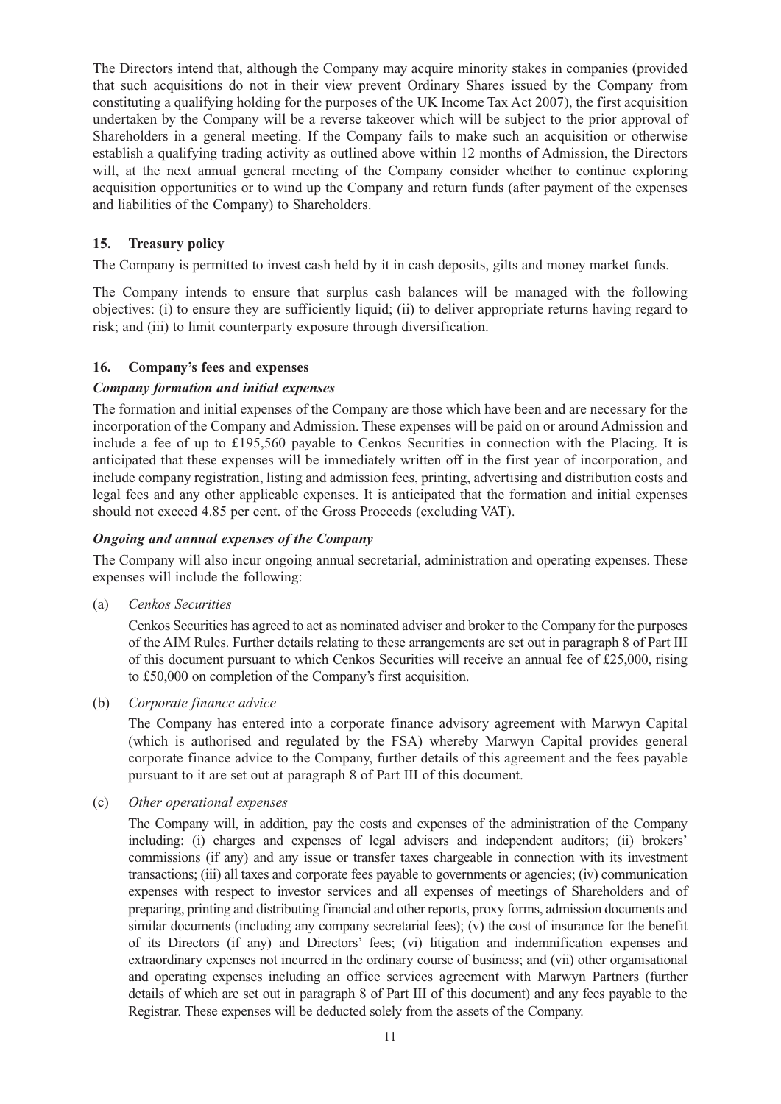The Directors intend that, although the Company may acquire minority stakes in companies (provided that such acquisitions do not in their view prevent Ordinary Shares issued by the Company from constituting a qualifying holding for the purposes of the UK Income Tax Act 2007), the first acquisition undertaken by the Company will be a reverse takeover which will be subject to the prior approval of Shareholders in a general meeting. If the Company fails to make such an acquisition or otherwise establish a qualifying trading activity as outlined above within 12 months of Admission, the Directors will, at the next annual general meeting of the Company consider whether to continue exploring acquisition opportunities or to wind up the Company and return funds (after payment of the expenses and liabilities of the Company) to Shareholders.

#### **15. Treasury policy**

The Company is permitted to invest cash held by it in cash deposits, gilts and money market funds.

The Company intends to ensure that surplus cash balances will be managed with the following objectives: (i) to ensure they are sufficiently liquid; (ii) to deliver appropriate returns having regard to risk; and (iii) to limit counterparty exposure through diversification.

#### **16. Company's fees and expenses**

#### *Company formation and initial expenses*

The formation and initial expenses of the Company are those which have been and are necessary for the incorporation of the Company and Admission. These expenses will be paid on or around Admission and include a fee of up to £195,560 payable to Cenkos Securities in connection with the Placing. It is anticipated that these expenses will be immediately written off in the first year of incorporation, and include company registration, listing and admission fees, printing, advertising and distribution costs and legal fees and any other applicable expenses. It is anticipated that the formation and initial expenses should not exceed 4.85 per cent. of the Gross Proceeds (excluding VAT).

#### *Ongoing and annual expenses of the Company*

The Company will also incur ongoing annual secretarial, administration and operating expenses. These expenses will include the following:

(a) *Cenkos Securities* 

Cenkos Securities has agreed to act as nominated adviser and broker to the Company for the purposes of the AIM Rules. Further details relating to these arrangements are set out in paragraph 8 of Part III of this document pursuant to which Cenkos Securities will receive an annual fee of £25,000, rising to £50,000 on completion of the Company's first acquisition.

(b) *Corporate finance advice*

The Company has entered into a corporate finance advisory agreement with Marwyn Capital (which is authorised and regulated by the FSA) whereby Marwyn Capital provides general corporate finance advice to the Company, further details of this agreement and the fees payable pursuant to it are set out at paragraph 8 of Part III of this document.

(c) *Other operational expenses*

The Company will, in addition, pay the costs and expenses of the administration of the Company including: (i) charges and expenses of legal advisers and independent auditors; (ii) brokers' commissions (if any) and any issue or transfer taxes chargeable in connection with its investment transactions; (iii) all taxes and corporate fees payable to governments or agencies; (iv) communication expenses with respect to investor services and all expenses of meetings of Shareholders and of preparing, printing and distributing financial and other reports, proxy forms, admission documents and similar documents (including any company secretarial fees); (v) the cost of insurance for the benefit of its Directors (if any) and Directors' fees; (vi) litigation and indemnification expenses and extraordinary expenses not incurred in the ordinary course of business; and (vii) other organisational and operating expenses including an office services agreement with Marwyn Partners (further details of which are set out in paragraph 8 of Part III of this document) and any fees payable to the Registrar. These expenses will be deducted solely from the assets of the Company.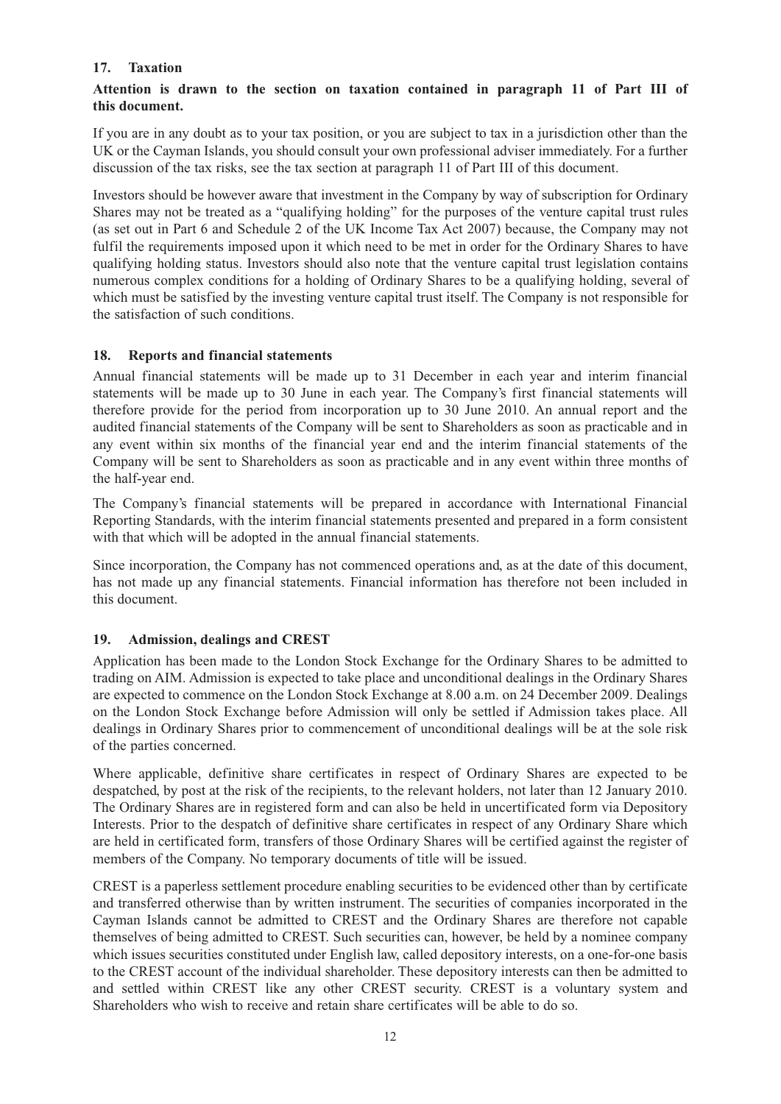#### **17. Taxation**

#### **Attention is drawn to the section on taxation contained in paragraph 11 of Part III of this document.**

If you are in any doubt as to your tax position, or you are subject to tax in a jurisdiction other than the UK or the Cayman Islands, you should consult your own professional adviser immediately. For a further discussion of the tax risks, see the tax section at paragraph 11 of Part III of this document.

Investors should be however aware that investment in the Company by way of subscription for Ordinary Shares may not be treated as a "qualifying holding" for the purposes of the venture capital trust rules (as set out in Part 6 and Schedule 2 of the UK Income Tax Act 2007) because, the Company may not fulfil the requirements imposed upon it which need to be met in order for the Ordinary Shares to have qualifying holding status. Investors should also note that the venture capital trust legislation contains numerous complex conditions for a holding of Ordinary Shares to be a qualifying holding, several of which must be satisfied by the investing venture capital trust itself. The Company is not responsible for the satisfaction of such conditions.

#### **18. Reports and financial statements**

Annual financial statements will be made up to 31 December in each year and interim financial statements will be made up to 30 June in each year. The Company's first financial statements will therefore provide for the period from incorporation up to 30 June 2010. An annual report and the audited financial statements of the Company will be sent to Shareholders as soon as practicable and in any event within six months of the financial year end and the interim financial statements of the Company will be sent to Shareholders as soon as practicable and in any event within three months of the half-year end.

The Company's financial statements will be prepared in accordance with International Financial Reporting Standards, with the interim financial statements presented and prepared in a form consistent with that which will be adopted in the annual financial statements.

Since incorporation, the Company has not commenced operations and, as at the date of this document, has not made up any financial statements. Financial information has therefore not been included in this document.

#### **19. Admission, dealings and CREST**

Application has been made to the London Stock Exchange for the Ordinary Shares to be admitted to trading on AIM. Admission is expected to take place and unconditional dealings in the Ordinary Shares are expected to commence on the London Stock Exchange at 8.00 a.m. on 24 December 2009. Dealings on the London Stock Exchange before Admission will only be settled if Admission takes place. All dealings in Ordinary Shares prior to commencement of unconditional dealings will be at the sole risk of the parties concerned.

Where applicable, definitive share certificates in respect of Ordinary Shares are expected to be despatched, by post at the risk of the recipients, to the relevant holders, not later than 12 January 2010. The Ordinary Shares are in registered form and can also be held in uncertificated form via Depository Interests. Prior to the despatch of definitive share certificates in respect of any Ordinary Share which are held in certificated form, transfers of those Ordinary Shares will be certified against the register of members of the Company. No temporary documents of title will be issued.

CREST is a paperless settlement procedure enabling securities to be evidenced other than by certificate and transferred otherwise than by written instrument. The securities of companies incorporated in the Cayman Islands cannot be admitted to CREST and the Ordinary Shares are therefore not capable themselves of being admitted to CREST. Such securities can, however, be held by a nominee company which issues securities constituted under English law, called depository interests, on a one-for-one basis to the CREST account of the individual shareholder. These depository interests can then be admitted to and settled within CREST like any other CREST security. CREST is a voluntary system and Shareholders who wish to receive and retain share certificates will be able to do so.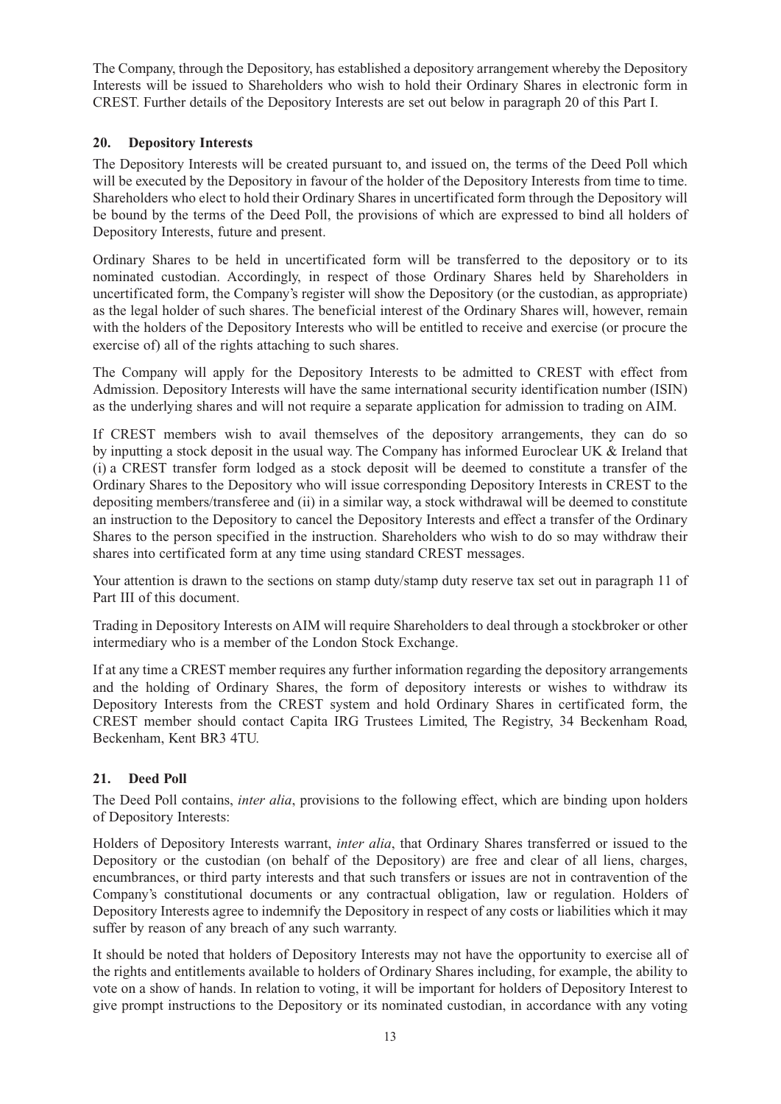The Company, through the Depository, has established a depository arrangement whereby the Depository Interests will be issued to Shareholders who wish to hold their Ordinary Shares in electronic form in CREST. Further details of the Depository Interests are set out below in paragraph 20 of this Part I.

#### **20. Depository Interests**

The Depository Interests will be created pursuant to, and issued on, the terms of the Deed Poll which will be executed by the Depository in favour of the holder of the Depository Interests from time to time. Shareholders who elect to hold their Ordinary Shares in uncertificated form through the Depository will be bound by the terms of the Deed Poll, the provisions of which are expressed to bind all holders of Depository Interests, future and present.

Ordinary Shares to be held in uncertificated form will be transferred to the depository or to its nominated custodian. Accordingly, in respect of those Ordinary Shares held by Shareholders in uncertificated form, the Company's register will show the Depository (or the custodian, as appropriate) as the legal holder of such shares. The beneficial interest of the Ordinary Shares will, however, remain with the holders of the Depository Interests who will be entitled to receive and exercise (or procure the exercise of) all of the rights attaching to such shares.

The Company will apply for the Depository Interests to be admitted to CREST with effect from Admission. Depository Interests will have the same international security identification number (ISIN) as the underlying shares and will not require a separate application for admission to trading on AIM.

If CREST members wish to avail themselves of the depository arrangements, they can do so by inputting a stock deposit in the usual way. The Company has informed Euroclear UK & Ireland that (i) a CREST transfer form lodged as a stock deposit will be deemed to constitute a transfer of the Ordinary Shares to the Depository who will issue corresponding Depository Interests in CREST to the depositing members/transferee and (ii) in a similar way, a stock withdrawal will be deemed to constitute an instruction to the Depository to cancel the Depository Interests and effect a transfer of the Ordinary Shares to the person specified in the instruction. Shareholders who wish to do so may withdraw their shares into certificated form at any time using standard CREST messages.

Your attention is drawn to the sections on stamp duty/stamp duty reserve tax set out in paragraph 11 of Part III of this document.

Trading in Depository Interests on AIM will require Shareholders to deal through a stockbroker or other intermediary who is a member of the London Stock Exchange.

If at any time a CREST member requires any further information regarding the depository arrangements and the holding of Ordinary Shares, the form of depository interests or wishes to withdraw its Depository Interests from the CREST system and hold Ordinary Shares in certificated form, the CREST member should contact Capita IRG Trustees Limited, The Registry, 34 Beckenham Road, Beckenham, Kent BR3 4TU.

#### **21. Deed Poll**

The Deed Poll contains, *inter alia*, provisions to the following effect, which are binding upon holders of Depository Interests:

Holders of Depository Interests warrant, *inter alia*, that Ordinary Shares transferred or issued to the Depository or the custodian (on behalf of the Depository) are free and clear of all liens, charges, encumbrances, or third party interests and that such transfers or issues are not in contravention of the Company's constitutional documents or any contractual obligation, law or regulation. Holders of Depository Interests agree to indemnify the Depository in respect of any costs or liabilities which it may suffer by reason of any breach of any such warranty.

It should be noted that holders of Depository Interests may not have the opportunity to exercise all of the rights and entitlements available to holders of Ordinary Shares including, for example, the ability to vote on a show of hands. In relation to voting, it will be important for holders of Depository Interest to give prompt instructions to the Depository or its nominated custodian, in accordance with any voting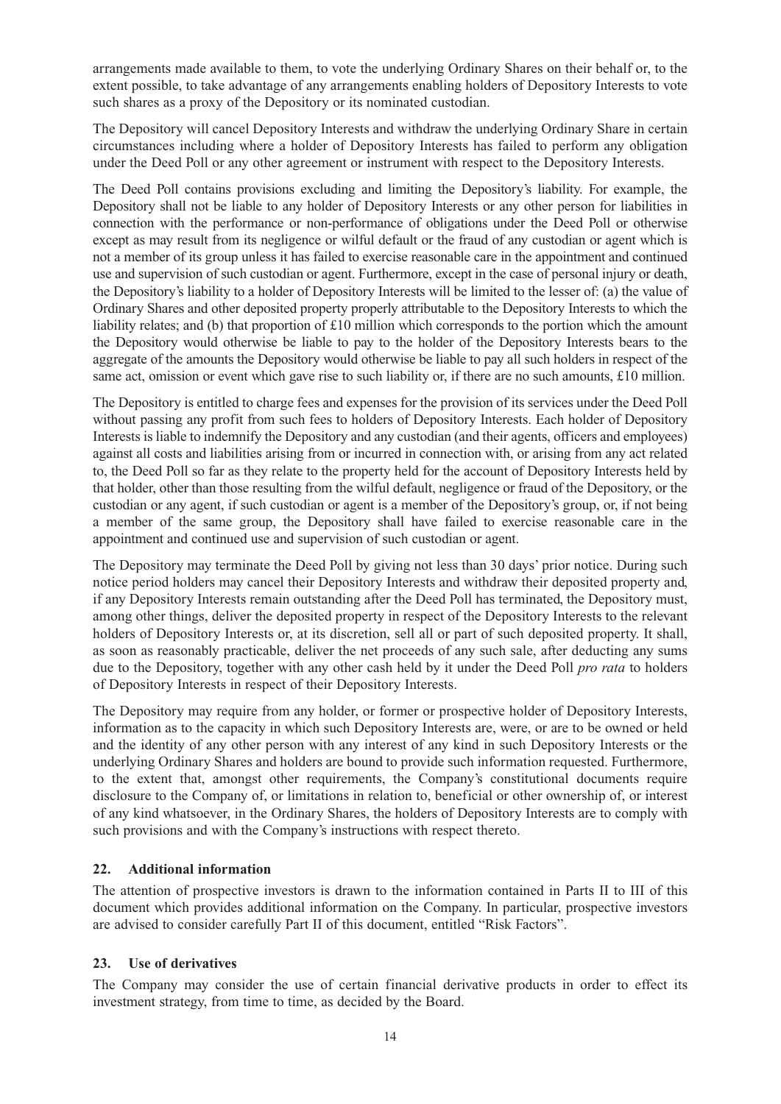arrangements made available to them, to vote the underlying Ordinary Shares on their behalf or, to the extent possible, to take advantage of any arrangements enabling holders of Depository Interests to vote such shares as a proxy of the Depository or its nominated custodian.

The Depository will cancel Depository Interests and withdraw the underlying Ordinary Share in certain circumstances including where a holder of Depository Interests has failed to perform any obligation under the Deed Poll or any other agreement or instrument with respect to the Depository Interests.

The Deed Poll contains provisions excluding and limiting the Depository's liability. For example, the Depository shall not be liable to any holder of Depository Interests or any other person for liabilities in connection with the performance or non-performance of obligations under the Deed Poll or otherwise except as may result from its negligence or wilful default or the fraud of any custodian or agent which is not a member of its group unless it has failed to exercise reasonable care in the appointment and continued use and supervision of such custodian or agent. Furthermore, except in the case of personal injury or death, the Depository's liability to a holder of Depository Interests will be limited to the lesser of: (a) the value of Ordinary Shares and other deposited property properly attributable to the Depository Interests to which the liability relates; and (b) that proportion of £10 million which corresponds to the portion which the amount the Depository would otherwise be liable to pay to the holder of the Depository Interests bears to the aggregate of the amounts the Depository would otherwise be liable to pay all such holders in respect of the same act, omission or event which gave rise to such liability or, if there are no such amounts, £10 million.

The Depository is entitled to charge fees and expenses for the provision of its services under the Deed Poll without passing any profit from such fees to holders of Depository Interests. Each holder of Depository Interests is liable to indemnify the Depository and any custodian (and their agents, officers and employees) against all costs and liabilities arising from or incurred in connection with, or arising from any act related to, the Deed Poll so far as they relate to the property held for the account of Depository Interests held by that holder, other than those resulting from the wilful default, negligence or fraud of the Depository, or the custodian or any agent, if such custodian or agent is a member of the Depository's group, or, if not being a member of the same group, the Depository shall have failed to exercise reasonable care in the appointment and continued use and supervision of such custodian or agent.

The Depository may terminate the Deed Poll by giving not less than 30 days' prior notice. During such notice period holders may cancel their Depository Interests and withdraw their deposited property and, if any Depository Interests remain outstanding after the Deed Poll has terminated, the Depository must, among other things, deliver the deposited property in respect of the Depository Interests to the relevant holders of Depository Interests or, at its discretion, sell all or part of such deposited property. It shall, as soon as reasonably practicable, deliver the net proceeds of any such sale, after deducting any sums due to the Depository, together with any other cash held by it under the Deed Poll *pro rata* to holders of Depository Interests in respect of their Depository Interests.

The Depository may require from any holder, or former or prospective holder of Depository Interests, information as to the capacity in which such Depository Interests are, were, or are to be owned or held and the identity of any other person with any interest of any kind in such Depository Interests or the underlying Ordinary Shares and holders are bound to provide such information requested. Furthermore, to the extent that, amongst other requirements, the Company's constitutional documents require disclosure to the Company of, or limitations in relation to, beneficial or other ownership of, or interest of any kind whatsoever, in the Ordinary Shares, the holders of Depository Interests are to comply with such provisions and with the Company's instructions with respect thereto.

#### **22. Additional information**

The attention of prospective investors is drawn to the information contained in Parts II to III of this document which provides additional information on the Company. In particular, prospective investors are advised to consider carefully Part II of this document, entitled "Risk Factors".

#### **23. Use of derivatives**

The Company may consider the use of certain financial derivative products in order to effect its investment strategy, from time to time, as decided by the Board.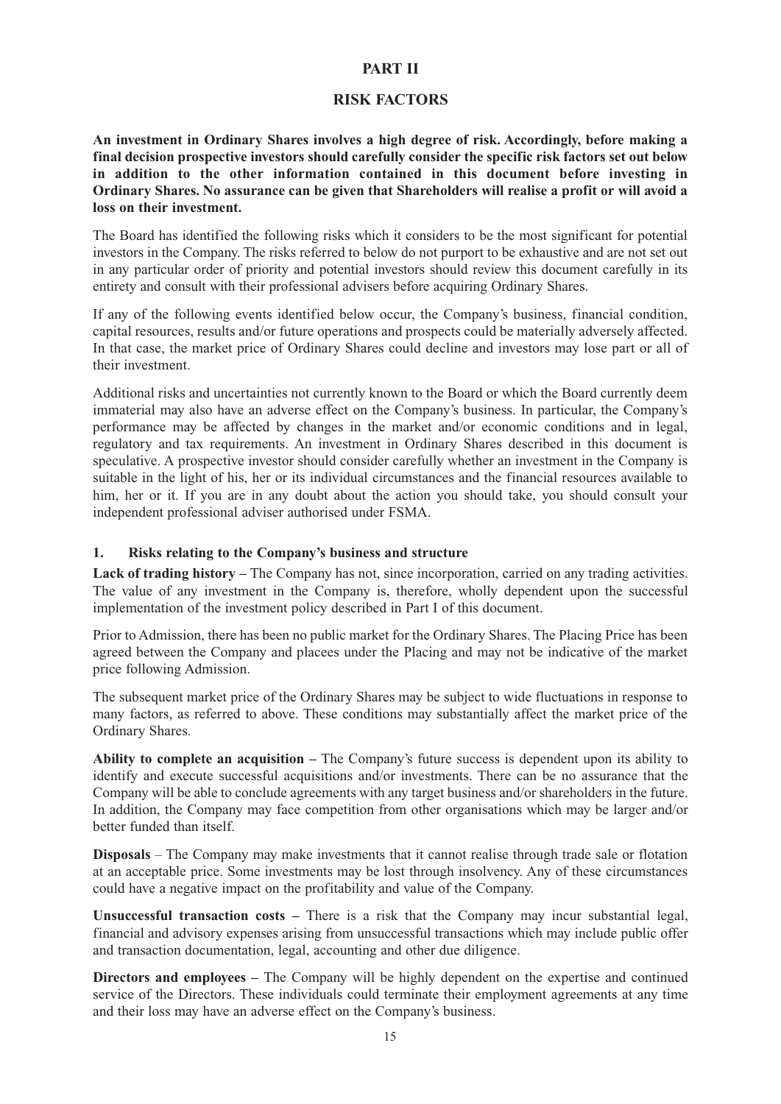#### **PART II**

#### **RISK FACTORS**

**An investment in Ordinary Shares involves a high degree of risk. Accordingly, before making a final decision prospective investors should carefully consider the specific risk factors set out below in addition to the other information contained in this document before investing in Ordinary Shares. No assurance can be given that Shareholders will realise a profit or will avoid a loss on their investment.**

The Board has identified the following risks which it considers to be the most significant for potential investors in the Company. The risks referred to below do not purport to be exhaustive and are not set out in any particular order of priority and potential investors should review this document carefully in its entirety and consult with their professional advisers before acquiring Ordinary Shares.

If any of the following events identified below occur, the Company's business, financial condition, capital resources, results and/or future operations and prospects could be materially adversely affected. In that case, the market price of Ordinary Shares could decline and investors may lose part or all of their investment.

Additional risks and uncertainties not currently known to the Board or which the Board currently deem immaterial may also have an adverse effect on the Company's business. In particular, the Company's performance may be affected by changes in the market and/or economic conditions and in legal, regulatory and tax requirements. An investment in Ordinary Shares described in this document is speculative. A prospective investor should consider carefully whether an investment in the Company is suitable in the light of his, her or its individual circumstances and the financial resources available to him, her or it. If you are in any doubt about the action you should take, you should consult your independent professional adviser authorised under FSMA.

#### **1. Risks relating to the Company's business and structure**

**Lack of trading history –** The Company has not, since incorporation, carried on any trading activities. The value of any investment in the Company is, therefore, wholly dependent upon the successful implementation of the investment policy described in Part I of this document.

Prior to Admission, there has been no public market for the Ordinary Shares. The Placing Price has been agreed between the Company and placees under the Placing and may not be indicative of the market price following Admission.

The subsequent market price of the Ordinary Shares may be subject to wide fluctuations in response to many factors, as referred to above. These conditions may substantially affect the market price of the Ordinary Shares.

**Ability to complete an acquisition –** The Company's future success is dependent upon its ability to identify and execute successful acquisitions and/or investments. There can be no assurance that the Company will be able to conclude agreements with any target business and/or shareholders in the future. In addition, the Company may face competition from other organisations which may be larger and/or better funded than itself.

**Disposals** – The Company may make investments that it cannot realise through trade sale or flotation at an acceptable price. Some investments may be lost through insolvency. Any of these circumstances could have a negative impact on the profitability and value of the Company.

**Unsuccessful transaction costs –** There is a risk that the Company may incur substantial legal, financial and advisory expenses arising from unsuccessful transactions which may include public offer and transaction documentation, legal, accounting and other due diligence.

**Directors and employees –** The Company will be highly dependent on the expertise and continued service of the Directors. These individuals could terminate their employment agreements at any time and their loss may have an adverse effect on the Company's business.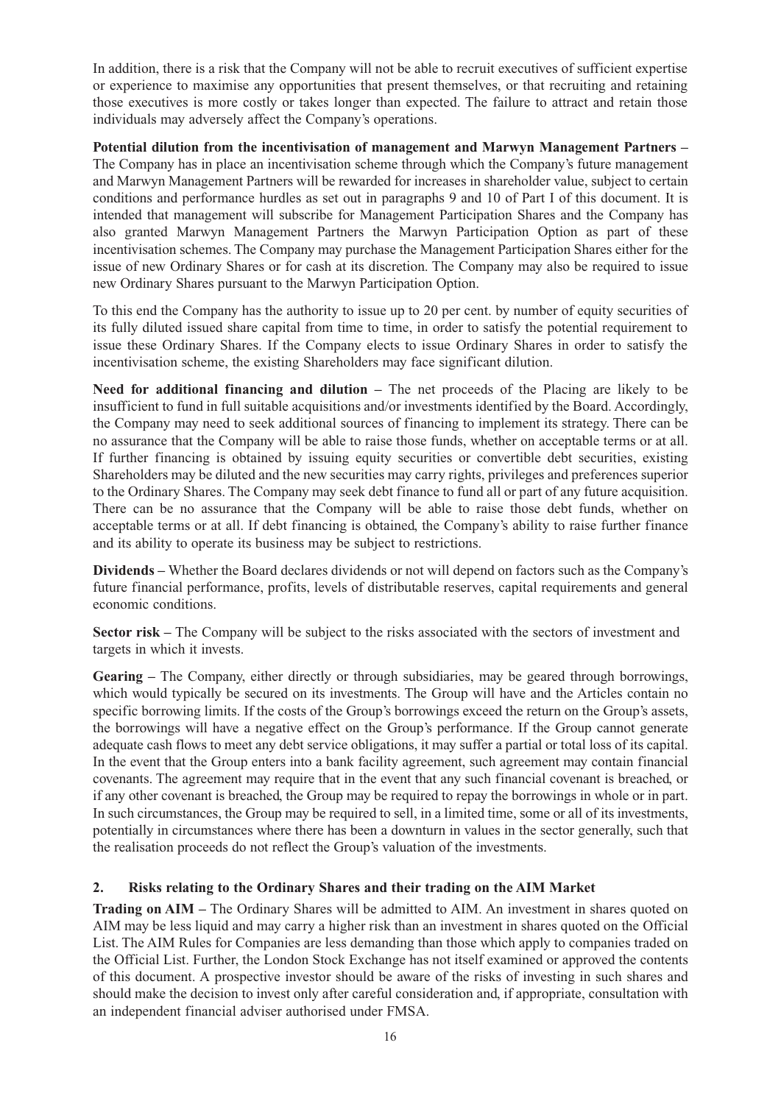In addition, there is a risk that the Company will not be able to recruit executives of sufficient expertise or experience to maximise any opportunities that present themselves, or that recruiting and retaining those executives is more costly or takes longer than expected. The failure to attract and retain those individuals may adversely affect the Company's operations.

**Potential dilution from the incentivisation of management and Marwyn Management Partners –** The Company has in place an incentivisation scheme through which the Company's future management and Marwyn Management Partners will be rewarded for increases in shareholder value, subject to certain conditions and performance hurdles as set out in paragraphs 9 and 10 of Part I of this document. It is intended that management will subscribe for Management Participation Shares and the Company has also granted Marwyn Management Partners the Marwyn Participation Option as part of these incentivisation schemes. The Company may purchase the Management Participation Shares either for the issue of new Ordinary Shares or for cash at its discretion. The Company may also be required to issue new Ordinary Shares pursuant to the Marwyn Participation Option.

To this end the Company has the authority to issue up to 20 per cent. by number of equity securities of its fully diluted issued share capital from time to time, in order to satisfy the potential requirement to issue these Ordinary Shares. If the Company elects to issue Ordinary Shares in order to satisfy the incentivisation scheme, the existing Shareholders may face significant dilution.

**Need for additional financing and dilution –** The net proceeds of the Placing are likely to be insufficient to fund in full suitable acquisitions and/or investments identified by the Board. Accordingly, the Company may need to seek additional sources of financing to implement its strategy. There can be no assurance that the Company will be able to raise those funds, whether on acceptable terms or at all. If further financing is obtained by issuing equity securities or convertible debt securities, existing Shareholders may be diluted and the new securities may carry rights, privileges and preferences superior to the Ordinary Shares. The Company may seek debt finance to fund all or part of any future acquisition. There can be no assurance that the Company will be able to raise those debt funds, whether on acceptable terms or at all. If debt financing is obtained, the Company's ability to raise further finance and its ability to operate its business may be subject to restrictions.

**Dividends –** Whether the Board declares dividends or not will depend on factors such as the Company's future financial performance, profits, levels of distributable reserves, capital requirements and general economic conditions.

**Sector risk –** The Company will be subject to the risks associated with the sectors of investment and targets in which it invests.

**Gearing –** The Company, either directly or through subsidiaries, may be geared through borrowings, which would typically be secured on its investments. The Group will have and the Articles contain no specific borrowing limits. If the costs of the Group's borrowings exceed the return on the Group's assets, the borrowings will have a negative effect on the Group's performance. If the Group cannot generate adequate cash flows to meet any debt service obligations, it may suffer a partial or total loss of its capital. In the event that the Group enters into a bank facility agreement, such agreement may contain financial covenants. The agreement may require that in the event that any such financial covenant is breached, or if any other covenant is breached, the Group may be required to repay the borrowings in whole or in part. In such circumstances, the Group may be required to sell, in a limited time, some or all of its investments, potentially in circumstances where there has been a downturn in values in the sector generally, such that the realisation proceeds do not reflect the Group's valuation of the investments.

#### **2. Risks relating to the Ordinary Shares and their trading on the AIM Market**

**Trading on AIM –** The Ordinary Shares will be admitted to AIM. An investment in shares quoted on AIM may be less liquid and may carry a higher risk than an investment in shares quoted on the Official List. The AIM Rules for Companies are less demanding than those which apply to companies traded on the Official List. Further, the London Stock Exchange has not itself examined or approved the contents of this document. A prospective investor should be aware of the risks of investing in such shares and should make the decision to invest only after careful consideration and, if appropriate, consultation with an independent financial adviser authorised under FMSA.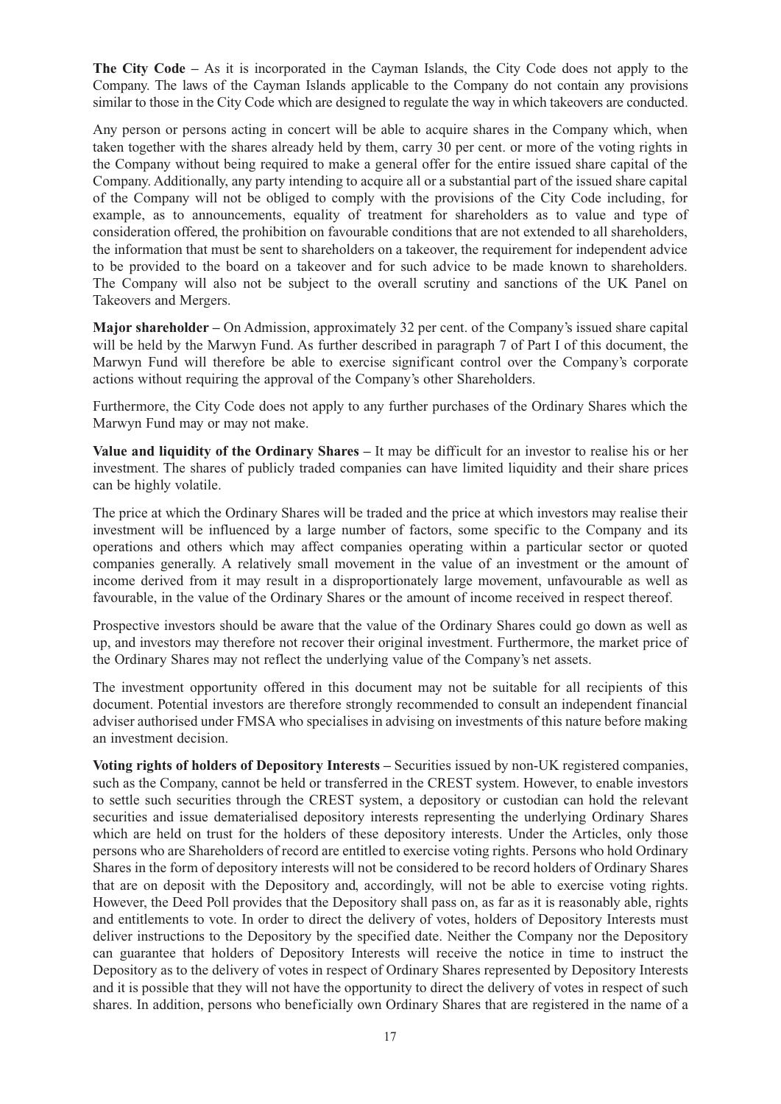**The City Code –** As it is incorporated in the Cayman Islands, the City Code does not apply to the Company. The laws of the Cayman Islands applicable to the Company do not contain any provisions similar to those in the City Code which are designed to regulate the way in which takeovers are conducted.

Any person or persons acting in concert will be able to acquire shares in the Company which, when taken together with the shares already held by them, carry 30 per cent. or more of the voting rights in the Company without being required to make a general offer for the entire issued share capital of the Company. Additionally, any party intending to acquire all or a substantial part of the issued share capital of the Company will not be obliged to comply with the provisions of the City Code including, for example, as to announcements, equality of treatment for shareholders as to value and type of consideration offered, the prohibition on favourable conditions that are not extended to all shareholders, the information that must be sent to shareholders on a takeover, the requirement for independent advice to be provided to the board on a takeover and for such advice to be made known to shareholders. The Company will also not be subject to the overall scrutiny and sanctions of the UK Panel on Takeovers and Mergers.

**Major shareholder –** On Admission, approximately 32 per cent. of the Company's issued share capital will be held by the Marwyn Fund. As further described in paragraph 7 of Part I of this document, the Marwyn Fund will therefore be able to exercise significant control over the Company's corporate actions without requiring the approval of the Company's other Shareholders.

Furthermore, the City Code does not apply to any further purchases of the Ordinary Shares which the Marwyn Fund may or may not make.

**Value and liquidity of the Ordinary Shares –** It may be difficult for an investor to realise his or her investment. The shares of publicly traded companies can have limited liquidity and their share prices can be highly volatile.

The price at which the Ordinary Shares will be traded and the price at which investors may realise their investment will be influenced by a large number of factors, some specific to the Company and its operations and others which may affect companies operating within a particular sector or quoted companies generally. A relatively small movement in the value of an investment or the amount of income derived from it may result in a disproportionately large movement, unfavourable as well as favourable, in the value of the Ordinary Shares or the amount of income received in respect thereof.

Prospective investors should be aware that the value of the Ordinary Shares could go down as well as up, and investors may therefore not recover their original investment. Furthermore, the market price of the Ordinary Shares may not reflect the underlying value of the Company's net assets.

The investment opportunity offered in this document may not be suitable for all recipients of this document. Potential investors are therefore strongly recommended to consult an independent financial adviser authorised under FMSA who specialises in advising on investments of this nature before making an investment decision.

**Voting rights of holders of Depository Interests –** Securities issued by non-UK registered companies, such as the Company, cannot be held or transferred in the CREST system. However, to enable investors to settle such securities through the CREST system, a depository or custodian can hold the relevant securities and issue dematerialised depository interests representing the underlying Ordinary Shares which are held on trust for the holders of these depository interests. Under the Articles, only those persons who are Shareholders of record are entitled to exercise voting rights. Persons who hold Ordinary Shares in the form of depository interests will not be considered to be record holders of Ordinary Shares that are on deposit with the Depository and, accordingly, will not be able to exercise voting rights. However, the Deed Poll provides that the Depository shall pass on, as far as it is reasonably able, rights and entitlements to vote. In order to direct the delivery of votes, holders of Depository Interests must deliver instructions to the Depository by the specified date. Neither the Company nor the Depository can guarantee that holders of Depository Interests will receive the notice in time to instruct the Depository as to the delivery of votes in respect of Ordinary Shares represented by Depository Interests and it is possible that they will not have the opportunity to direct the delivery of votes in respect of such shares. In addition, persons who beneficially own Ordinary Shares that are registered in the name of a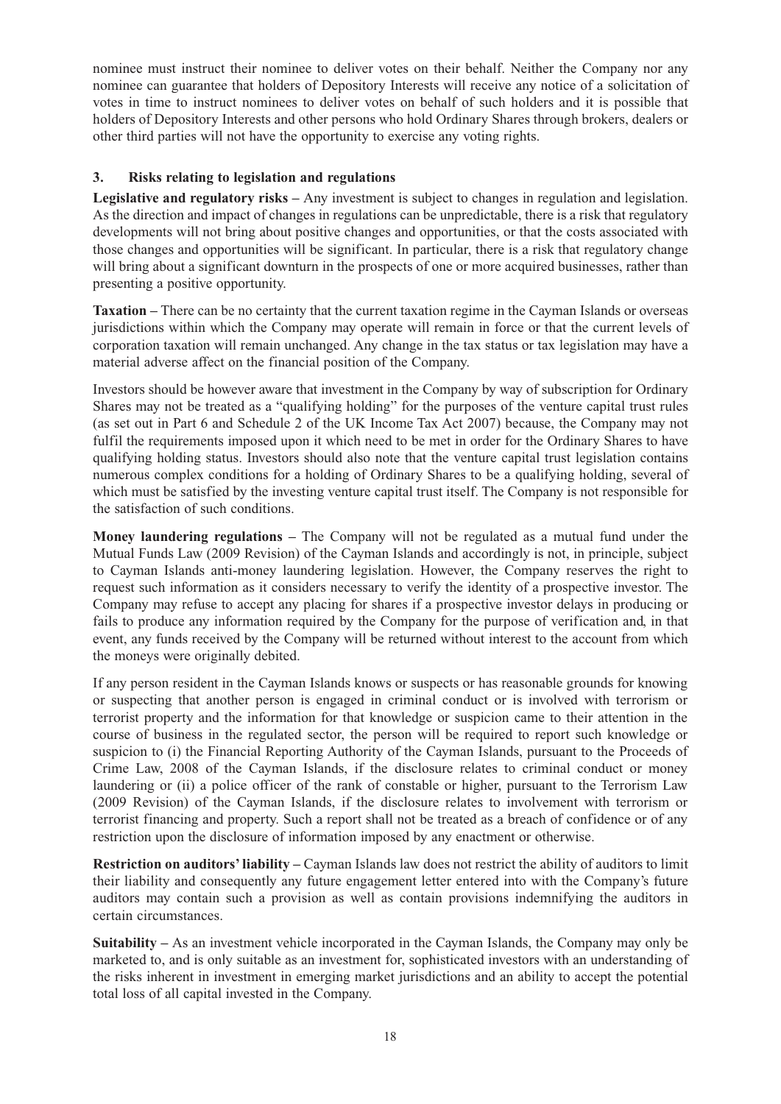nominee must instruct their nominee to deliver votes on their behalf. Neither the Company nor any nominee can guarantee that holders of Depository Interests will receive any notice of a solicitation of votes in time to instruct nominees to deliver votes on behalf of such holders and it is possible that holders of Depository Interests and other persons who hold Ordinary Shares through brokers, dealers or other third parties will not have the opportunity to exercise any voting rights.

#### **3. Risks relating to legislation and regulations**

**Legislative and regulatory risks –** Any investment is subject to changes in regulation and legislation. As the direction and impact of changes in regulations can be unpredictable, there is a risk that regulatory developments will not bring about positive changes and opportunities, or that the costs associated with those changes and opportunities will be significant. In particular, there is a risk that regulatory change will bring about a significant downturn in the prospects of one or more acquired businesses, rather than presenting a positive opportunity.

**Taxation –** There can be no certainty that the current taxation regime in the Cayman Islands or overseas jurisdictions within which the Company may operate will remain in force or that the current levels of corporation taxation will remain unchanged. Any change in the tax status or tax legislation may have a material adverse affect on the financial position of the Company.

Investors should be however aware that investment in the Company by way of subscription for Ordinary Shares may not be treated as a "qualifying holding" for the purposes of the venture capital trust rules (as set out in Part 6 and Schedule 2 of the UK Income Tax Act 2007) because, the Company may not fulfil the requirements imposed upon it which need to be met in order for the Ordinary Shares to have qualifying holding status. Investors should also note that the venture capital trust legislation contains numerous complex conditions for a holding of Ordinary Shares to be a qualifying holding, several of which must be satisfied by the investing venture capital trust itself. The Company is not responsible for the satisfaction of such conditions.

**Money laundering regulations –** The Company will not be regulated as a mutual fund under the Mutual Funds Law (2009 Revision) of the Cayman Islands and accordingly is not, in principle, subject to Cayman Islands anti-money laundering legislation. However, the Company reserves the right to request such information as it considers necessary to verify the identity of a prospective investor. The Company may refuse to accept any placing for shares if a prospective investor delays in producing or fails to produce any information required by the Company for the purpose of verification and, in that event, any funds received by the Company will be returned without interest to the account from which the moneys were originally debited.

If any person resident in the Cayman Islands knows or suspects or has reasonable grounds for knowing or suspecting that another person is engaged in criminal conduct or is involved with terrorism or terrorist property and the information for that knowledge or suspicion came to their attention in the course of business in the regulated sector, the person will be required to report such knowledge or suspicion to (i) the Financial Reporting Authority of the Cayman Islands, pursuant to the Proceeds of Crime Law, 2008 of the Cayman Islands, if the disclosure relates to criminal conduct or money laundering or (ii) a police officer of the rank of constable or higher, pursuant to the Terrorism Law (2009 Revision) of the Cayman Islands, if the disclosure relates to involvement with terrorism or terrorist financing and property. Such a report shall not be treated as a breach of confidence or of any restriction upon the disclosure of information imposed by any enactment or otherwise.

**Restriction on auditors' liability –** Cayman Islands law does not restrict the ability of auditors to limit their liability and consequently any future engagement letter entered into with the Company's future auditors may contain such a provision as well as contain provisions indemnifying the auditors in certain circumstances.

**Suitability –** As an investment vehicle incorporated in the Cayman Islands, the Company may only be marketed to, and is only suitable as an investment for, sophisticated investors with an understanding of the risks inherent in investment in emerging market jurisdictions and an ability to accept the potential total loss of all capital invested in the Company.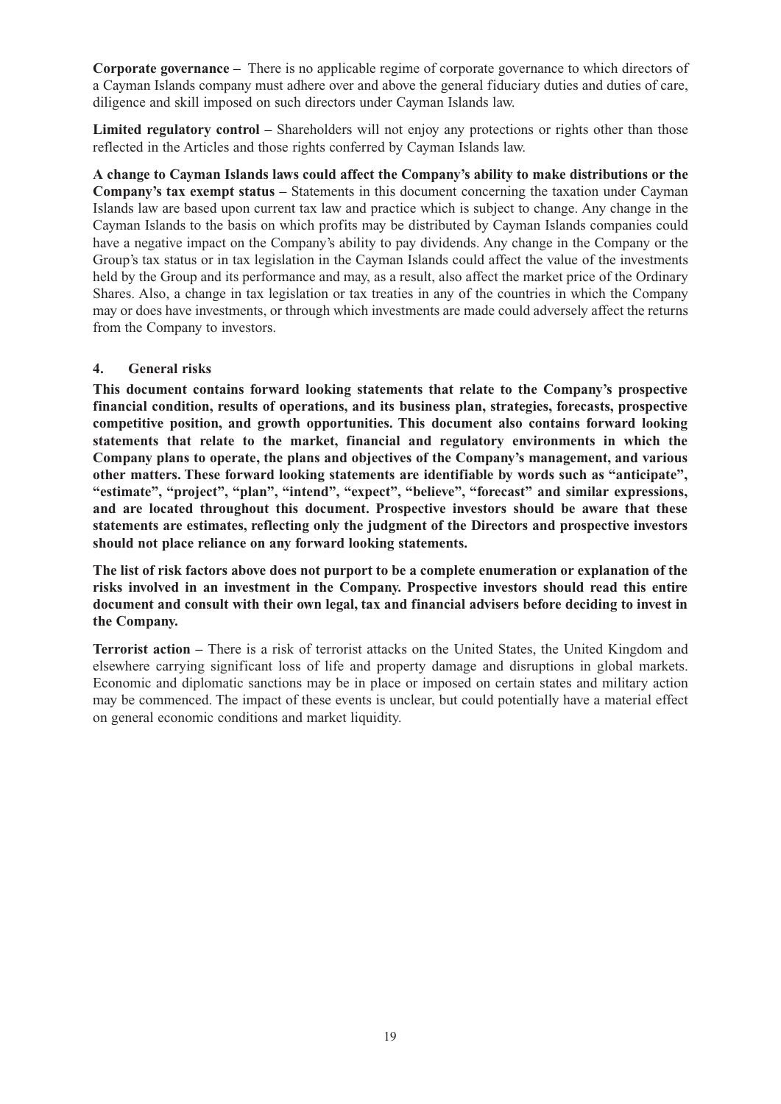**Corporate governance –** There is no applicable regime of corporate governance to which directors of a Cayman Islands company must adhere over and above the general fiduciary duties and duties of care, diligence and skill imposed on such directors under Cayman Islands law.

**Limited regulatory control –** Shareholders will not enjoy any protections or rights other than those reflected in the Articles and those rights conferred by Cayman Islands law.

**A change to Cayman Islands laws could affect the Company's ability to make distributions or the Company's tax exempt status –** Statements in this document concerning the taxation under Cayman Islands law are based upon current tax law and practice which is subject to change. Any change in the Cayman Islands to the basis on which profits may be distributed by Cayman Islands companies could have a negative impact on the Company's ability to pay dividends. Any change in the Company or the Group's tax status or in tax legislation in the Cayman Islands could affect the value of the investments held by the Group and its performance and may, as a result, also affect the market price of the Ordinary Shares. Also, a change in tax legislation or tax treaties in any of the countries in which the Company may or does have investments, or through which investments are made could adversely affect the returns from the Company to investors.

#### **4. General risks**

**This document contains forward looking statements that relate to the Company's prospective financial condition, results of operations, and its business plan, strategies, forecasts, prospective competitive position, and growth opportunities. This document also contains forward looking statements that relate to the market, financial and regulatory environments in which the Company plans to operate, the plans and objectives of the Company's management, and various other matters. These forward looking statements are identifiable by words such as "anticipate", "estimate", "project", "plan", "intend", "expect", "believe", "forecast" and similar expressions, and are located throughout this document. Prospective investors should be aware that these statements are estimates, reflecting only the judgment of the Directors and prospective investors should not place reliance on any forward looking statements.**

**The list of risk factors above does not purport to be a complete enumeration or explanation of the risks involved in an investment in the Company. Prospective investors should read this entire document and consult with their own legal, tax and financial advisers before deciding to invest in the Company.**

**Terrorist action –** There is a risk of terrorist attacks on the United States, the United Kingdom and elsewhere carrying significant loss of life and property damage and disruptions in global markets. Economic and diplomatic sanctions may be in place or imposed on certain states and military action may be commenced. The impact of these events is unclear, but could potentially have a material effect on general economic conditions and market liquidity.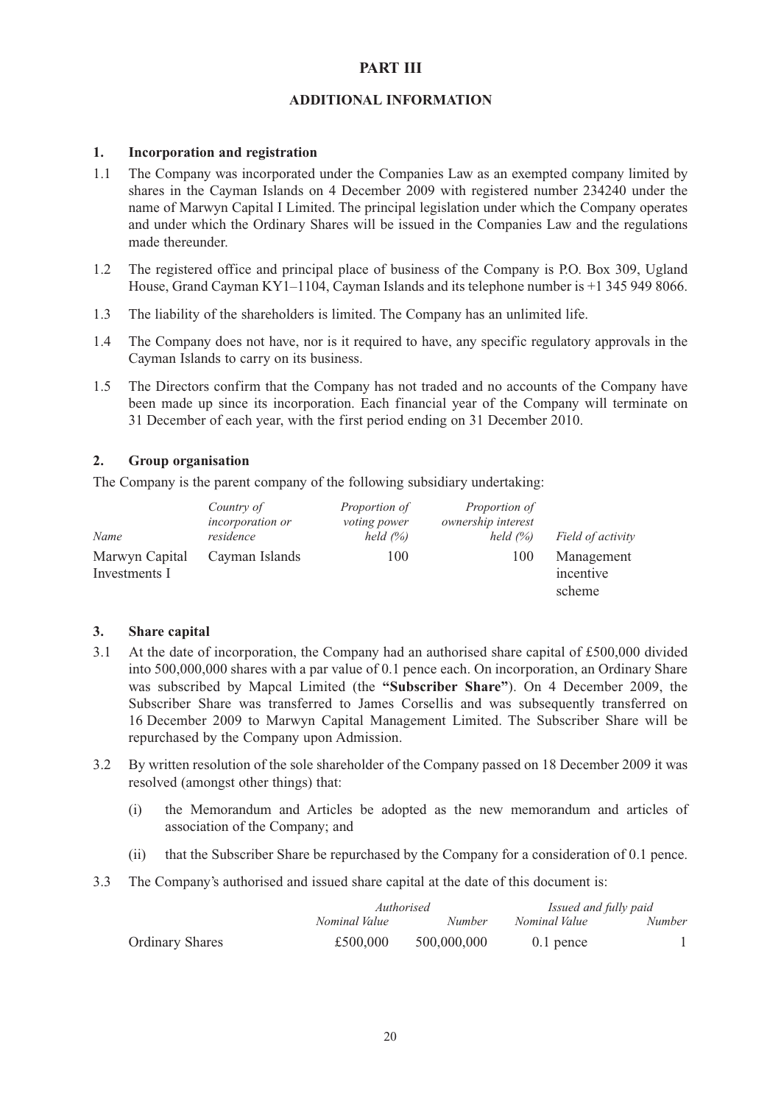#### **PART III**

#### **ADDITIONAL INFORMATION**

#### **1. Incorporation and registration**

- 1.1 The Company was incorporated under the Companies Law as an exempted company limited by shares in the Cayman Islands on 4 December 2009 with registered number 234240 under the name of Marwyn Capital I Limited. The principal legislation under which the Company operates and under which the Ordinary Shares will be issued in the Companies Law and the regulations made thereunder.
- 1.2 The registered office and principal place of business of the Company is P.O. Box 309, Ugland House, Grand Cayman KY1–1104, Cayman Islands and its telephone number is +1 345 949 8066.
- 1.3 The liability of the shareholders is limited. The Company has an unlimited life.
- 1.4 The Company does not have, nor is it required to have, any specific regulatory approvals in the Cayman Islands to carry on its business.
- 1.5 The Directors confirm that the Company has not traded and no accounts of the Company have been made up since its incorporation. Each financial year of the Company will terminate on 31 December of each year, with the first period ending on 31 December 2010.

#### **2. Group organisation**

The Company is the parent company of the following subsidiary undertaking:

| Name                            | Country of<br>incorporation or<br>residence | Proportion of<br><i>voting power</i><br>held $(%$ | <i>Proportion of</i><br>ownership interest<br>held $(%$ | Field of activity                 |
|---------------------------------|---------------------------------------------|---------------------------------------------------|---------------------------------------------------------|-----------------------------------|
| Marwyn Capital<br>Investments I | Cayman Islands                              | 100                                               | 100                                                     | Management<br>incentive<br>scheme |

#### **3. Share capital**

- 3.1 At the date of incorporation, the Company had an authorised share capital of £500,000 divided into 500,000,000 shares with a par value of 0.1 pence each. On incorporation, an Ordinary Share was subscribed by Mapcal Limited (the **"Subscriber Share"**). On 4 December 2009, the Subscriber Share was transferred to James Corsellis and was subsequently transferred on 16 December 2009 to Marwyn Capital Management Limited. The Subscriber Share will be repurchased by the Company upon Admission.
- 3.2 By written resolution of the sole shareholder of the Company passed on 18 December 2009 it was resolved (amongst other things) that:
	- (i) the Memorandum and Articles be adopted as the new memorandum and articles of association of the Company; and
	- (ii) that the Subscriber Share be repurchased by the Company for a consideration of 0.1 pence.
- 3.3 The Company's authorised and issued share capital at the date of this document is:

|                        | Authorised    |               | Issued and fully paid |               |
|------------------------|---------------|---------------|-----------------------|---------------|
|                        | Nominal Value | <i>Number</i> | Nominal Value         | <i>Number</i> |
| <b>Ordinary Shares</b> | £500,000      | 500,000,000   | $0.1$ pence           |               |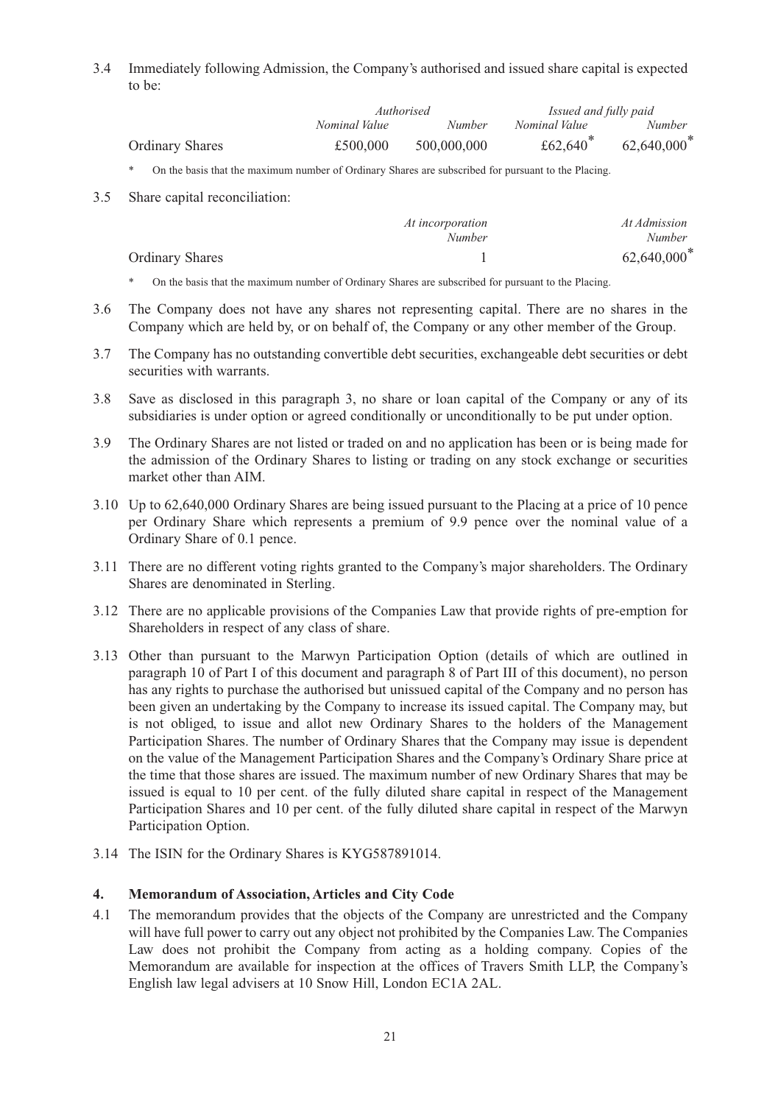3.4 Immediately following Admission, the Company's authorised and issued share capital is expected to be:

|                        | Authorised    |               | Issued and fully paid |                |
|------------------------|---------------|---------------|-----------------------|----------------|
|                        | Nominal Value | <i>Number</i> | Nominal Value         | <i>Number</i>  |
| <b>Ordinary Shares</b> | £500,000      | 500,000,000   | £62,640 $*$           | $62,640,000^*$ |

\* On the basis that the maximum number of Ordinary Shares are subscribed for pursuant to the Placing.

3.5 Share capital reconciliation:

|                        | At incorporation<br><i>Number</i> | At Admission<br><i>Number</i> |
|------------------------|-----------------------------------|-------------------------------|
| <b>Ordinary Shares</b> |                                   | 62,640,000 <sup>*</sup>       |

- \* On the basis that the maximum number of Ordinary Shares are subscribed for pursuant to the Placing.
- 3.6 The Company does not have any shares not representing capital. There are no shares in the Company which are held by, or on behalf of, the Company or any other member of the Group.
- 3.7 The Company has no outstanding convertible debt securities, exchangeable debt securities or debt securities with warrants.
- 3.8 Save as disclosed in this paragraph 3, no share or loan capital of the Company or any of its subsidiaries is under option or agreed conditionally or unconditionally to be put under option.
- 3.9 The Ordinary Shares are not listed or traded on and no application has been or is being made for the admission of the Ordinary Shares to listing or trading on any stock exchange or securities market other than AIM.
- 3.10 Up to 62,640,000 Ordinary Shares are being issued pursuant to the Placing at a price of 10 pence per Ordinary Share which represents a premium of 9.9 pence over the nominal value of a Ordinary Share of 0.1 pence.
- 3.11 There are no different voting rights granted to the Company's major shareholders. The Ordinary Shares are denominated in Sterling.
- 3.12 There are no applicable provisions of the Companies Law that provide rights of pre-emption for Shareholders in respect of any class of share.
- 3.13 Other than pursuant to the Marwyn Participation Option (details of which are outlined in paragraph 10 of Part I of this document and paragraph 8 of Part III of this document), no person has any rights to purchase the authorised but unissued capital of the Company and no person has been given an undertaking by the Company to increase its issued capital. The Company may, but is not obliged, to issue and allot new Ordinary Shares to the holders of the Management Participation Shares. The number of Ordinary Shares that the Company may issue is dependent on the value of the Management Participation Shares and the Company's Ordinary Share price at the time that those shares are issued. The maximum number of new Ordinary Shares that may be issued is equal to 10 per cent. of the fully diluted share capital in respect of the Management Participation Shares and 10 per cent. of the fully diluted share capital in respect of the Marwyn Participation Option.
- 3.14 The ISIN for the Ordinary Shares is KYG587891014.

#### **4. Memorandum of Association, Articles and City Code**

4.1 The memorandum provides that the objects of the Company are unrestricted and the Company will have full power to carry out any object not prohibited by the Companies Law. The Companies Law does not prohibit the Company from acting as a holding company. Copies of the Memorandum are available for inspection at the offices of Travers Smith LLP, the Company's English law legal advisers at 10 Snow Hill, London EC1A 2AL.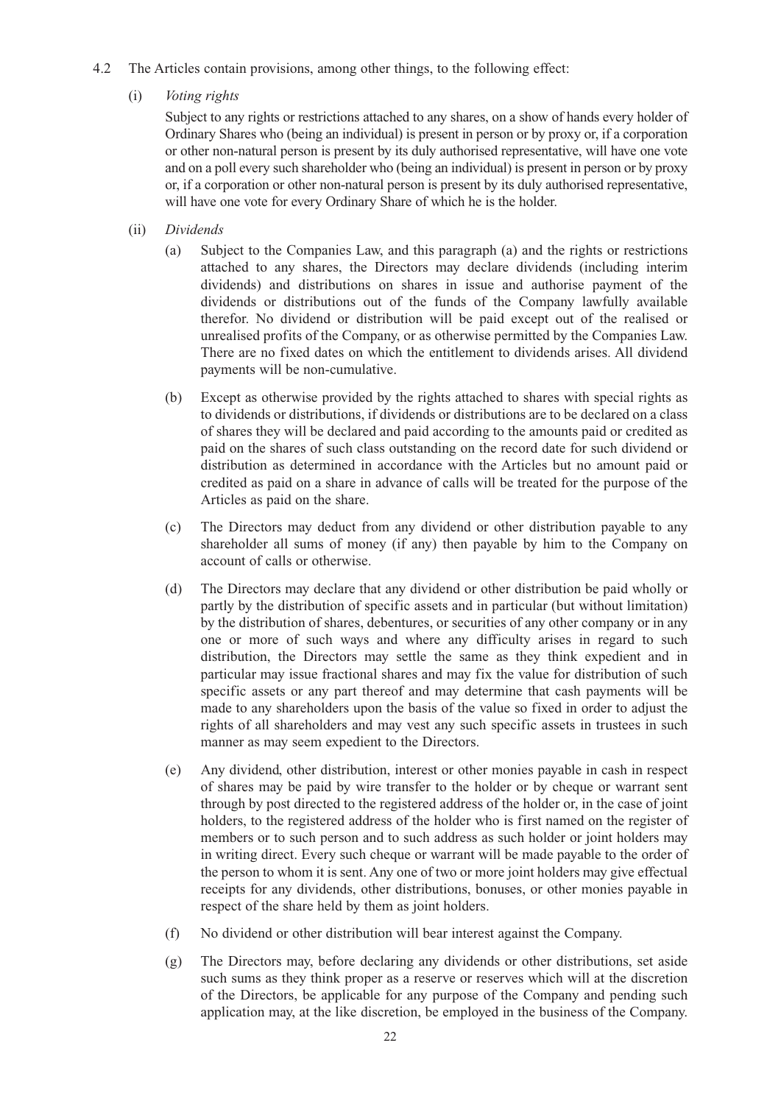- 4.2 The Articles contain provisions, among other things, to the following effect:
	- (i) *Voting rights*

Subject to any rights or restrictions attached to any shares, on a show of hands every holder of Ordinary Shares who (being an individual) is present in person or by proxy or, if a corporation or other non-natural person is present by its duly authorised representative, will have one vote and on a poll every such shareholder who (being an individual) is present in person or by proxy or, if a corporation or other non-natural person is present by its duly authorised representative, will have one vote for every Ordinary Share of which he is the holder.

- (ii) *Dividends*
	- (a) Subject to the Companies Law, and this paragraph (a) and the rights or restrictions attached to any shares, the Directors may declare dividends (including interim dividends) and distributions on shares in issue and authorise payment of the dividends or distributions out of the funds of the Company lawfully available therefor. No dividend or distribution will be paid except out of the realised or unrealised profits of the Company, or as otherwise permitted by the Companies Law. There are no fixed dates on which the entitlement to dividends arises. All dividend payments will be non-cumulative.
	- (b) Except as otherwise provided by the rights attached to shares with special rights as to dividends or distributions, if dividends or distributions are to be declared on a class of shares they will be declared and paid according to the amounts paid or credited as paid on the shares of such class outstanding on the record date for such dividend or distribution as determined in accordance with the Articles but no amount paid or credited as paid on a share in advance of calls will be treated for the purpose of the Articles as paid on the share.
	- (c) The Directors may deduct from any dividend or other distribution payable to any shareholder all sums of money (if any) then payable by him to the Company on account of calls or otherwise.
	- (d) The Directors may declare that any dividend or other distribution be paid wholly or partly by the distribution of specific assets and in particular (but without limitation) by the distribution of shares, debentures, or securities of any other company or in any one or more of such ways and where any difficulty arises in regard to such distribution, the Directors may settle the same as they think expedient and in particular may issue fractional shares and may fix the value for distribution of such specific assets or any part thereof and may determine that cash payments will be made to any shareholders upon the basis of the value so fixed in order to adjust the rights of all shareholders and may vest any such specific assets in trustees in such manner as may seem expedient to the Directors.
	- (e) Any dividend, other distribution, interest or other monies payable in cash in respect of shares may be paid by wire transfer to the holder or by cheque or warrant sent through by post directed to the registered address of the holder or, in the case of joint holders, to the registered address of the holder who is first named on the register of members or to such person and to such address as such holder or joint holders may in writing direct. Every such cheque or warrant will be made payable to the order of the person to whom it is sent. Any one of two or more joint holders may give effectual receipts for any dividends, other distributions, bonuses, or other monies payable in respect of the share held by them as joint holders.
	- (f) No dividend or other distribution will bear interest against the Company.
	- (g) The Directors may, before declaring any dividends or other distributions, set aside such sums as they think proper as a reserve or reserves which will at the discretion of the Directors, be applicable for any purpose of the Company and pending such application may, at the like discretion, be employed in the business of the Company.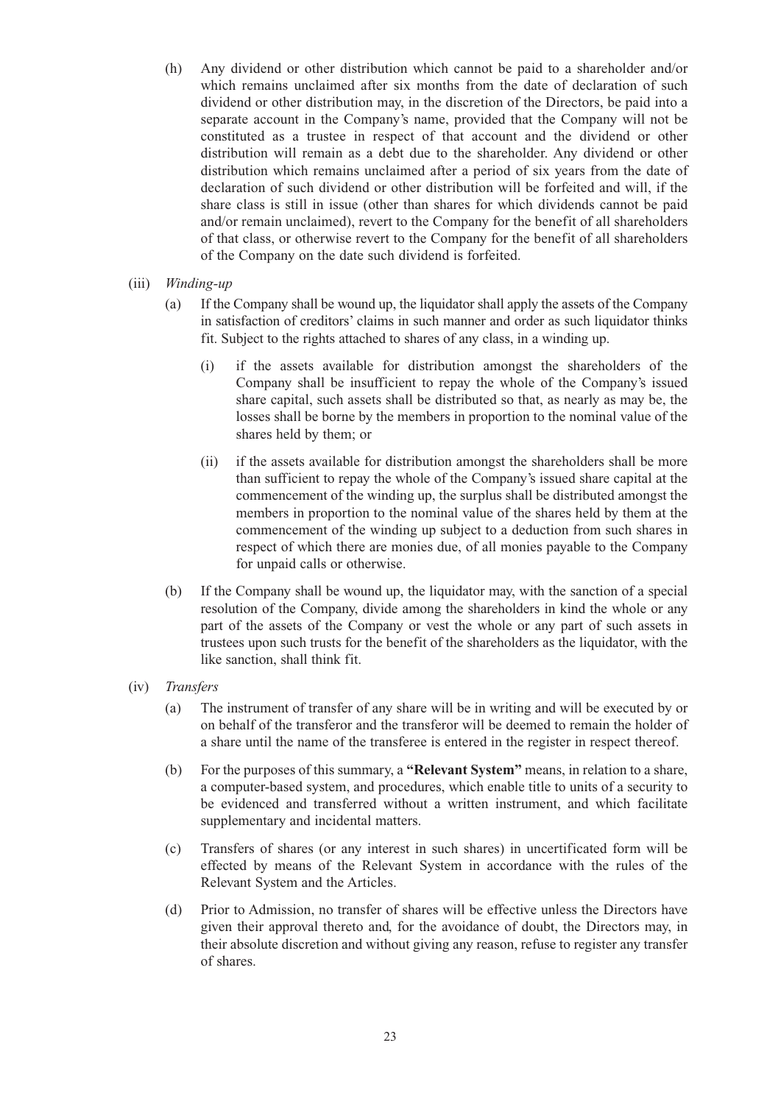- (h) Any dividend or other distribution which cannot be paid to a shareholder and/or which remains unclaimed after six months from the date of declaration of such dividend or other distribution may, in the discretion of the Directors, be paid into a separate account in the Company's name, provided that the Company will not be constituted as a trustee in respect of that account and the dividend or other distribution will remain as a debt due to the shareholder. Any dividend or other distribution which remains unclaimed after a period of six years from the date of declaration of such dividend or other distribution will be forfeited and will, if the share class is still in issue (other than shares for which dividends cannot be paid and/or remain unclaimed), revert to the Company for the benefit of all shareholders of that class, or otherwise revert to the Company for the benefit of all shareholders of the Company on the date such dividend is forfeited.
- (iii) *Winding-up*
	- (a) If the Company shall be wound up, the liquidator shall apply the assets of the Company in satisfaction of creditors' claims in such manner and order as such liquidator thinks fit. Subject to the rights attached to shares of any class, in a winding up.
		- (i) if the assets available for distribution amongst the shareholders of the Company shall be insufficient to repay the whole of the Company's issued share capital, such assets shall be distributed so that, as nearly as may be, the losses shall be borne by the members in proportion to the nominal value of the shares held by them; or
		- (ii) if the assets available for distribution amongst the shareholders shall be more than sufficient to repay the whole of the Company's issued share capital at the commencement of the winding up, the surplus shall be distributed amongst the members in proportion to the nominal value of the shares held by them at the commencement of the winding up subject to a deduction from such shares in respect of which there are monies due, of all monies payable to the Company for unpaid calls or otherwise.
	- (b) If the Company shall be wound up, the liquidator may, with the sanction of a special resolution of the Company, divide among the shareholders in kind the whole or any part of the assets of the Company or vest the whole or any part of such assets in trustees upon such trusts for the benefit of the shareholders as the liquidator, with the like sanction, shall think fit.
- (iv) *Transfers*
	- (a) The instrument of transfer of any share will be in writing and will be executed by or on behalf of the transferor and the transferor will be deemed to remain the holder of a share until the name of the transferee is entered in the register in respect thereof.
	- (b) For the purposes of this summary, a **"Relevant System"** means, in relation to a share, a computer-based system, and procedures, which enable title to units of a security to be evidenced and transferred without a written instrument, and which facilitate supplementary and incidental matters.
	- (c) Transfers of shares (or any interest in such shares) in uncertificated form will be effected by means of the Relevant System in accordance with the rules of the Relevant System and the Articles.
	- (d) Prior to Admission, no transfer of shares will be effective unless the Directors have given their approval thereto and, for the avoidance of doubt, the Directors may, in their absolute discretion and without giving any reason, refuse to register any transfer of shares.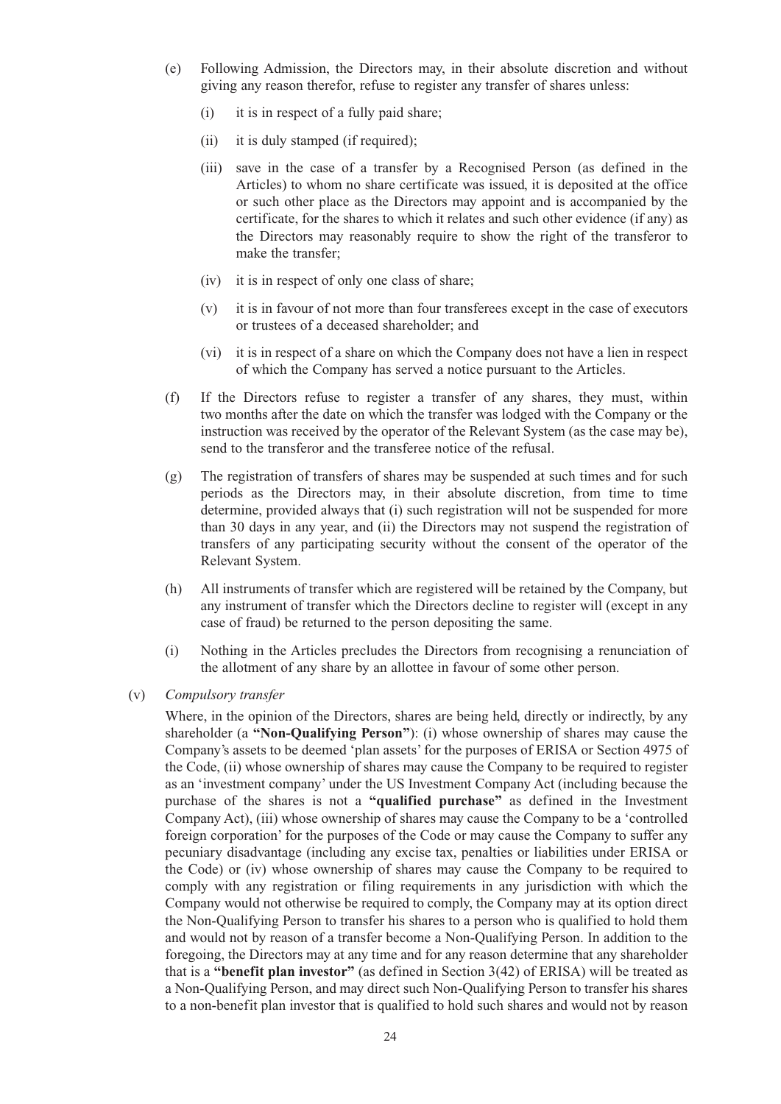- (e) Following Admission, the Directors may, in their absolute discretion and without giving any reason therefor, refuse to register any transfer of shares unless:
	- (i) it is in respect of a fully paid share;
	- (ii) it is duly stamped (if required);
	- (iii) save in the case of a transfer by a Recognised Person (as defined in the Articles) to whom no share certificate was issued, it is deposited at the office or such other place as the Directors may appoint and is accompanied by the certificate, for the shares to which it relates and such other evidence (if any) as the Directors may reasonably require to show the right of the transferor to make the transfer;
	- (iv) it is in respect of only one class of share;
	- (v) it is in favour of not more than four transferees except in the case of executors or trustees of a deceased shareholder; and
	- (vi) it is in respect of a share on which the Company does not have a lien in respect of which the Company has served a notice pursuant to the Articles.
- (f) If the Directors refuse to register a transfer of any shares, they must, within two months after the date on which the transfer was lodged with the Company or the instruction was received by the operator of the Relevant System (as the case may be), send to the transferor and the transferee notice of the refusal.
- (g) The registration of transfers of shares may be suspended at such times and for such periods as the Directors may, in their absolute discretion, from time to time determine, provided always that (i) such registration will not be suspended for more than 30 days in any year, and (ii) the Directors may not suspend the registration of transfers of any participating security without the consent of the operator of the Relevant System.
- (h) All instruments of transfer which are registered will be retained by the Company, but any instrument of transfer which the Directors decline to register will (except in any case of fraud) be returned to the person depositing the same.
- (i) Nothing in the Articles precludes the Directors from recognising a renunciation of the allotment of any share by an allottee in favour of some other person.
- (v) *Compulsory transfer*

Where, in the opinion of the Directors, shares are being held, directly or indirectly, by any shareholder (a **"Non-Qualifying Person"**): (i) whose ownership of shares may cause the Company's assets to be deemed 'plan assets' for the purposes of ERISA or Section 4975 of the Code, (ii) whose ownership of shares may cause the Company to be required to register as an 'investment company' under the US Investment Company Act (including because the purchase of the shares is not a **"qualified purchase"** as defined in the Investment Company Act), (iii) whose ownership of shares may cause the Company to be a 'controlled foreign corporation' for the purposes of the Code or may cause the Company to suffer any pecuniary disadvantage (including any excise tax, penalties or liabilities under ERISA or the Code) or (iv) whose ownership of shares may cause the Company to be required to comply with any registration or filing requirements in any jurisdiction with which the Company would not otherwise be required to comply, the Company may at its option direct the Non-Qualifying Person to transfer his shares to a person who is qualified to hold them and would not by reason of a transfer become a Non-Qualifying Person. In addition to the foregoing, the Directors may at any time and for any reason determine that any shareholder that is a **"benefit plan investor"** (as defined in Section 3(42) of ERISA) will be treated as a Non-Qualifying Person, and may direct such Non-Qualifying Person to transfer his shares to a non-benefit plan investor that is qualified to hold such shares and would not by reason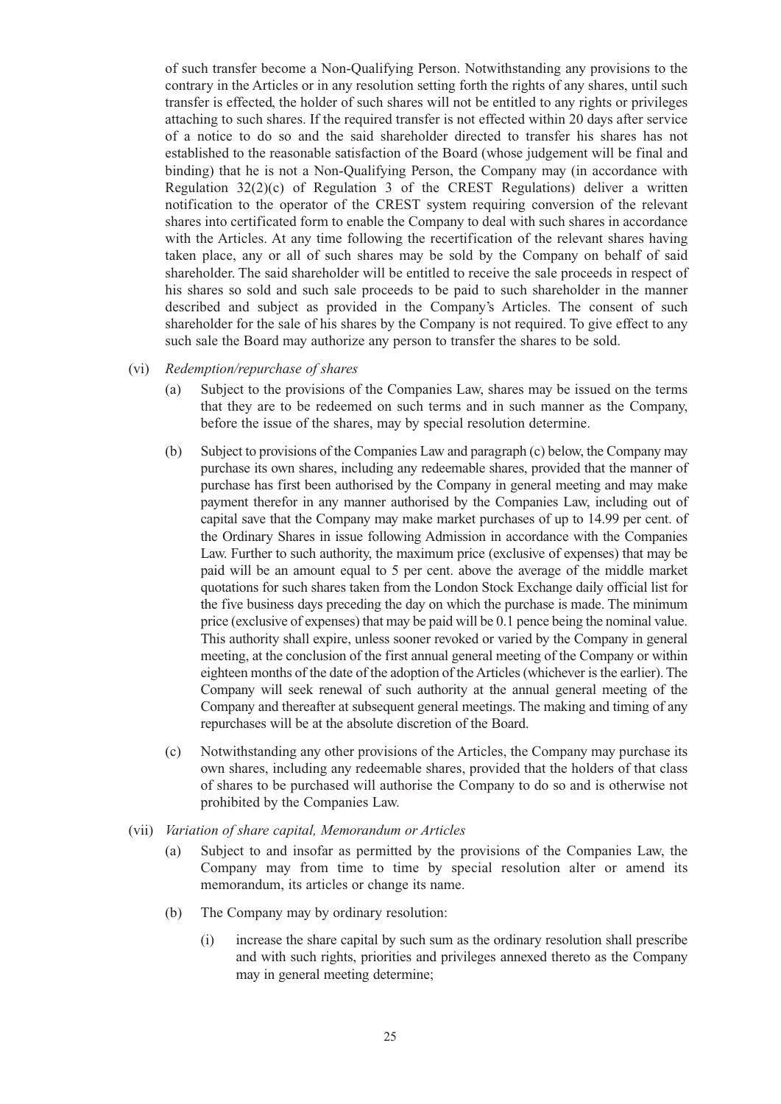of such transfer become a Non-Qualifying Person. Notwithstanding any provisions to the contrary in the Articles or in any resolution setting forth the rights of any shares, until such transfer is effected, the holder of such shares will not be entitled to any rights or privileges attaching to such shares. If the required transfer is not effected within 20 days after service of a notice to do so and the said shareholder directed to transfer his shares has not established to the reasonable satisfaction of the Board (whose judgement will be final and binding) that he is not a Non-Qualifying Person, the Company may (in accordance with Regulation  $32(2)(c)$  of Regulation 3 of the CREST Regulations) deliver a written notification to the operator of the CREST system requiring conversion of the relevant shares into certificated form to enable the Company to deal with such shares in accordance with the Articles. At any time following the recertification of the relevant shares having taken place, any or all of such shares may be sold by the Company on behalf of said shareholder. The said shareholder will be entitled to receive the sale proceeds in respect of his shares so sold and such sale proceeds to be paid to such shareholder in the manner described and subject as provided in the Company's Articles. The consent of such shareholder for the sale of his shares by the Company is not required. To give effect to any such sale the Board may authorize any person to transfer the shares to be sold.

- (vi) *Redemption/repurchase of shares*
	- (a) Subject to the provisions of the Companies Law, shares may be issued on the terms that they are to be redeemed on such terms and in such manner as the Company, before the issue of the shares, may by special resolution determine.
	- (b) Subject to provisions of the Companies Law and paragraph (c) below, the Company may purchase its own shares, including any redeemable shares, provided that the manner of purchase has first been authorised by the Company in general meeting and may make payment therefor in any manner authorised by the Companies Law, including out of capital save that the Company may make market purchases of up to 14.99 per cent. of the Ordinary Shares in issue following Admission in accordance with the Companies Law. Further to such authority, the maximum price (exclusive of expenses) that may be paid will be an amount equal to 5 per cent. above the average of the middle market quotations for such shares taken from the London Stock Exchange daily official list for the five business days preceding the day on which the purchase is made. The minimum price (exclusive of expenses) that may be paid will be 0.1 pence being the nominal value. This authority shall expire, unless sooner revoked or varied by the Company in general meeting, at the conclusion of the first annual general meeting of the Company or within eighteen months of the date of the adoption of the Articles (whichever is the earlier). The Company will seek renewal of such authority at the annual general meeting of the Company and thereafter at subsequent general meetings. The making and timing of any repurchases will be at the absolute discretion of the Board.
	- (c) Notwithstanding any other provisions of the Articles, the Company may purchase its own shares, including any redeemable shares, provided that the holders of that class of shares to be purchased will authorise the Company to do so and is otherwise not prohibited by the Companies Law.
- (vii) *Variation of share capital, Memorandum or Articles*
	- (a) Subject to and insofar as permitted by the provisions of the Companies Law, the Company may from time to time by special resolution alter or amend its memorandum, its articles or change its name.
	- (b) The Company may by ordinary resolution:
		- (i) increase the share capital by such sum as the ordinary resolution shall prescribe and with such rights, priorities and privileges annexed thereto as the Company may in general meeting determine;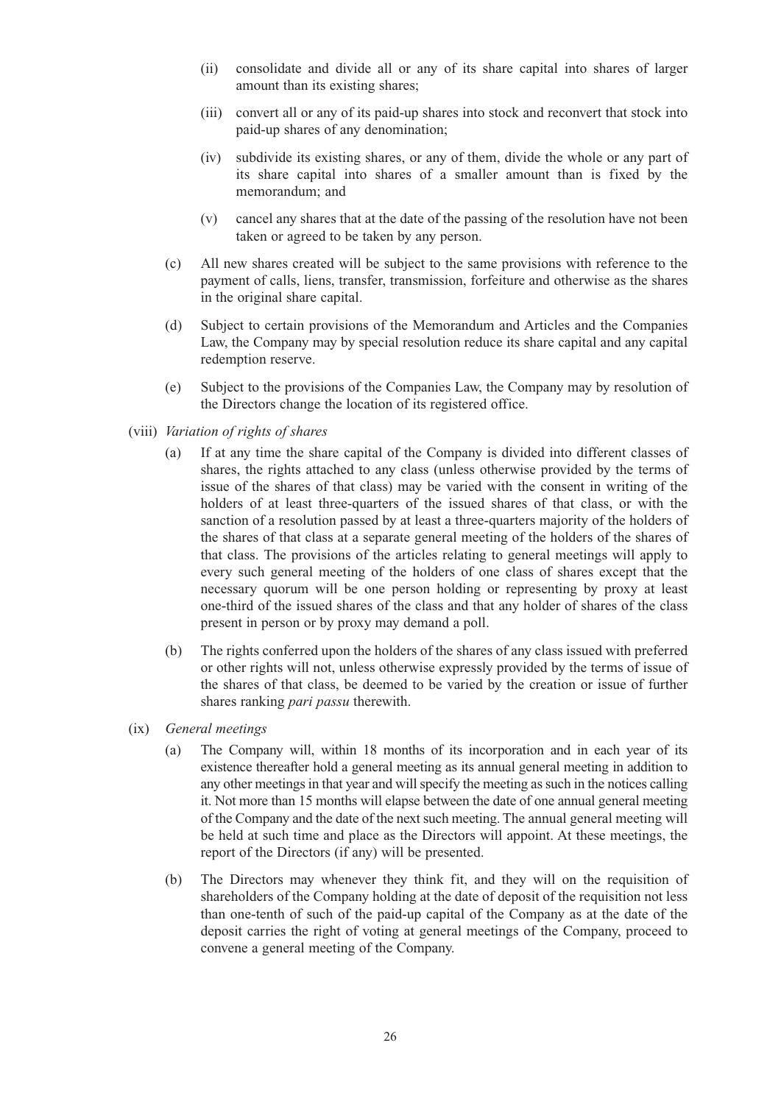- (ii) consolidate and divide all or any of its share capital into shares of larger amount than its existing shares;
- (iii) convert all or any of its paid-up shares into stock and reconvert that stock into paid-up shares of any denomination;
- (iv) subdivide its existing shares, or any of them, divide the whole or any part of its share capital into shares of a smaller amount than is fixed by the memorandum; and
- (v) cancel any shares that at the date of the passing of the resolution have not been taken or agreed to be taken by any person.
- (c) All new shares created will be subject to the same provisions with reference to the payment of calls, liens, transfer, transmission, forfeiture and otherwise as the shares in the original share capital.
- (d) Subject to certain provisions of the Memorandum and Articles and the Companies Law, the Company may by special resolution reduce its share capital and any capital redemption reserve.
- (e) Subject to the provisions of the Companies Law, the Company may by resolution of the Directors change the location of its registered office.
- (viii) *Variation of rights of shares*
	- (a) If at any time the share capital of the Company is divided into different classes of shares, the rights attached to any class (unless otherwise provided by the terms of issue of the shares of that class) may be varied with the consent in writing of the holders of at least three-quarters of the issued shares of that class, or with the sanction of a resolution passed by at least a three-quarters majority of the holders of the shares of that class at a separate general meeting of the holders of the shares of that class. The provisions of the articles relating to general meetings will apply to every such general meeting of the holders of one class of shares except that the necessary quorum will be one person holding or representing by proxy at least one-third of the issued shares of the class and that any holder of shares of the class present in person or by proxy may demand a poll.
	- (b) The rights conferred upon the holders of the shares of any class issued with preferred or other rights will not, unless otherwise expressly provided by the terms of issue of the shares of that class, be deemed to be varied by the creation or issue of further shares ranking *pari passu* therewith.
- (ix) *General meetings*
	- (a) The Company will, within 18 months of its incorporation and in each year of its existence thereafter hold a general meeting as its annual general meeting in addition to any other meetings in that year and will specify the meeting as such in the notices calling it. Not more than 15 months will elapse between the date of one annual general meeting of the Company and the date of the next such meeting. The annual general meeting will be held at such time and place as the Directors will appoint. At these meetings, the report of the Directors (if any) will be presented.
	- (b) The Directors may whenever they think fit, and they will on the requisition of shareholders of the Company holding at the date of deposit of the requisition not less than one-tenth of such of the paid-up capital of the Company as at the date of the deposit carries the right of voting at general meetings of the Company, proceed to convene a general meeting of the Company.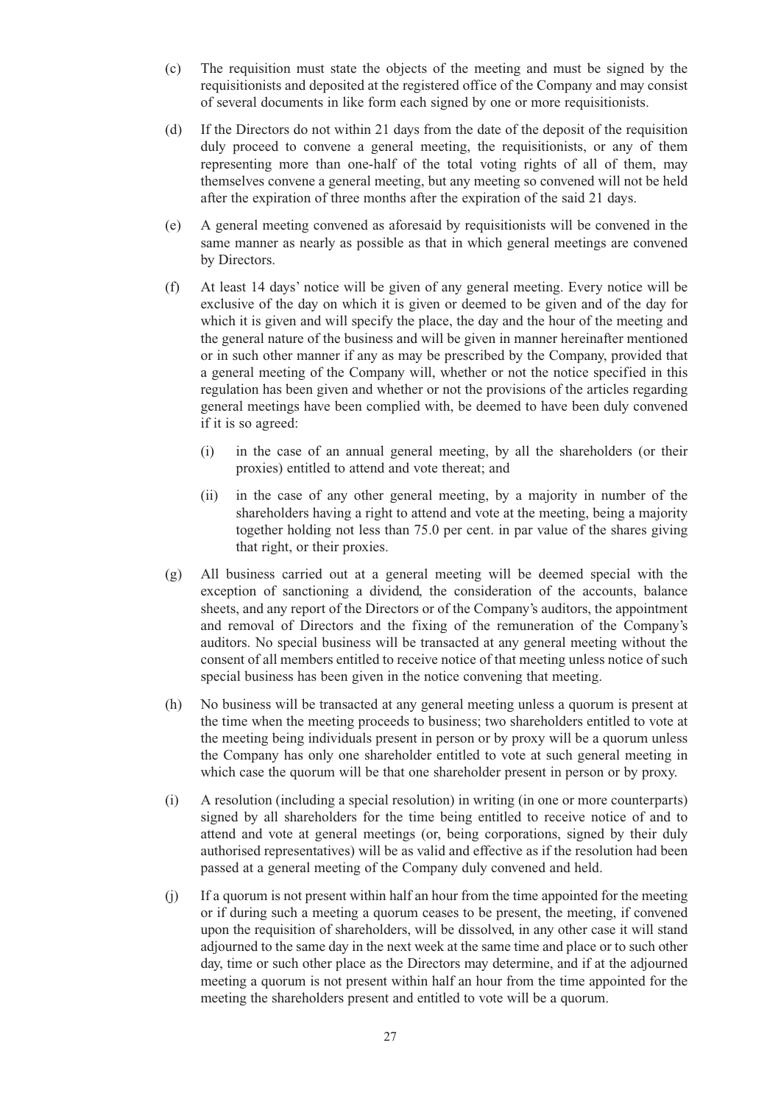- (c) The requisition must state the objects of the meeting and must be signed by the requisitionists and deposited at the registered office of the Company and may consist of several documents in like form each signed by one or more requisitionists.
- (d) If the Directors do not within 21 days from the date of the deposit of the requisition duly proceed to convene a general meeting, the requisitionists, or any of them representing more than one-half of the total voting rights of all of them, may themselves convene a general meeting, but any meeting so convened will not be held after the expiration of three months after the expiration of the said 21 days.
- (e) A general meeting convened as aforesaid by requisitionists will be convened in the same manner as nearly as possible as that in which general meetings are convened by Directors.
- (f) At least 14 days' notice will be given of any general meeting. Every notice will be exclusive of the day on which it is given or deemed to be given and of the day for which it is given and will specify the place, the day and the hour of the meeting and the general nature of the business and will be given in manner hereinafter mentioned or in such other manner if any as may be prescribed by the Company, provided that a general meeting of the Company will, whether or not the notice specified in this regulation has been given and whether or not the provisions of the articles regarding general meetings have been complied with, be deemed to have been duly convened if it is so agreed:
	- (i) in the case of an annual general meeting, by all the shareholders (or their proxies) entitled to attend and vote thereat; and
	- (ii) in the case of any other general meeting, by a majority in number of the shareholders having a right to attend and vote at the meeting, being a majority together holding not less than 75.0 per cent. in par value of the shares giving that right, or their proxies.
- (g) All business carried out at a general meeting will be deemed special with the exception of sanctioning a dividend, the consideration of the accounts, balance sheets, and any report of the Directors or of the Company's auditors, the appointment and removal of Directors and the fixing of the remuneration of the Company's auditors. No special business will be transacted at any general meeting without the consent of all members entitled to receive notice of that meeting unless notice of such special business has been given in the notice convening that meeting.
- (h) No business will be transacted at any general meeting unless a quorum is present at the time when the meeting proceeds to business; two shareholders entitled to vote at the meeting being individuals present in person or by proxy will be a quorum unless the Company has only one shareholder entitled to vote at such general meeting in which case the quorum will be that one shareholder present in person or by proxy.
- (i) A resolution (including a special resolution) in writing (in one or more counterparts) signed by all shareholders for the time being entitled to receive notice of and to attend and vote at general meetings (or, being corporations, signed by their duly authorised representatives) will be as valid and effective as if the resolution had been passed at a general meeting of the Company duly convened and held.
- (j) If a quorum is not present within half an hour from the time appointed for the meeting or if during such a meeting a quorum ceases to be present, the meeting, if convened upon the requisition of shareholders, will be dissolved, in any other case it will stand adjourned to the same day in the next week at the same time and place or to such other day, time or such other place as the Directors may determine, and if at the adjourned meeting a quorum is not present within half an hour from the time appointed for the meeting the shareholders present and entitled to vote will be a quorum.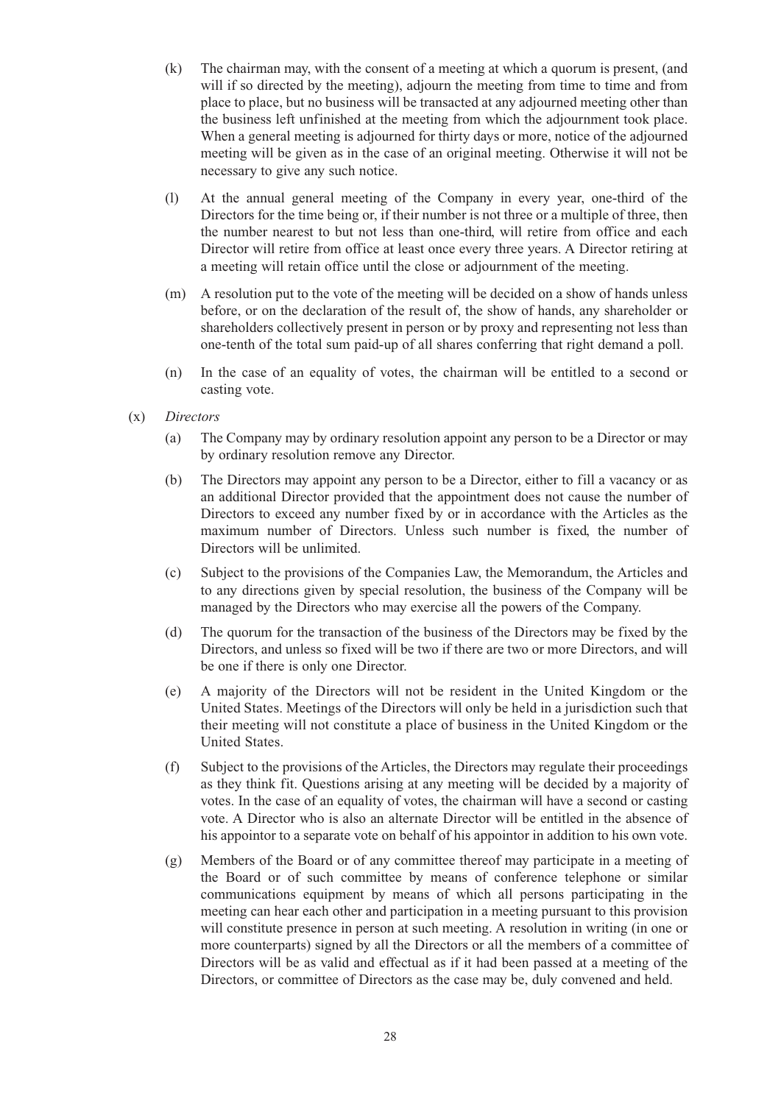- (k) The chairman may, with the consent of a meeting at which a quorum is present, (and will if so directed by the meeting), adjourn the meeting from time to time and from place to place, but no business will be transacted at any adjourned meeting other than the business left unfinished at the meeting from which the adjournment took place. When a general meeting is adjourned for thirty days or more, notice of the adjourned meeting will be given as in the case of an original meeting. Otherwise it will not be necessary to give any such notice.
- (l) At the annual general meeting of the Company in every year, one-third of the Directors for the time being or, if their number is not three or a multiple of three, then the number nearest to but not less than one-third, will retire from office and each Director will retire from office at least once every three years. A Director retiring at a meeting will retain office until the close or adjournment of the meeting.
- (m) A resolution put to the vote of the meeting will be decided on a show of hands unless before, or on the declaration of the result of, the show of hands, any shareholder or shareholders collectively present in person or by proxy and representing not less than one-tenth of the total sum paid-up of all shares conferring that right demand a poll.
- (n) In the case of an equality of votes, the chairman will be entitled to a second or casting vote.
- (x) *Directors*
	- (a) The Company may by ordinary resolution appoint any person to be a Director or may by ordinary resolution remove any Director.
	- (b) The Directors may appoint any person to be a Director, either to fill a vacancy or as an additional Director provided that the appointment does not cause the number of Directors to exceed any number fixed by or in accordance with the Articles as the maximum number of Directors. Unless such number is fixed, the number of Directors will be unlimited.
	- (c) Subject to the provisions of the Companies Law, the Memorandum, the Articles and to any directions given by special resolution, the business of the Company will be managed by the Directors who may exercise all the powers of the Company.
	- (d) The quorum for the transaction of the business of the Directors may be fixed by the Directors, and unless so fixed will be two if there are two or more Directors, and will be one if there is only one Director.
	- (e) A majority of the Directors will not be resident in the United Kingdom or the United States. Meetings of the Directors will only be held in a jurisdiction such that their meeting will not constitute a place of business in the United Kingdom or the United States.
	- (f) Subject to the provisions of the Articles, the Directors may regulate their proceedings as they think fit. Questions arising at any meeting will be decided by a majority of votes. In the case of an equality of votes, the chairman will have a second or casting vote. A Director who is also an alternate Director will be entitled in the absence of his appointor to a separate vote on behalf of his appointor in addition to his own vote.
	- (g) Members of the Board or of any committee thereof may participate in a meeting of the Board or of such committee by means of conference telephone or similar communications equipment by means of which all persons participating in the meeting can hear each other and participation in a meeting pursuant to this provision will constitute presence in person at such meeting. A resolution in writing (in one or more counterparts) signed by all the Directors or all the members of a committee of Directors will be as valid and effectual as if it had been passed at a meeting of the Directors, or committee of Directors as the case may be, duly convened and held.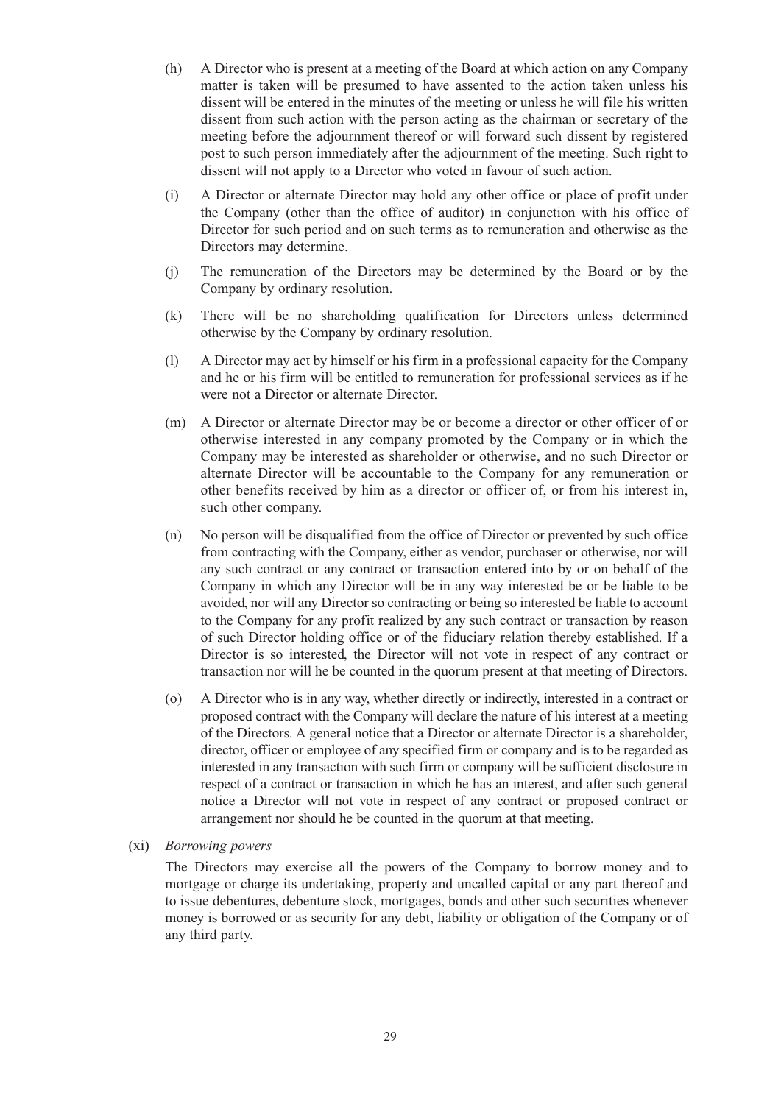- (h) A Director who is present at a meeting of the Board at which action on any Company matter is taken will be presumed to have assented to the action taken unless his dissent will be entered in the minutes of the meeting or unless he will file his written dissent from such action with the person acting as the chairman or secretary of the meeting before the adjournment thereof or will forward such dissent by registered post to such person immediately after the adjournment of the meeting. Such right to dissent will not apply to a Director who voted in favour of such action.
- (i) A Director or alternate Director may hold any other office or place of profit under the Company (other than the office of auditor) in conjunction with his office of Director for such period and on such terms as to remuneration and otherwise as the Directors may determine.
- (j) The remuneration of the Directors may be determined by the Board or by the Company by ordinary resolution.
- (k) There will be no shareholding qualification for Directors unless determined otherwise by the Company by ordinary resolution.
- (l) A Director may act by himself or his firm in a professional capacity for the Company and he or his firm will be entitled to remuneration for professional services as if he were not a Director or alternate Director.
- (m) A Director or alternate Director may be or become a director or other officer of or otherwise interested in any company promoted by the Company or in which the Company may be interested as shareholder or otherwise, and no such Director or alternate Director will be accountable to the Company for any remuneration or other benefits received by him as a director or officer of, or from his interest in, such other company.
- (n) No person will be disqualified from the office of Director or prevented by such office from contracting with the Company, either as vendor, purchaser or otherwise, nor will any such contract or any contract or transaction entered into by or on behalf of the Company in which any Director will be in any way interested be or be liable to be avoided, nor will any Director so contracting or being so interested be liable to account to the Company for any profit realized by any such contract or transaction by reason of such Director holding office or of the fiduciary relation thereby established. If a Director is so interested, the Director will not vote in respect of any contract or transaction nor will he be counted in the quorum present at that meeting of Directors.
- (o) A Director who is in any way, whether directly or indirectly, interested in a contract or proposed contract with the Company will declare the nature of his interest at a meeting of the Directors. A general notice that a Director or alternate Director is a shareholder, director, officer or employee of any specified firm or company and is to be regarded as interested in any transaction with such firm or company will be sufficient disclosure in respect of a contract or transaction in which he has an interest, and after such general notice a Director will not vote in respect of any contract or proposed contract or arrangement nor should he be counted in the quorum at that meeting.

#### (xi) *Borrowing powers*

The Directors may exercise all the powers of the Company to borrow money and to mortgage or charge its undertaking, property and uncalled capital or any part thereof and to issue debentures, debenture stock, mortgages, bonds and other such securities whenever money is borrowed or as security for any debt, liability or obligation of the Company or of any third party.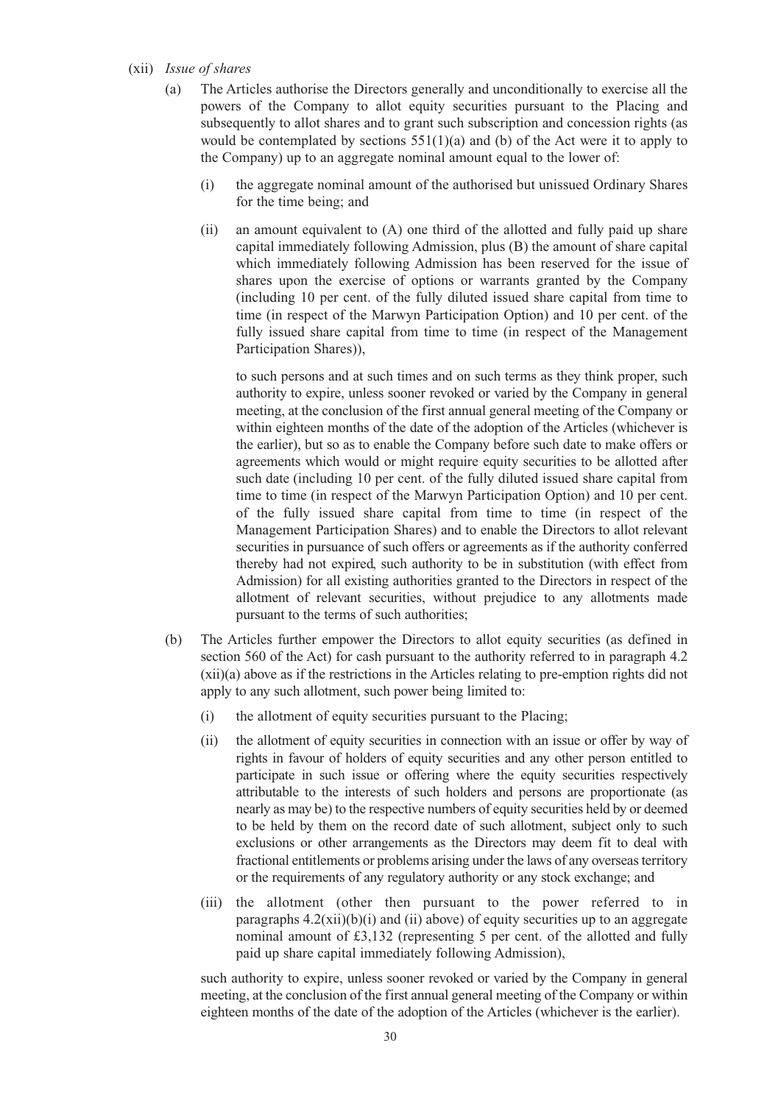#### (xii) *Issue of shares*

- (a) The Articles authorise the Directors generally and unconditionally to exercise all the powers of the Company to allot equity securities pursuant to the Placing and subsequently to allot shares and to grant such subscription and concession rights (as would be contemplated by sections  $551(1)(a)$  and (b) of the Act were it to apply to the Company) up to an aggregate nominal amount equal to the lower of:
	- (i) the aggregate nominal amount of the authorised but unissued Ordinary Shares for the time being; and
	- (ii) an amount equivalent to (A) one third of the allotted and fully paid up share capital immediately following Admission, plus (B) the amount of share capital which immediately following Admission has been reserved for the issue of shares upon the exercise of options or warrants granted by the Company (including 10 per cent. of the fully diluted issued share capital from time to time (in respect of the Marwyn Participation Option) and 10 per cent. of the fully issued share capital from time to time (in respect of the Management Participation Shares)),

to such persons and at such times and on such terms as they think proper, such authority to expire, unless sooner revoked or varied by the Company in general meeting, at the conclusion of the first annual general meeting of the Company or within eighteen months of the date of the adoption of the Articles (whichever is the earlier), but so as to enable the Company before such date to make offers or agreements which would or might require equity securities to be allotted after such date (including 10 per cent. of the fully diluted issued share capital from time to time (in respect of the Marwyn Participation Option) and 10 per cent. of the fully issued share capital from time to time (in respect of the Management Participation Shares) and to enable the Directors to allot relevant securities in pursuance of such offers or agreements as if the authority conferred thereby had not expired, such authority to be in substitution (with effect from Admission) for all existing authorities granted to the Directors in respect of the allotment of relevant securities, without prejudice to any allotments made pursuant to the terms of such authorities;

- (b) The Articles further empower the Directors to allot equity securities (as defined in section 560 of the Act) for cash pursuant to the authority referred to in paragraph 4.2 (xii)(a) above as if the restrictions in the Articles relating to pre-emption rights did not apply to any such allotment, such power being limited to:
	- (i) the allotment of equity securities pursuant to the Placing;
	- (ii) the allotment of equity securities in connection with an issue or offer by way of rights in favour of holders of equity securities and any other person entitled to participate in such issue or offering where the equity securities respectively attributable to the interests of such holders and persons are proportionate (as nearly as may be) to the respective numbers of equity securities held by or deemed to be held by them on the record date of such allotment, subject only to such exclusions or other arrangements as the Directors may deem fit to deal with fractional entitlements or problems arising under the laws of any overseas territory or the requirements of any regulatory authority or any stock exchange; and
	- (iii) the allotment (other then pursuant to the power referred to in paragraphs  $4.2(xii)(b)(i)$  and (ii) above) of equity securities up to an aggregate nominal amount of £3,132 (representing 5 per cent. of the allotted and fully paid up share capital immediately following Admission),

such authority to expire, unless sooner revoked or varied by the Company in general meeting, at the conclusion of the first annual general meeting of the Company or within eighteen months of the date of the adoption of the Articles (whichever is the earlier).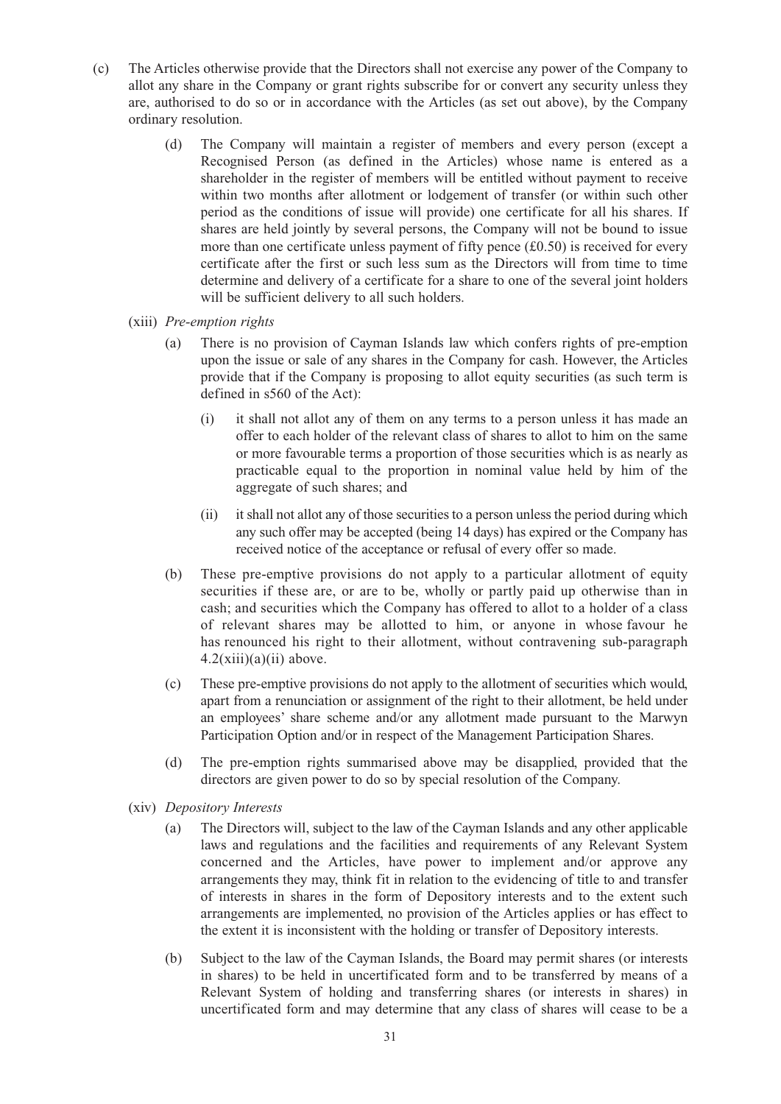- (c) The Articles otherwise provide that the Directors shall not exercise any power of the Company to allot any share in the Company or grant rights subscribe for or convert any security unless they are, authorised to do so or in accordance with the Articles (as set out above), by the Company ordinary resolution.
	- (d) The Company will maintain a register of members and every person (except a Recognised Person (as defined in the Articles) whose name is entered as a shareholder in the register of members will be entitled without payment to receive within two months after allotment or lodgement of transfer (or within such other period as the conditions of issue will provide) one certificate for all his shares. If shares are held jointly by several persons, the Company will not be bound to issue more than one certificate unless payment of fifty pence  $(\text{\pounds}0.50)$  is received for every certificate after the first or such less sum as the Directors will from time to time determine and delivery of a certificate for a share to one of the several joint holders will be sufficient delivery to all such holders.
	- (xiii) *Pre-emption rights*
		- (a) There is no provision of Cayman Islands law which confers rights of pre-emption upon the issue or sale of any shares in the Company for cash. However, the Articles provide that if the Company is proposing to allot equity securities (as such term is defined in s560 of the Act):
			- (i) it shall not allot any of them on any terms to a person unless it has made an offer to each holder of the relevant class of shares to allot to him on the same or more favourable terms a proportion of those securities which is as nearly as practicable equal to the proportion in nominal value held by him of the aggregate of such shares; and
			- (ii) it shall not allot any of those securities to a person unless the period during which any such offer may be accepted (being 14 days) has expired or the Company has received notice of the acceptance or refusal of every offer so made.
		- (b) These pre-emptive provisions do not apply to a particular allotment of equity securities if these are, or are to be, wholly or partly paid up otherwise than in cash; and securities which the Company has offered to allot to a holder of a class of relevant shares may be allotted to him, or anyone in whose favour he has renounced his right to their allotment, without contravening sub-paragraph  $4.2(xiii)(a)(ii)$  above.
		- (c) These pre-emptive provisions do not apply to the allotment of securities which would, apart from a renunciation or assignment of the right to their allotment, be held under an employees' share scheme and/or any allotment made pursuant to the Marwyn Participation Option and/or in respect of the Management Participation Shares.
		- (d) The pre-emption rights summarised above may be disapplied, provided that the directors are given power to do so by special resolution of the Company.
	- (xiv) *Depository Interests*
		- (a) The Directors will, subject to the law of the Cayman Islands and any other applicable laws and regulations and the facilities and requirements of any Relevant System concerned and the Articles, have power to implement and/or approve any arrangements they may, think fit in relation to the evidencing of title to and transfer of interests in shares in the form of Depository interests and to the extent such arrangements are implemented, no provision of the Articles applies or has effect to the extent it is inconsistent with the holding or transfer of Depository interests.
		- (b) Subject to the law of the Cayman Islands, the Board may permit shares (or interests in shares) to be held in uncertificated form and to be transferred by means of a Relevant System of holding and transferring shares (or interests in shares) in uncertificated form and may determine that any class of shares will cease to be a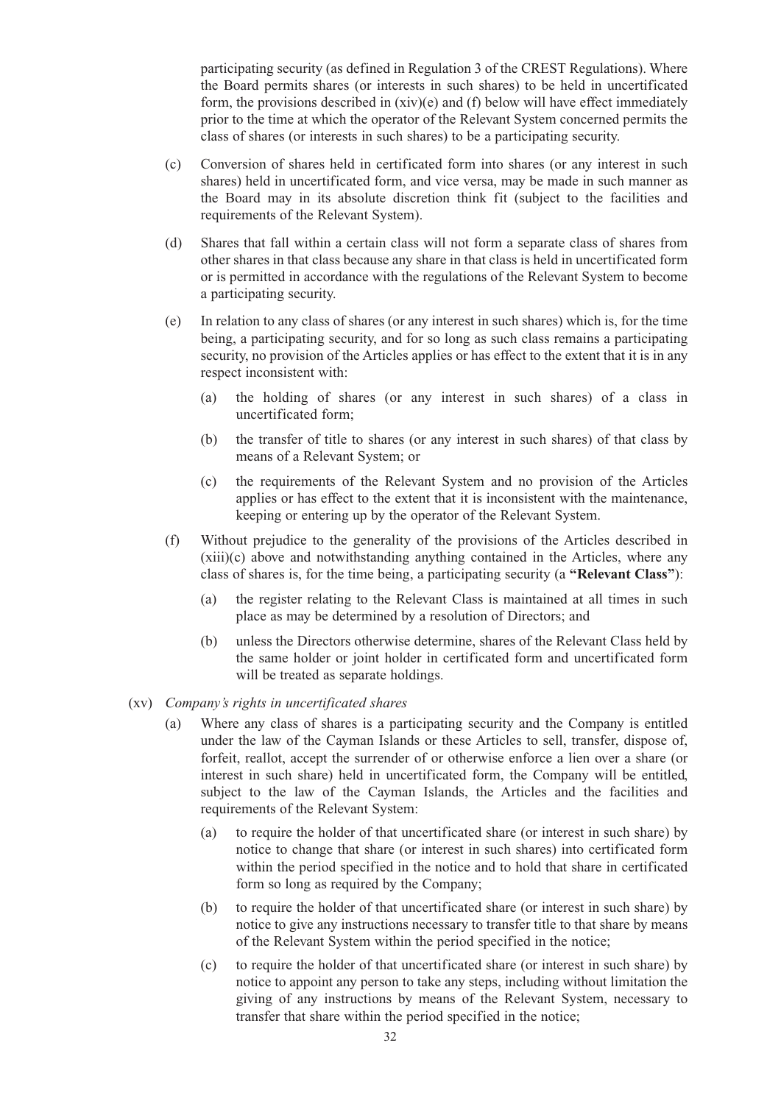participating security (as defined in Regulation 3 of the CREST Regulations). Where the Board permits shares (or interests in such shares) to be held in uncertificated form, the provisions described in (xiv)(e) and (f) below will have effect immediately prior to the time at which the operator of the Relevant System concerned permits the class of shares (or interests in such shares) to be a participating security.

- (c) Conversion of shares held in certificated form into shares (or any interest in such shares) held in uncertificated form, and vice versa, may be made in such manner as the Board may in its absolute discretion think fit (subject to the facilities and requirements of the Relevant System).
- (d) Shares that fall within a certain class will not form a separate class of shares from other shares in that class because any share in that class is held in uncertificated form or is permitted in accordance with the regulations of the Relevant System to become a participating security.
- (e) In relation to any class of shares (or any interest in such shares) which is, for the time being, a participating security, and for so long as such class remains a participating security, no provision of the Articles applies or has effect to the extent that it is in any respect inconsistent with:
	- (a) the holding of shares (or any interest in such shares) of a class in uncertificated form;
	- (b) the transfer of title to shares (or any interest in such shares) of that class by means of a Relevant System; or
	- (c) the requirements of the Relevant System and no provision of the Articles applies or has effect to the extent that it is inconsistent with the maintenance, keeping or entering up by the operator of the Relevant System.
- (f) Without prejudice to the generality of the provisions of the Articles described in (xiii)(c) above and notwithstanding anything contained in the Articles, where any class of shares is, for the time being, a participating security (a **"Relevant Class"**):
	- (a) the register relating to the Relevant Class is maintained at all times in such place as may be determined by a resolution of Directors; and
	- (b) unless the Directors otherwise determine, shares of the Relevant Class held by the same holder or joint holder in certificated form and uncertificated form will be treated as separate holdings.
- (xv) *Company's rights in uncertificated shares*
	- (a) Where any class of shares is a participating security and the Company is entitled under the law of the Cayman Islands or these Articles to sell, transfer, dispose of, forfeit, reallot, accept the surrender of or otherwise enforce a lien over a share (or interest in such share) held in uncertificated form, the Company will be entitled, subject to the law of the Cayman Islands, the Articles and the facilities and requirements of the Relevant System:
		- (a) to require the holder of that uncertificated share (or interest in such share) by notice to change that share (or interest in such shares) into certificated form within the period specified in the notice and to hold that share in certificated form so long as required by the Company;
		- (b) to require the holder of that uncertificated share (or interest in such share) by notice to give any instructions necessary to transfer title to that share by means of the Relevant System within the period specified in the notice;
		- (c) to require the holder of that uncertificated share (or interest in such share) by notice to appoint any person to take any steps, including without limitation the giving of any instructions by means of the Relevant System, necessary to transfer that share within the period specified in the notice;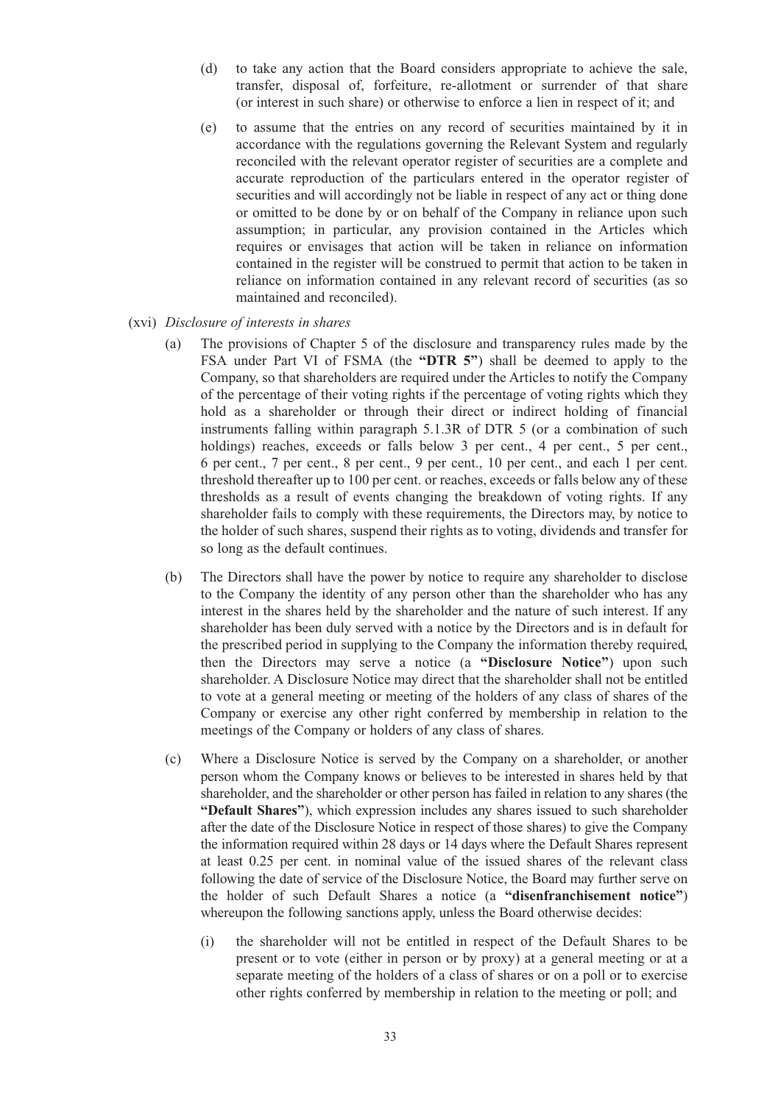- (d) to take any action that the Board considers appropriate to achieve the sale, transfer, disposal of, forfeiture, re-allotment or surrender of that share (or interest in such share) or otherwise to enforce a lien in respect of it; and
- (e) to assume that the entries on any record of securities maintained by it in accordance with the regulations governing the Relevant System and regularly reconciled with the relevant operator register of securities are a complete and accurate reproduction of the particulars entered in the operator register of securities and will accordingly not be liable in respect of any act or thing done or omitted to be done by or on behalf of the Company in reliance upon such assumption; in particular, any provision contained in the Articles which requires or envisages that action will be taken in reliance on information contained in the register will be construed to permit that action to be taken in reliance on information contained in any relevant record of securities (as so maintained and reconciled).
- (xvi) *Disclosure of interests in shares*
	- (a) The provisions of Chapter 5 of the disclosure and transparency rules made by the FSA under Part VI of FSMA (the **"DTR 5"**) shall be deemed to apply to the Company, so that shareholders are required under the Articles to notify the Company of the percentage of their voting rights if the percentage of voting rights which they hold as a shareholder or through their direct or indirect holding of financial instruments falling within paragraph 5.1.3R of DTR 5 (or a combination of such holdings) reaches, exceeds or falls below 3 per cent., 4 per cent., 5 per cent., 6 per cent., 7 per cent., 8 per cent., 9 per cent., 10 per cent., and each 1 per cent. threshold thereafter up to 100 per cent. or reaches, exceeds or falls below any of these thresholds as a result of events changing the breakdown of voting rights. If any shareholder fails to comply with these requirements, the Directors may, by notice to the holder of such shares, suspend their rights as to voting, dividends and transfer for so long as the default continues.
	- (b) The Directors shall have the power by notice to require any shareholder to disclose to the Company the identity of any person other than the shareholder who has any interest in the shares held by the shareholder and the nature of such interest. If any shareholder has been duly served with a notice by the Directors and is in default for the prescribed period in supplying to the Company the information thereby required, then the Directors may serve a notice (a **"Disclosure Notice"**) upon such shareholder. A Disclosure Notice may direct that the shareholder shall not be entitled to vote at a general meeting or meeting of the holders of any class of shares of the Company or exercise any other right conferred by membership in relation to the meetings of the Company or holders of any class of shares.
	- (c) Where a Disclosure Notice is served by the Company on a shareholder, or another person whom the Company knows or believes to be interested in shares held by that shareholder, and the shareholder or other person has failed in relation to any shares (the **"Default Shares"**), which expression includes any shares issued to such shareholder after the date of the Disclosure Notice in respect of those shares) to give the Company the information required within 28 days or 14 days where the Default Shares represent at least 0.25 per cent. in nominal value of the issued shares of the relevant class following the date of service of the Disclosure Notice, the Board may further serve on the holder of such Default Shares a notice (a **"disenfranchisement notice"**) whereupon the following sanctions apply, unless the Board otherwise decides:
		- (i) the shareholder will not be entitled in respect of the Default Shares to be present or to vote (either in person or by proxy) at a general meeting or at a separate meeting of the holders of a class of shares or on a poll or to exercise other rights conferred by membership in relation to the meeting or poll; and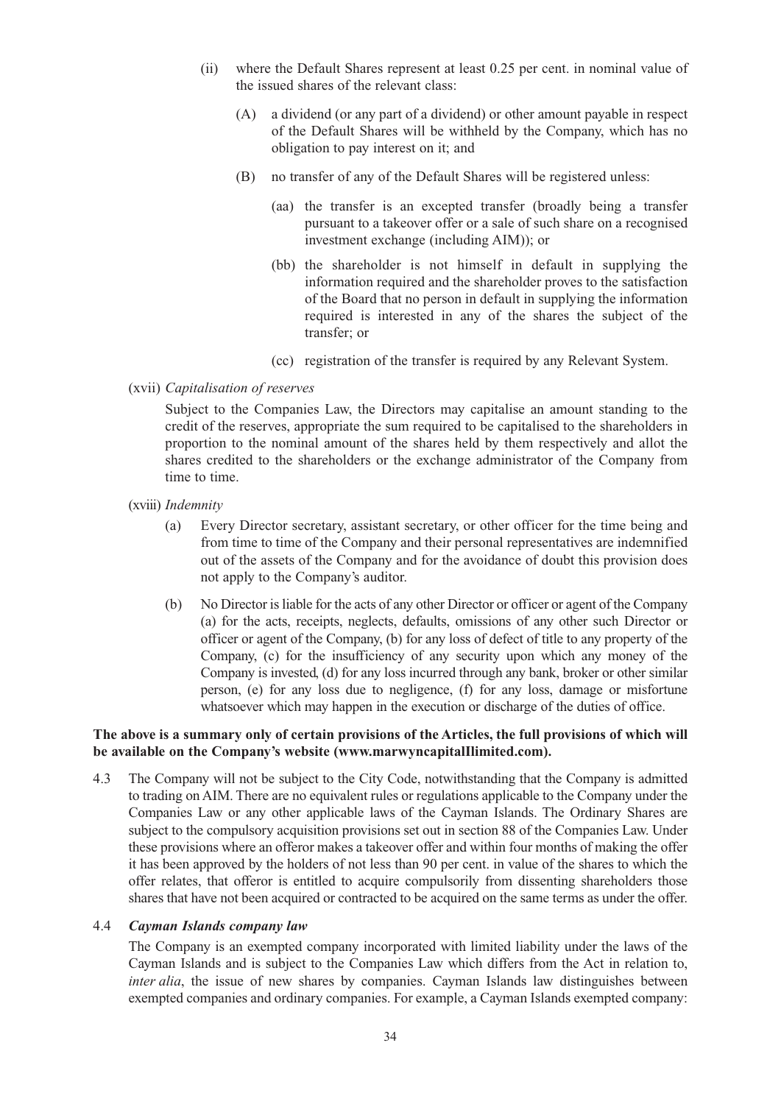- (ii) where the Default Shares represent at least 0.25 per cent. in nominal value of the issued shares of the relevant class:
	- (A) a dividend (or any part of a dividend) or other amount payable in respect of the Default Shares will be withheld by the Company, which has no obligation to pay interest on it; and
	- (B) no transfer of any of the Default Shares will be registered unless:
		- (aa) the transfer is an excepted transfer (broadly being a transfer pursuant to a takeover offer or a sale of such share on a recognised investment exchange (including AIM)); or
		- (bb) the shareholder is not himself in default in supplying the information required and the shareholder proves to the satisfaction of the Board that no person in default in supplying the information required is interested in any of the shares the subject of the transfer; or
		- (cc) registration of the transfer is required by any Relevant System.
- (xvii) *Capitalisation of reserves*

Subject to the Companies Law, the Directors may capitalise an amount standing to the credit of the reserves, appropriate the sum required to be capitalised to the shareholders in proportion to the nominal amount of the shares held by them respectively and allot the shares credited to the shareholders or the exchange administrator of the Company from time to time.

- (xviii) *Indemnity*
	- (a) Every Director secretary, assistant secretary, or other officer for the time being and from time to time of the Company and their personal representatives are indemnified out of the assets of the Company and for the avoidance of doubt this provision does not apply to the Company's auditor.
	- (b) No Director is liable for the acts of any other Director or officer or agent of the Company (a) for the acts, receipts, neglects, defaults, omissions of any other such Director or officer or agent of the Company, (b) for any loss of defect of title to any property of the Company, (c) for the insufficiency of any security upon which any money of the Company is invested, (d) for any loss incurred through any bank, broker or other similar person, (e) for any loss due to negligence, (f) for any loss, damage or misfortune whatsoever which may happen in the execution or discharge of the duties of office.

#### **The above is a summary only of certain provisions of the Articles, the full provisions of which will be available on the Company's website (www.marwyncapitalIlimited.com).**

4.3 The Company will not be subject to the City Code, notwithstanding that the Company is admitted to trading on AIM. There are no equivalent rules or regulations applicable to the Company under the Companies Law or any other applicable laws of the Cayman Islands. The Ordinary Shares are subject to the compulsory acquisition provisions set out in section 88 of the Companies Law. Under these provisions where an offeror makes a takeover offer and within four months of making the offer it has been approved by the holders of not less than 90 per cent. in value of the shares to which the offer relates, that offeror is entitled to acquire compulsorily from dissenting shareholders those shares that have not been acquired or contracted to be acquired on the same terms as under the offer.

#### 4.4 *Cayman Islands company law*

The Company is an exempted company incorporated with limited liability under the laws of the Cayman Islands and is subject to the Companies Law which differs from the Act in relation to, *inter alia*, the issue of new shares by companies. Cayman Islands law distinguishes between exempted companies and ordinary companies. For example, a Cayman Islands exempted company: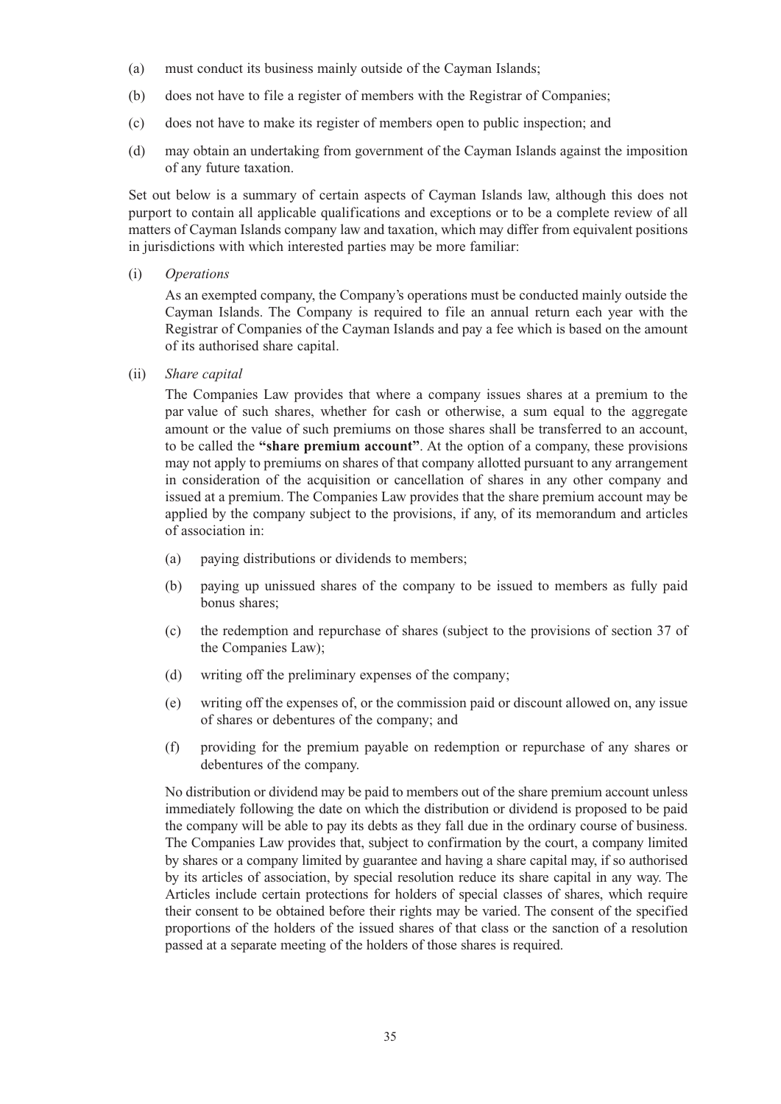- (a) must conduct its business mainly outside of the Cayman Islands;
- (b) does not have to file a register of members with the Registrar of Companies;
- (c) does not have to make its register of members open to public inspection; and
- (d) may obtain an undertaking from government of the Cayman Islands against the imposition of any future taxation.

Set out below is a summary of certain aspects of Cayman Islands law, although this does not purport to contain all applicable qualifications and exceptions or to be a complete review of all matters of Cayman Islands company law and taxation, which may differ from equivalent positions in jurisdictions with which interested parties may be more familiar:

(i) *Operations*

As an exempted company, the Company's operations must be conducted mainly outside the Cayman Islands. The Company is required to file an annual return each year with the Registrar of Companies of the Cayman Islands and pay a fee which is based on the amount of its authorised share capital.

(ii) *Share capital*

The Companies Law provides that where a company issues shares at a premium to the par value of such shares, whether for cash or otherwise, a sum equal to the aggregate amount or the value of such premiums on those shares shall be transferred to an account, to be called the **"share premium account"**. At the option of a company, these provisions may not apply to premiums on shares of that company allotted pursuant to any arrangement in consideration of the acquisition or cancellation of shares in any other company and issued at a premium. The Companies Law provides that the share premium account may be applied by the company subject to the provisions, if any, of its memorandum and articles of association in:

- (a) paying distributions or dividends to members;
- (b) paying up unissued shares of the company to be issued to members as fully paid bonus shares;
- (c) the redemption and repurchase of shares (subject to the provisions of section 37 of the Companies Law);
- (d) writing off the preliminary expenses of the company;
- (e) writing off the expenses of, or the commission paid or discount allowed on, any issue of shares or debentures of the company; and
- (f) providing for the premium payable on redemption or repurchase of any shares or debentures of the company.

No distribution or dividend may be paid to members out of the share premium account unless immediately following the date on which the distribution or dividend is proposed to be paid the company will be able to pay its debts as they fall due in the ordinary course of business. The Companies Law provides that, subject to confirmation by the court, a company limited by shares or a company limited by guarantee and having a share capital may, if so authorised by its articles of association, by special resolution reduce its share capital in any way. The Articles include certain protections for holders of special classes of shares, which require their consent to be obtained before their rights may be varied. The consent of the specified proportions of the holders of the issued shares of that class or the sanction of a resolution passed at a separate meeting of the holders of those shares is required.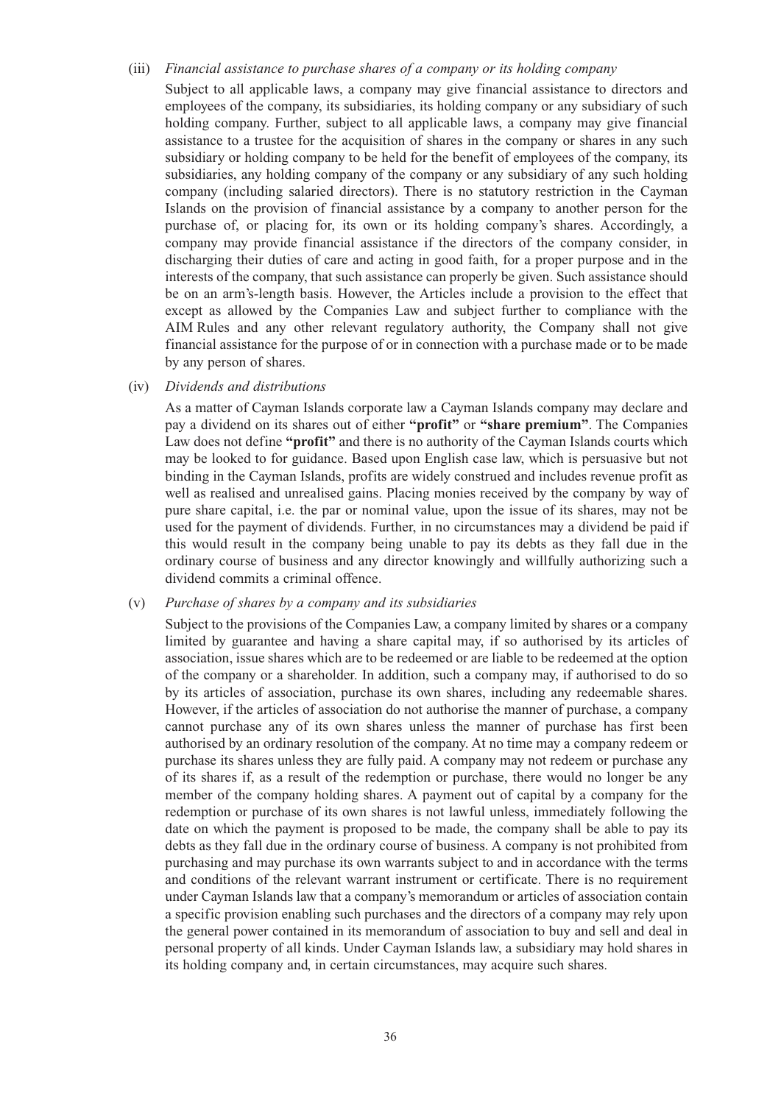#### (iii) *Financial assistance to purchase shares of a company or its holding company*

Subject to all applicable laws, a company may give financial assistance to directors and employees of the company, its subsidiaries, its holding company or any subsidiary of such holding company. Further, subject to all applicable laws, a company may give financial assistance to a trustee for the acquisition of shares in the company or shares in any such subsidiary or holding company to be held for the benefit of employees of the company, its subsidiaries, any holding company of the company or any subsidiary of any such holding company (including salaried directors). There is no statutory restriction in the Cayman Islands on the provision of financial assistance by a company to another person for the purchase of, or placing for, its own or its holding company's shares. Accordingly, a company may provide financial assistance if the directors of the company consider, in discharging their duties of care and acting in good faith, for a proper purpose and in the interests of the company, that such assistance can properly be given. Such assistance should be on an arm's-length basis. However, the Articles include a provision to the effect that except as allowed by the Companies Law and subject further to compliance with the AIM Rules and any other relevant regulatory authority, the Company shall not give financial assistance for the purpose of or in connection with a purchase made or to be made by any person of shares.

#### (iv) *Dividends and distributions*

As a matter of Cayman Islands corporate law a Cayman Islands company may declare and pay a dividend on its shares out of either **"profit"** or **"share premium"**. The Companies Law does not define **"profit"** and there is no authority of the Cayman Islands courts which may be looked to for guidance. Based upon English case law, which is persuasive but not binding in the Cayman Islands, profits are widely construed and includes revenue profit as well as realised and unrealised gains. Placing monies received by the company by way of pure share capital, i.e. the par or nominal value, upon the issue of its shares, may not be used for the payment of dividends. Further, in no circumstances may a dividend be paid if this would result in the company being unable to pay its debts as they fall due in the ordinary course of business and any director knowingly and willfully authorizing such a dividend commits a criminal offence.

#### (v) *Purchase of shares by a company and its subsidiaries*

Subject to the provisions of the Companies Law, a company limited by shares or a company limited by guarantee and having a share capital may, if so authorised by its articles of association, issue shares which are to be redeemed or are liable to be redeemed at the option of the company or a shareholder. In addition, such a company may, if authorised to do so by its articles of association, purchase its own shares, including any redeemable shares. However, if the articles of association do not authorise the manner of purchase, a company cannot purchase any of its own shares unless the manner of purchase has first been authorised by an ordinary resolution of the company. At no time may a company redeem or purchase its shares unless they are fully paid. A company may not redeem or purchase any of its shares if, as a result of the redemption or purchase, there would no longer be any member of the company holding shares. A payment out of capital by a company for the redemption or purchase of its own shares is not lawful unless, immediately following the date on which the payment is proposed to be made, the company shall be able to pay its debts as they fall due in the ordinary course of business. A company is not prohibited from purchasing and may purchase its own warrants subject to and in accordance with the terms and conditions of the relevant warrant instrument or certificate. There is no requirement under Cayman Islands law that a company's memorandum or articles of association contain a specific provision enabling such purchases and the directors of a company may rely upon the general power contained in its memorandum of association to buy and sell and deal in personal property of all kinds. Under Cayman Islands law, a subsidiary may hold shares in its holding company and, in certain circumstances, may acquire such shares.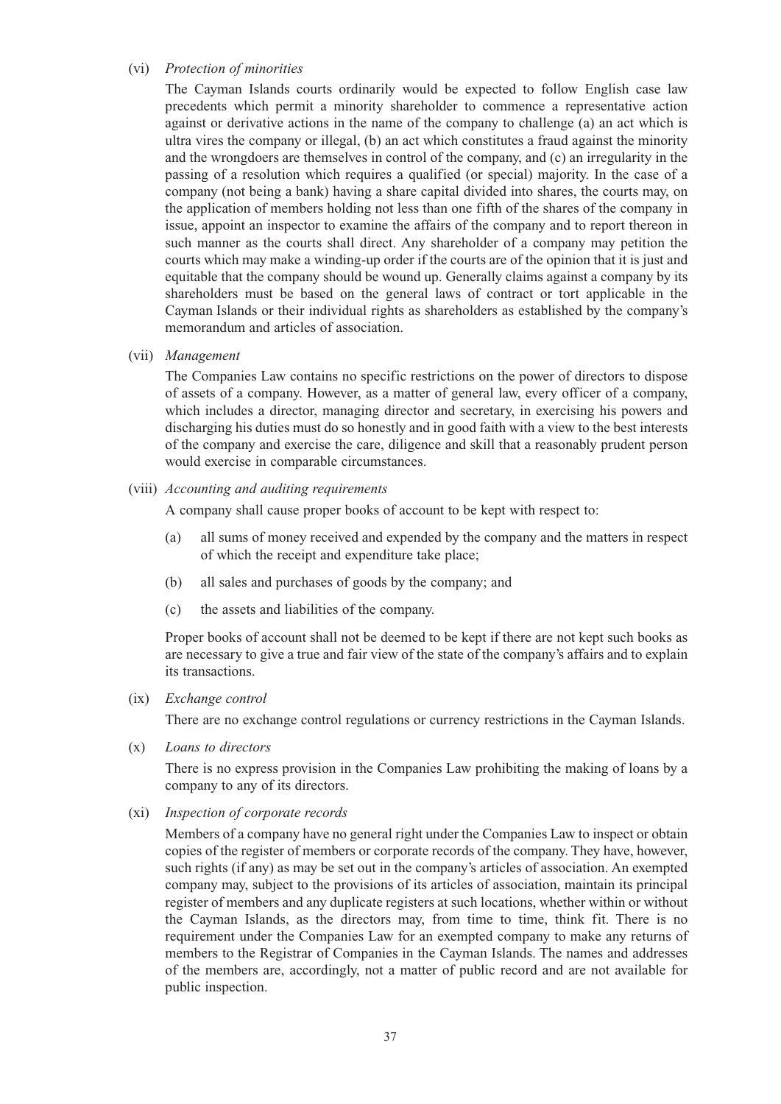#### (vi) *Protection of minorities*

The Cayman Islands courts ordinarily would be expected to follow English case law precedents which permit a minority shareholder to commence a representative action against or derivative actions in the name of the company to challenge (a) an act which is ultra vires the company or illegal, (b) an act which constitutes a fraud against the minority and the wrongdoers are themselves in control of the company, and (c) an irregularity in the passing of a resolution which requires a qualified (or special) majority. In the case of a company (not being a bank) having a share capital divided into shares, the courts may, on the application of members holding not less than one fifth of the shares of the company in issue, appoint an inspector to examine the affairs of the company and to report thereon in such manner as the courts shall direct. Any shareholder of a company may petition the courts which may make a winding-up order if the courts are of the opinion that it is just and equitable that the company should be wound up. Generally claims against a company by its shareholders must be based on the general laws of contract or tort applicable in the Cayman Islands or their individual rights as shareholders as established by the company's memorandum and articles of association.

(vii) *Management*

The Companies Law contains no specific restrictions on the power of directors to dispose of assets of a company. However, as a matter of general law, every officer of a company, which includes a director, managing director and secretary, in exercising his powers and discharging his duties must do so honestly and in good faith with a view to the best interests of the company and exercise the care, diligence and skill that a reasonably prudent person would exercise in comparable circumstances.

(viii) *Accounting and auditing requirements*

A company shall cause proper books of account to be kept with respect to:

- (a) all sums of money received and expended by the company and the matters in respect of which the receipt and expenditure take place;
- (b) all sales and purchases of goods by the company; and
- (c) the assets and liabilities of the company.

Proper books of account shall not be deemed to be kept if there are not kept such books as are necessary to give a true and fair view of the state of the company's affairs and to explain its transactions.

(ix) *Exchange control*

There are no exchange control regulations or currency restrictions in the Cayman Islands.

(x) *Loans to directors*

There is no express provision in the Companies Law prohibiting the making of loans by a company to any of its directors.

(xi) *Inspection of corporate records*

Members of a company have no general right under the Companies Law to inspect or obtain copies of the register of members or corporate records of the company. They have, however, such rights (if any) as may be set out in the company's articles of association. An exempted company may, subject to the provisions of its articles of association, maintain its principal register of members and any duplicate registers at such locations, whether within or without the Cayman Islands, as the directors may, from time to time, think fit. There is no requirement under the Companies Law for an exempted company to make any returns of members to the Registrar of Companies in the Cayman Islands. The names and addresses of the members are, accordingly, not a matter of public record and are not available for public inspection.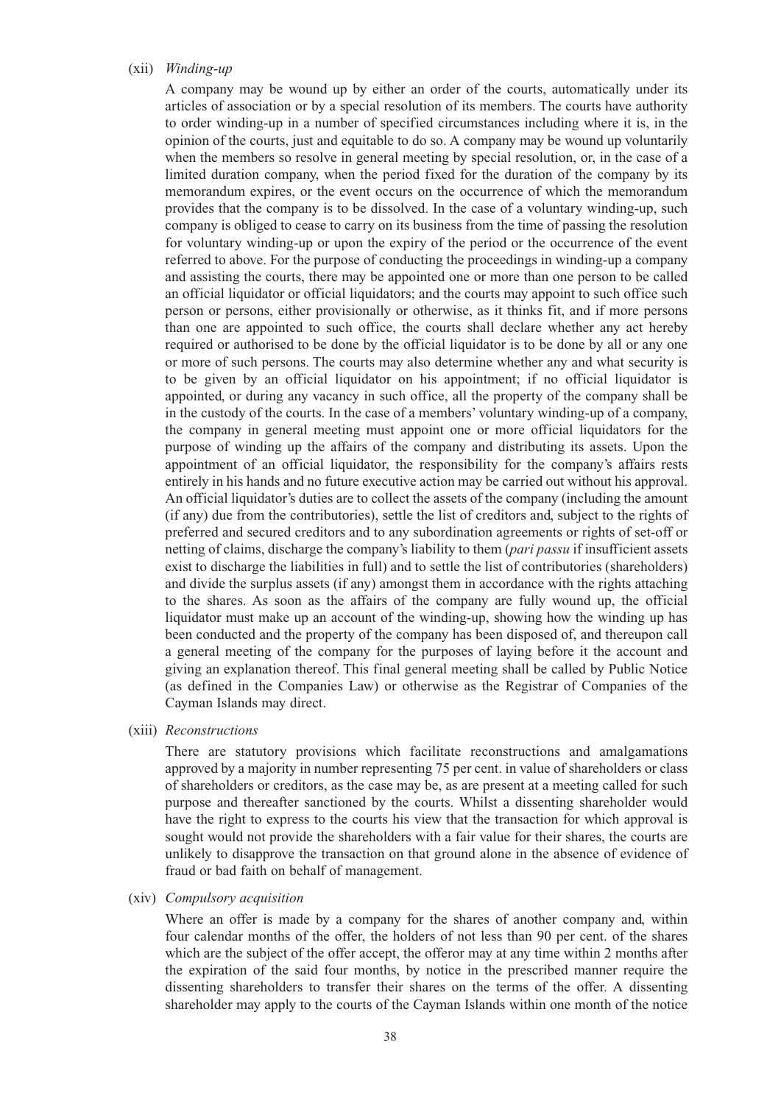#### (xii) *Winding-up*

A company may be wound up by either an order of the courts, automatically under its articles of association or by a special resolution of its members. The courts have authority to order winding-up in a number of specified circumstances including where it is, in the opinion of the courts, just and equitable to do so. A company may be wound up voluntarily when the members so resolve in general meeting by special resolution, or, in the case of a limited duration company, when the period fixed for the duration of the company by its memorandum expires, or the event occurs on the occurrence of which the memorandum provides that the company is to be dissolved. In the case of a voluntary winding-up, such company is obliged to cease to carry on its business from the time of passing the resolution for voluntary winding-up or upon the expiry of the period or the occurrence of the event referred to above. For the purpose of conducting the proceedings in winding-up a company and assisting the courts, there may be appointed one or more than one person to be called an official liquidator or official liquidators; and the courts may appoint to such office such person or persons, either provisionally or otherwise, as it thinks fit, and if more persons than one are appointed to such office, the courts shall declare whether any act hereby required or authorised to be done by the official liquidator is to be done by all or any one or more of such persons. The courts may also determine whether any and what security is to be given by an official liquidator on his appointment; if no official liquidator is appointed, or during any vacancy in such office, all the property of the company shall be in the custody of the courts. In the case of a members' voluntary winding-up of a company, the company in general meeting must appoint one or more official liquidators for the purpose of winding up the affairs of the company and distributing its assets. Upon the appointment of an official liquidator, the responsibility for the company's affairs rests entirely in his hands and no future executive action may be carried out without his approval. An official liquidator's duties are to collect the assets of the company (including the amount (if any) due from the contributories), settle the list of creditors and, subject to the rights of preferred and secured creditors and to any subordination agreements or rights of set-off or netting of claims, discharge the company's liability to them (*pari passu* if insufficient assets exist to discharge the liabilities in full) and to settle the list of contributories (shareholders) and divide the surplus assets (if any) amongst them in accordance with the rights attaching to the shares. As soon as the affairs of the company are fully wound up, the official liquidator must make up an account of the winding-up, showing how the winding up has been conducted and the property of the company has been disposed of, and thereupon call a general meeting of the company for the purposes of laying before it the account and giving an explanation thereof. This final general meeting shall be called by Public Notice (as defined in the Companies Law) or otherwise as the Registrar of Companies of the Cayman Islands may direct.

(xiii) *Reconstructions*

There are statutory provisions which facilitate reconstructions and amalgamations approved by a majority in number representing 75 per cent. in value of shareholders or class of shareholders or creditors, as the case may be, as are present at a meeting called for such purpose and thereafter sanctioned by the courts. Whilst a dissenting shareholder would have the right to express to the courts his view that the transaction for which approval is sought would not provide the shareholders with a fair value for their shares, the courts are unlikely to disapprove the transaction on that ground alone in the absence of evidence of fraud or bad faith on behalf of management.

(xiv) *Compulsory acquisition*

Where an offer is made by a company for the shares of another company and, within four calendar months of the offer, the holders of not less than 90 per cent. of the shares which are the subject of the offer accept, the offeror may at any time within 2 months after the expiration of the said four months, by notice in the prescribed manner require the dissenting shareholders to transfer their shares on the terms of the offer. A dissenting shareholder may apply to the courts of the Cayman Islands within one month of the notice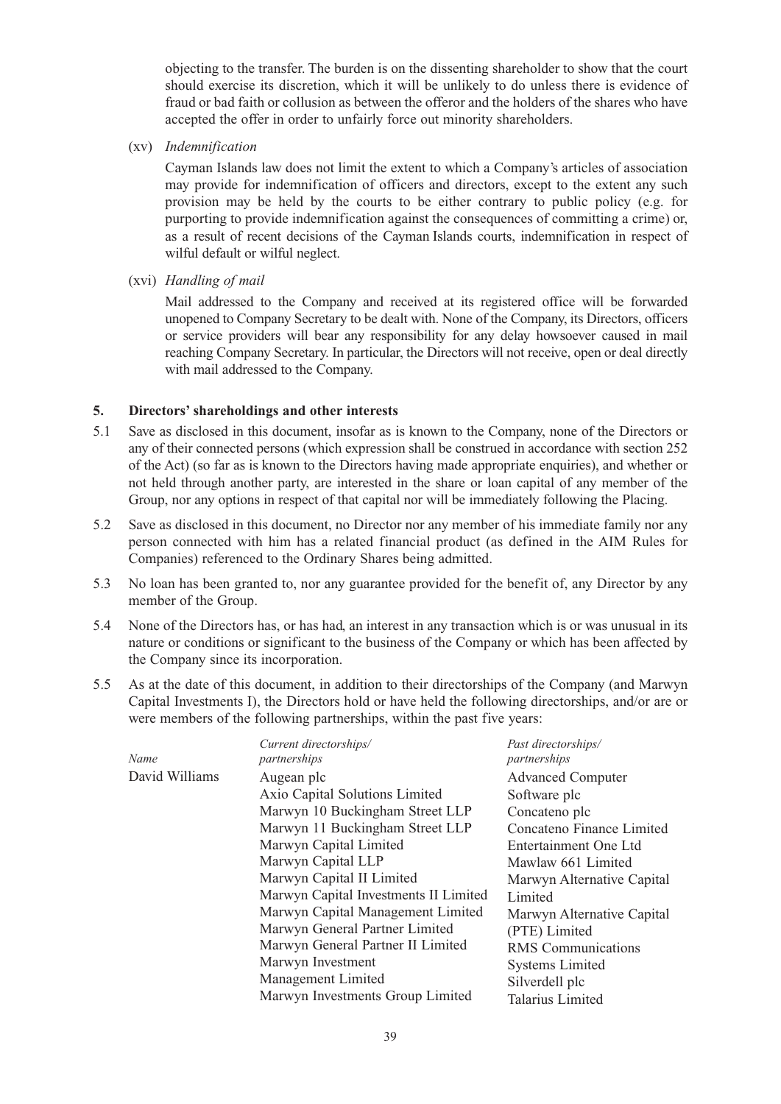objecting to the transfer. The burden is on the dissenting shareholder to show that the court should exercise its discretion, which it will be unlikely to do unless there is evidence of fraud or bad faith or collusion as between the offeror and the holders of the shares who have accepted the offer in order to unfairly force out minority shareholders.

(xv) *Indemnification*

Cayman Islands law does not limit the extent to which a Company's articles of association may provide for indemnification of officers and directors, except to the extent any such provision may be held by the courts to be either contrary to public policy (e.g. for purporting to provide indemnification against the consequences of committing a crime) or, as a result of recent decisions of the Cayman Islands courts, indemnification in respect of wilful default or wilful neglect.

(xvi) *Handling of mail*

Mail addressed to the Company and received at its registered office will be forwarded unopened to Company Secretary to be dealt with. None of the Company, its Directors, officers or service providers will bear any responsibility for any delay howsoever caused in mail reaching Company Secretary. In particular, the Directors will not receive, open or deal directly with mail addressed to the Company.

#### **5. Directors' shareholdings and other interests**

- 5.1 Save as disclosed in this document, insofar as is known to the Company, none of the Directors or any of their connected persons (which expression shall be construed in accordance with section 252 of the Act) (so far as is known to the Directors having made appropriate enquiries), and whether or not held through another party, are interested in the share or loan capital of any member of the Group, nor any options in respect of that capital nor will be immediately following the Placing.
- 5.2 Save as disclosed in this document, no Director nor any member of his immediate family nor any person connected with him has a related financial product (as defined in the AIM Rules for Companies) referenced to the Ordinary Shares being admitted.
- 5.3 No loan has been granted to, nor any guarantee provided for the benefit of, any Director by any member of the Group.
- 5.4 None of the Directors has, or has had, an interest in any transaction which is or was unusual in its nature or conditions or significant to the business of the Company or which has been affected by the Company since its incorporation.
- 5.5 As at the date of this document, in addition to their directorships of the Company (and Marwyn Capital Investments I), the Directors hold or have held the following directorships, and/or are or were members of the following partnerships, within the past five years:

| Name           | Current directorships/<br>partnerships | Past directorships/<br>partnerships |
|----------------|----------------------------------------|-------------------------------------|
| David Williams | Augean plc                             | <b>Advanced Computer</b>            |
|                | Axio Capital Solutions Limited         | Software plc                        |
|                | Marwyn 10 Buckingham Street LLP        | Concateno plc                       |
|                | Marwyn 11 Buckingham Street LLP        | Concateno Finance Limited           |
|                | Marwyn Capital Limited                 | Entertainment One Ltd               |
|                | Marwyn Capital LLP                     | Mawlaw 661 Limited                  |
|                | Marwyn Capital II Limited              | Marwyn Alternative Capital          |
|                | Marwyn Capital Investments II Limited  | Limited                             |
|                | Marwyn Capital Management Limited      | Marwyn Alternative Capital          |
|                | Marwyn General Partner Limited         | (PTE) Limited                       |
|                | Marwyn General Partner II Limited      | <b>RMS</b> Communications           |
|                | Marwyn Investment                      | <b>Systems Limited</b>              |
|                | Management Limited                     | Silverdell plc                      |
|                | Marwyn Investments Group Limited       | Talarius Limited                    |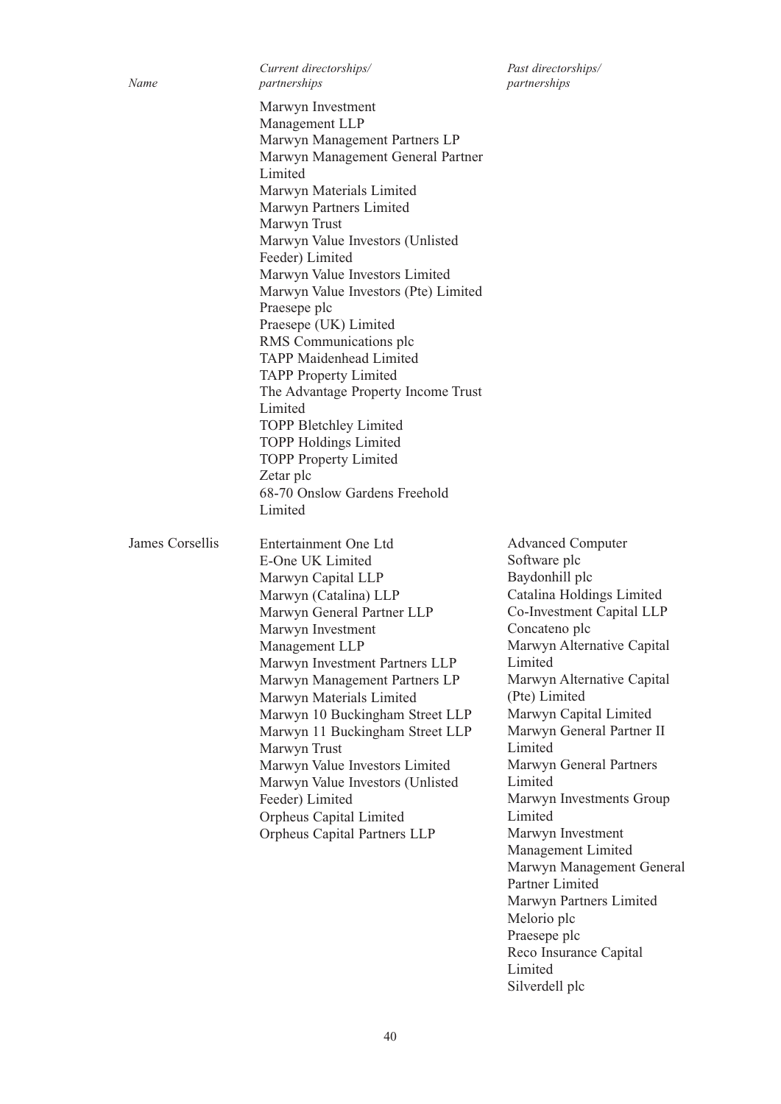James Corsellis

*Current directorships/ Past directorships/ Name partnerships partnerships*

Marwyn Investment Management LLP Marwyn Management Partners LP Marwyn Management General Partner Limited Marwyn Materials Limited Marwyn Partners Limited Marwyn Trust Marwyn Value Investors (Unlisted Feeder) Limited Marwyn Value Investors Limited Marwyn Value Investors (Pte) Limited Praesepe plc Praesepe (UK) Limited RMS Communications plc TAPP Maidenhead Limited TAPP Property Limited The Advantage Property Income Trust Limited TOPP Bletchley Limited TOPP Holdings Limited TOPP Property Limited Zetar plc 68-70 Onslow Gardens Freehold Limited Entertainment One Ltd

E-One UK Limited Marwyn Capital LLP Marwyn (Catalina) LLP Marwyn General Partner LLP Marwyn Investment Management LLP Marwyn Investment Partners LLP Marwyn Management Partners LP Marwyn Materials Limited Marwyn 10 Buckingham Street LLP Marwyn 11 Buckingham Street LLP Marwyn Trust Marwyn Value Investors Limited Marwyn Value Investors (Unlisted Feeder) Limited Orpheus Capital Limited Orpheus Capital Partners LLP

Advanced Computer Software plc Baydonhill plc Catalina Holdings Limited Co-Investment Capital LLP Concateno plc Marwyn Alternative Capital Limited Marwyn Alternative Capital (Pte) Limited Marwyn Capital Limited Marwyn General Partner II Limited Marwyn General Partners Limited Marwyn Investments Group Limited Marwyn Investment Management Limited Marwyn Management General Partner Limited Marwyn Partners Limited Melorio plc Praesepe plc Reco Insurance Capital Limited Silverdell plc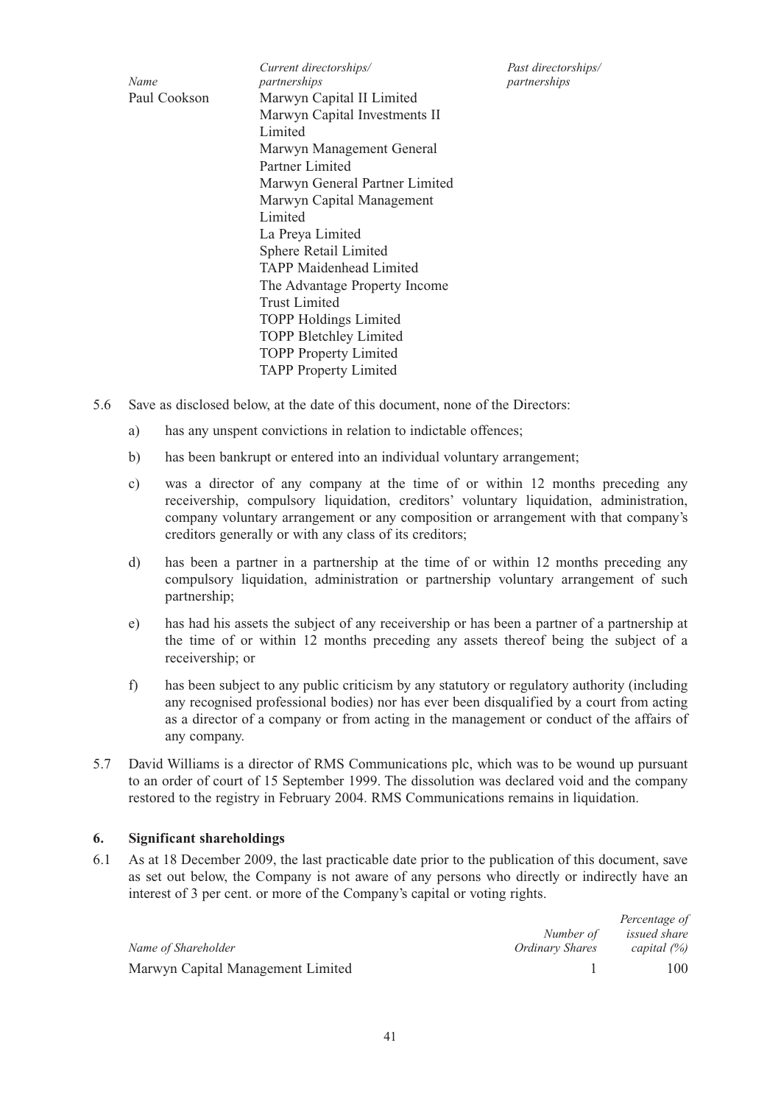*Current directorships/ Past directorships/ Name partnerships partnerships* Marwyn Capital II Limited Marwyn Capital Investments II Limited Marwyn Management General Partner Limited Marwyn General Partner Limited Marwyn Capital Management Limited La Preya Limited Sphere Retail Limited TAPP Maidenhead Limited The Advantage Property Income Trust Limited TOPP Holdings Limited TOPP Bletchley Limited TOPP Property Limited TAPP Property Limited Paul Cookson

- 5.6 Save as disclosed below, at the date of this document, none of the Directors:
	- a) has any unspent convictions in relation to indictable offences;
	- b) has been bankrupt or entered into an individual voluntary arrangement;
	- c) was a director of any company at the time of or within 12 months preceding any receivership, compulsory liquidation, creditors' voluntary liquidation, administration, company voluntary arrangement or any composition or arrangement with that company's creditors generally or with any class of its creditors;
	- d) has been a partner in a partnership at the time of or within 12 months preceding any compulsory liquidation, administration or partnership voluntary arrangement of such partnership;
	- e) has had his assets the subject of any receivership or has been a partner of a partnership at the time of or within 12 months preceding any assets thereof being the subject of a receivership; or
	- f) has been subject to any public criticism by any statutory or regulatory authority (including any recognised professional bodies) nor has ever been disqualified by a court from acting as a director of a company or from acting in the management or conduct of the affairs of any company.
- 5.7 David Williams is a director of RMS Communications plc, which was to be wound up pursuant to an order of court of 15 September 1999. The dissolution was declared void and the company restored to the registry in February 2004. RMS Communications remains in liquidation.

#### **6. Significant shareholdings**

6.1 As at 18 December 2009, the last practicable date prior to the publication of this document, save as set out below, the Company is not aware of any persons who directly or indirectly have an interest of 3 per cent. or more of the Company's capital or voting rights.

|                                   |                 | Percentage of  |
|-----------------------------------|-----------------|----------------|
|                                   | Number of       | issued share   |
| Name of Shareholder               | Ordinary Shares | capital $(\%)$ |
| Marwyn Capital Management Limited |                 | 100            |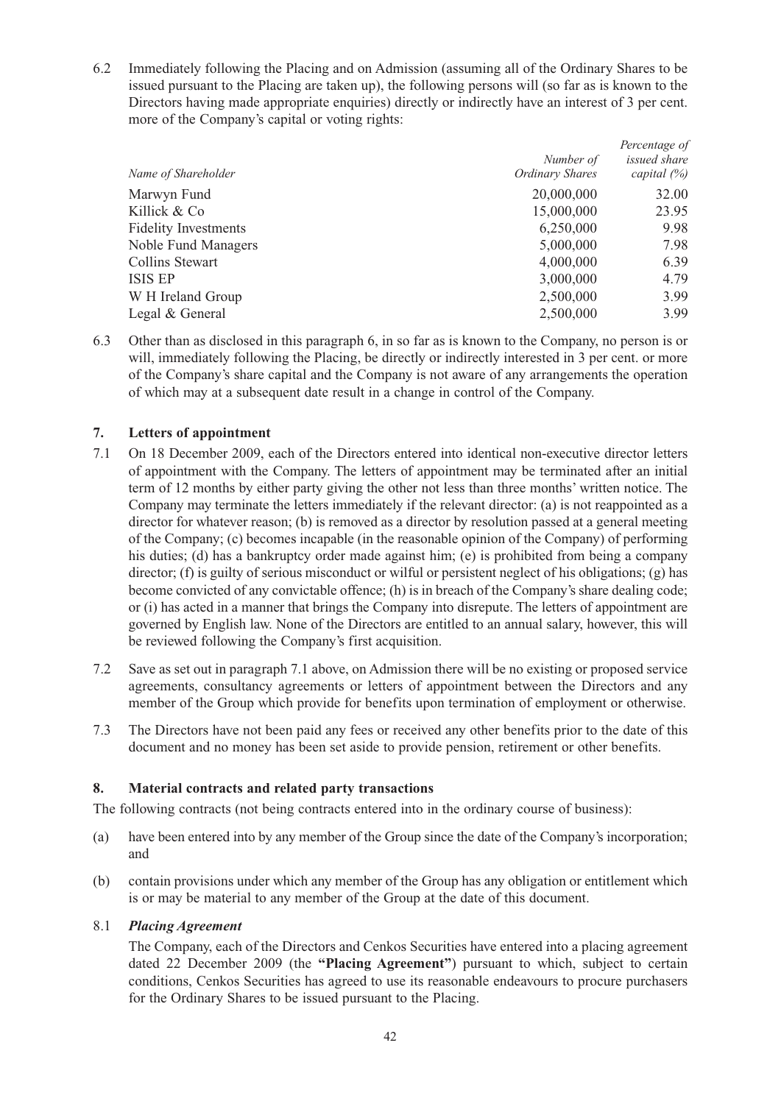6.2 Immediately following the Placing and on Admission (assuming all of the Ordinary Shares to be issued pursuant to the Placing are taken up), the following persons will (so far as is known to the Directors having made appropriate enquiries) directly or indirectly have an interest of 3 per cent. more of the Company's capital or voting rights:

|                             | Number of              | Percentage of<br>issued share |
|-----------------------------|------------------------|-------------------------------|
| Name of Shareholder         | <b>Ordinary Shares</b> | capital $(\%)$                |
| Marwyn Fund                 | 20,000,000             | 32.00                         |
| Killick & Co                | 15,000,000             | 23.95                         |
| <b>Fidelity Investments</b> | 6,250,000              | 9.98                          |
| Noble Fund Managers         | 5,000,000              | 7.98                          |
| Collins Stewart             | 4,000,000              | 6.39                          |
| ISIS EP                     | 3,000,000              | 4.79                          |
| W H Ireland Group           | 2,500,000              | 3.99                          |
| Legal & General             | 2,500,000              | 3.99                          |

6.3 Other than as disclosed in this paragraph 6, in so far as is known to the Company, no person is or will, immediately following the Placing, be directly or indirectly interested in 3 per cent. or more of the Company's share capital and the Company is not aware of any arrangements the operation of which may at a subsequent date result in a change in control of the Company.

#### **7. Letters of appointment**

- 7.1 On 18 December 2009, each of the Directors entered into identical non-executive director letters of appointment with the Company. The letters of appointment may be terminated after an initial term of 12 months by either party giving the other not less than three months' written notice. The Company may terminate the letters immediately if the relevant director: (a) is not reappointed as a director for whatever reason; (b) is removed as a director by resolution passed at a general meeting of the Company; (c) becomes incapable (in the reasonable opinion of the Company) of performing his duties; (d) has a bankruptcy order made against him; (e) is prohibited from being a company director; (f) is guilty of serious misconduct or wilful or persistent neglect of his obligations; (g) has become convicted of any convictable offence; (h) is in breach of the Company's share dealing code; or (i) has acted in a manner that brings the Company into disrepute. The letters of appointment are governed by English law. None of the Directors are entitled to an annual salary, however, this will be reviewed following the Company's first acquisition.
- 7.2 Save as set out in paragraph 7.1 above, on Admission there will be no existing or proposed service agreements, consultancy agreements or letters of appointment between the Directors and any member of the Group which provide for benefits upon termination of employment or otherwise.
- 7.3 The Directors have not been paid any fees or received any other benefits prior to the date of this document and no money has been set aside to provide pension, retirement or other benefits.

#### **8. Material contracts and related party transactions**

The following contracts (not being contracts entered into in the ordinary course of business):

- (a) have been entered into by any member of the Group since the date of the Company's incorporation; and
- (b) contain provisions under which any member of the Group has any obligation or entitlement which is or may be material to any member of the Group at the date of this document.

#### 8.1 *Placing Agreement*

The Company, each of the Directors and Cenkos Securities have entered into a placing agreement dated 22 December 2009 (the **"Placing Agreement"**) pursuant to which, subject to certain conditions, Cenkos Securities has agreed to use its reasonable endeavours to procure purchasers for the Ordinary Shares to be issued pursuant to the Placing.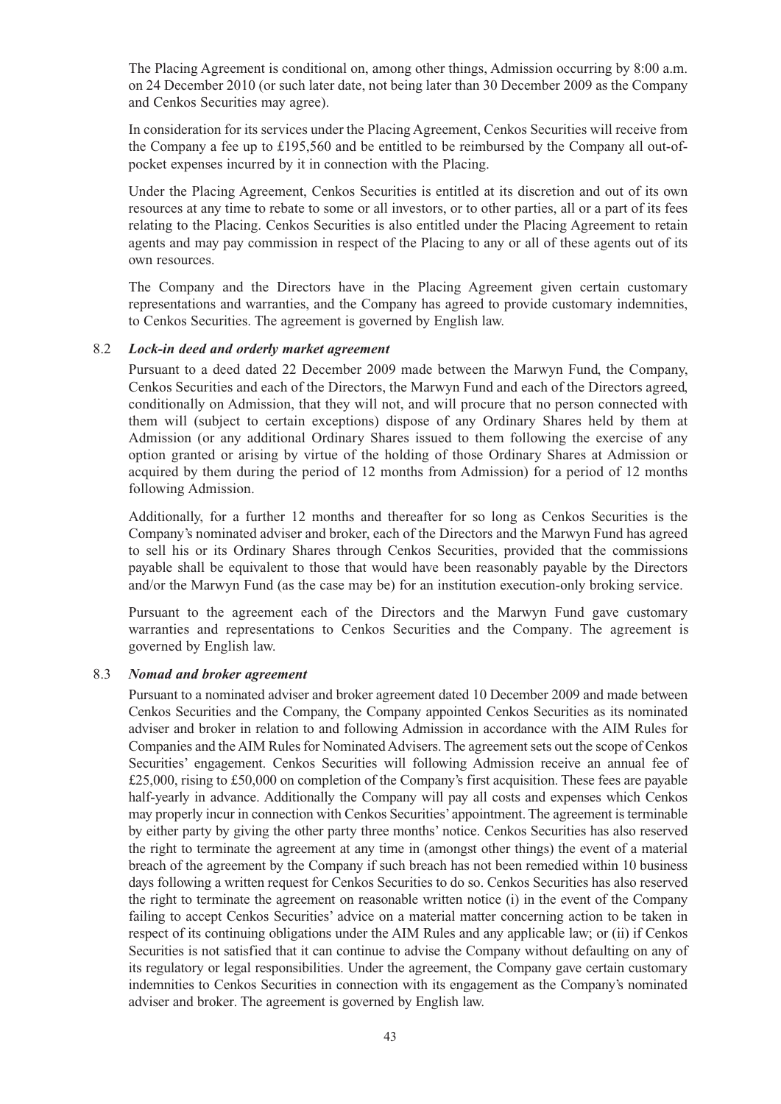The Placing Agreement is conditional on, among other things, Admission occurring by 8:00 a.m. on 24 December 2010 (or such later date, not being later than 30 December 2009 as the Company and Cenkos Securities may agree).

In consideration for its services under the Placing Agreement, Cenkos Securities will receive from the Company a fee up to £195,560 and be entitled to be reimbursed by the Company all out-ofpocket expenses incurred by it in connection with the Placing.

Under the Placing Agreement, Cenkos Securities is entitled at its discretion and out of its own resources at any time to rebate to some or all investors, or to other parties, all or a part of its fees relating to the Placing. Cenkos Securities is also entitled under the Placing Agreement to retain agents and may pay commission in respect of the Placing to any or all of these agents out of its own resources.

The Company and the Directors have in the Placing Agreement given certain customary representations and warranties, and the Company has agreed to provide customary indemnities, to Cenkos Securities. The agreement is governed by English law.

#### 8.2 *Lock-in deed and orderly market agreement*

Pursuant to a deed dated 22 December 2009 made between the Marwyn Fund, the Company, Cenkos Securities and each of the Directors, the Marwyn Fund and each of the Directors agreed, conditionally on Admission, that they will not, and will procure that no person connected with them will (subject to certain exceptions) dispose of any Ordinary Shares held by them at Admission (or any additional Ordinary Shares issued to them following the exercise of any option granted or arising by virtue of the holding of those Ordinary Shares at Admission or acquired by them during the period of 12 months from Admission) for a period of 12 months following Admission.

Additionally, for a further 12 months and thereafter for so long as Cenkos Securities is the Company's nominated adviser and broker, each of the Directors and the Marwyn Fund has agreed to sell his or its Ordinary Shares through Cenkos Securities, provided that the commissions payable shall be equivalent to those that would have been reasonably payable by the Directors and/or the Marwyn Fund (as the case may be) for an institution execution-only broking service.

Pursuant to the agreement each of the Directors and the Marwyn Fund gave customary warranties and representations to Cenkos Securities and the Company. The agreement is governed by English law.

#### 8.3 *Nomad and broker agreement*

Pursuant to a nominated adviser and broker agreement dated 10 December 2009 and made between Cenkos Securities and the Company, the Company appointed Cenkos Securities as its nominated adviser and broker in relation to and following Admission in accordance with the AIM Rules for Companies and the AIM Rules for Nominated Advisers. The agreement sets out the scope of Cenkos Securities' engagement. Cenkos Securities will following Admission receive an annual fee of £25,000, rising to £50,000 on completion of the Company's first acquisition. These fees are payable half-yearly in advance. Additionally the Company will pay all costs and expenses which Cenkos may properly incur in connection with Cenkos Securities'appointment. The agreement is terminable by either party by giving the other party three months' notice. Cenkos Securities has also reserved the right to terminate the agreement at any time in (amongst other things) the event of a material breach of the agreement by the Company if such breach has not been remedied within 10 business days following a written request for Cenkos Securities to do so. Cenkos Securities has also reserved the right to terminate the agreement on reasonable written notice (i) in the event of the Company failing to accept Cenkos Securities' advice on a material matter concerning action to be taken in respect of its continuing obligations under the AIM Rules and any applicable law; or (ii) if Cenkos Securities is not satisfied that it can continue to advise the Company without defaulting on any of its regulatory or legal responsibilities. Under the agreement, the Company gave certain customary indemnities to Cenkos Securities in connection with its engagement as the Company's nominated adviser and broker. The agreement is governed by English law.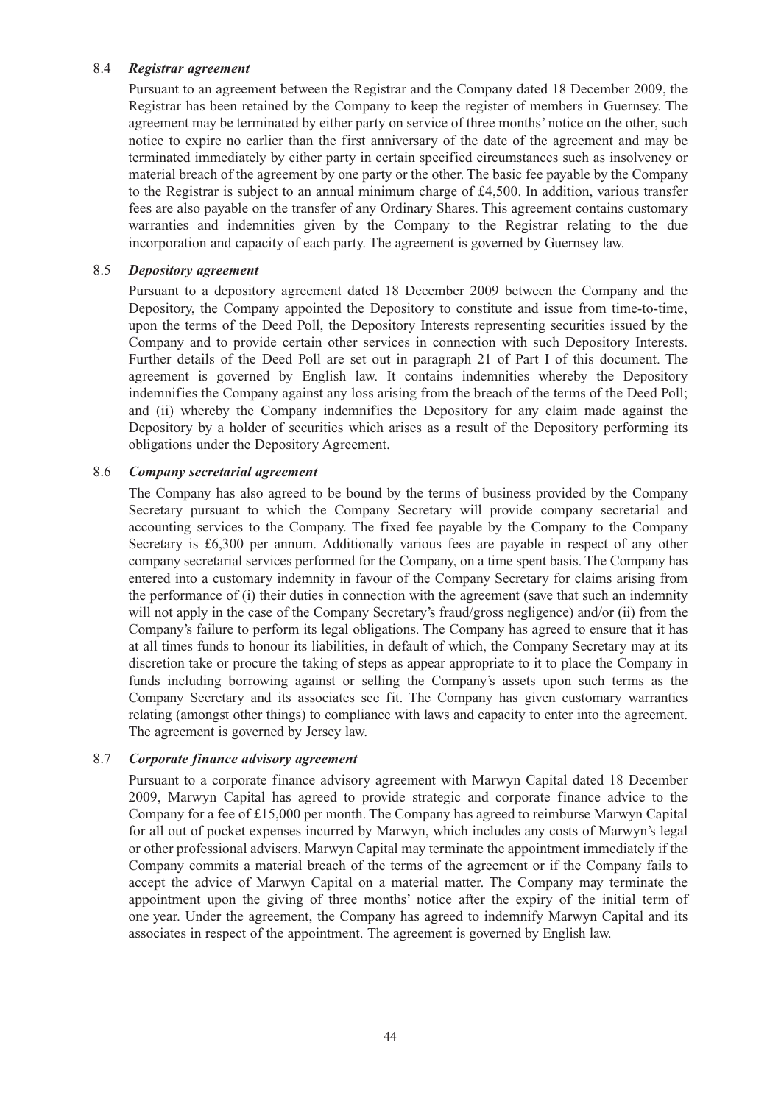#### 8.4 *Registrar agreement*

Pursuant to an agreement between the Registrar and the Company dated 18 December 2009, the Registrar has been retained by the Company to keep the register of members in Guernsey. The agreement may be terminated by either party on service of three months' notice on the other, such notice to expire no earlier than the first anniversary of the date of the agreement and may be terminated immediately by either party in certain specified circumstances such as insolvency or material breach of the agreement by one party or the other. The basic fee payable by the Company to the Registrar is subject to an annual minimum charge of £4,500. In addition, various transfer fees are also payable on the transfer of any Ordinary Shares. This agreement contains customary warranties and indemnities given by the Company to the Registrar relating to the due incorporation and capacity of each party. The agreement is governed by Guernsey law.

#### 8.5 *Depository agreement*

Pursuant to a depository agreement dated 18 December 2009 between the Company and the Depository, the Company appointed the Depository to constitute and issue from time-to-time, upon the terms of the Deed Poll, the Depository Interests representing securities issued by the Company and to provide certain other services in connection with such Depository Interests. Further details of the Deed Poll are set out in paragraph 21 of Part I of this document. The agreement is governed by English law. It contains indemnities whereby the Depository indemnifies the Company against any loss arising from the breach of the terms of the Deed Poll; and (ii) whereby the Company indemnifies the Depository for any claim made against the Depository by a holder of securities which arises as a result of the Depository performing its obligations under the Depository Agreement.

#### 8.6 *Company secretarial agreement*

The Company has also agreed to be bound by the terms of business provided by the Company Secretary pursuant to which the Company Secretary will provide company secretarial and accounting services to the Company. The fixed fee payable by the Company to the Company Secretary is £6,300 per annum. Additionally various fees are payable in respect of any other company secretarial services performed for the Company, on a time spent basis. The Company has entered into a customary indemnity in favour of the Company Secretary for claims arising from the performance of (i) their duties in connection with the agreement (save that such an indemnity will not apply in the case of the Company Secretary's fraud/gross negligence) and/or (ii) from the Company's failure to perform its legal obligations. The Company has agreed to ensure that it has at all times funds to honour its liabilities, in default of which, the Company Secretary may at its discretion take or procure the taking of steps as appear appropriate to it to place the Company in funds including borrowing against or selling the Company's assets upon such terms as the Company Secretary and its associates see fit. The Company has given customary warranties relating (amongst other things) to compliance with laws and capacity to enter into the agreement. The agreement is governed by Jersey law.

#### 8.7 *Corporate finance advisory agreement*

Pursuant to a corporate finance advisory agreement with Marwyn Capital dated 18 December 2009, Marwyn Capital has agreed to provide strategic and corporate finance advice to the Company for a fee of £15,000 per month. The Company has agreed to reimburse Marwyn Capital for all out of pocket expenses incurred by Marwyn, which includes any costs of Marwyn's legal or other professional advisers. Marwyn Capital may terminate the appointment immediately if the Company commits a material breach of the terms of the agreement or if the Company fails to accept the advice of Marwyn Capital on a material matter. The Company may terminate the appointment upon the giving of three months' notice after the expiry of the initial term of one year. Under the agreement, the Company has agreed to indemnify Marwyn Capital and its associates in respect of the appointment. The agreement is governed by English law.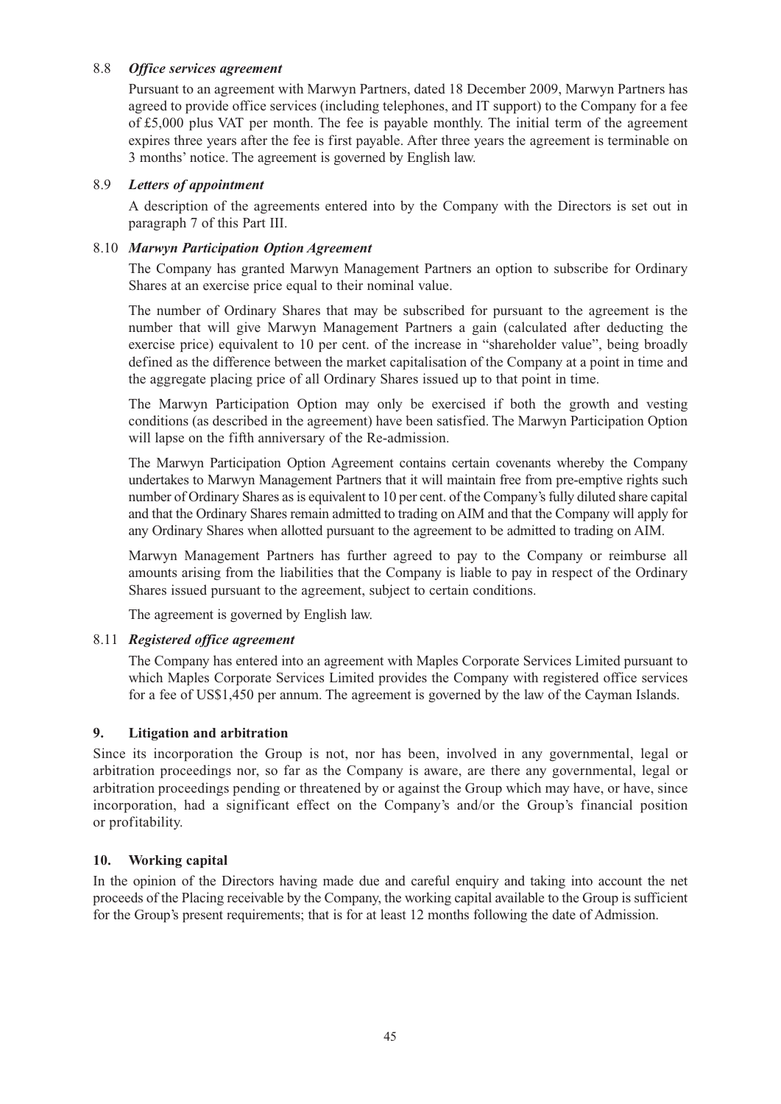#### 8.8 *Office services agreement*

Pursuant to an agreement with Marwyn Partners, dated 18 December 2009, Marwyn Partners has agreed to provide office services (including telephones, and IT support) to the Company for a fee of £5,000 plus VAT per month. The fee is payable monthly. The initial term of the agreement expires three years after the fee is first payable. After three years the agreement is terminable on 3 months' notice. The agreement is governed by English law.

#### 8.9 *Letters of appointment*

A description of the agreements entered into by the Company with the Directors is set out in paragraph 7 of this Part III.

#### 8.10 *Marwyn Participation Option Agreement*

The Company has granted Marwyn Management Partners an option to subscribe for Ordinary Shares at an exercise price equal to their nominal value.

The number of Ordinary Shares that may be subscribed for pursuant to the agreement is the number that will give Marwyn Management Partners a gain (calculated after deducting the exercise price) equivalent to 10 per cent. of the increase in "shareholder value", being broadly defined as the difference between the market capitalisation of the Company at a point in time and the aggregate placing price of all Ordinary Shares issued up to that point in time.

The Marwyn Participation Option may only be exercised if both the growth and vesting conditions (as described in the agreement) have been satisfied. The Marwyn Participation Option will lapse on the fifth anniversary of the Re-admission.

The Marwyn Participation Option Agreement contains certain covenants whereby the Company undertakes to Marwyn Management Partners that it will maintain free from pre-emptive rights such number of Ordinary Shares as is equivalent to 10 per cent. of the Company's fully diluted share capital and that the Ordinary Shares remain admitted to trading on AIM and that the Company will apply for any Ordinary Shares when allotted pursuant to the agreement to be admitted to trading on AIM.

Marwyn Management Partners has further agreed to pay to the Company or reimburse all amounts arising from the liabilities that the Company is liable to pay in respect of the Ordinary Shares issued pursuant to the agreement, subject to certain conditions.

The agreement is governed by English law.

#### 8.11 *Registered office agreement*

The Company has entered into an agreement with Maples Corporate Services Limited pursuant to which Maples Corporate Services Limited provides the Company with registered office services for a fee of US\$1,450 per annum. The agreement is governed by the law of the Cayman Islands.

#### **9. Litigation and arbitration**

Since its incorporation the Group is not, nor has been, involved in any governmental, legal or arbitration proceedings nor, so far as the Company is aware, are there any governmental, legal or arbitration proceedings pending or threatened by or against the Group which may have, or have, since incorporation, had a significant effect on the Company's and/or the Group's financial position or profitability.

#### **10. Working capital**

In the opinion of the Directors having made due and careful enquiry and taking into account the net proceeds of the Placing receivable by the Company, the working capital available to the Group is sufficient for the Group's present requirements; that is for at least 12 months following the date of Admission.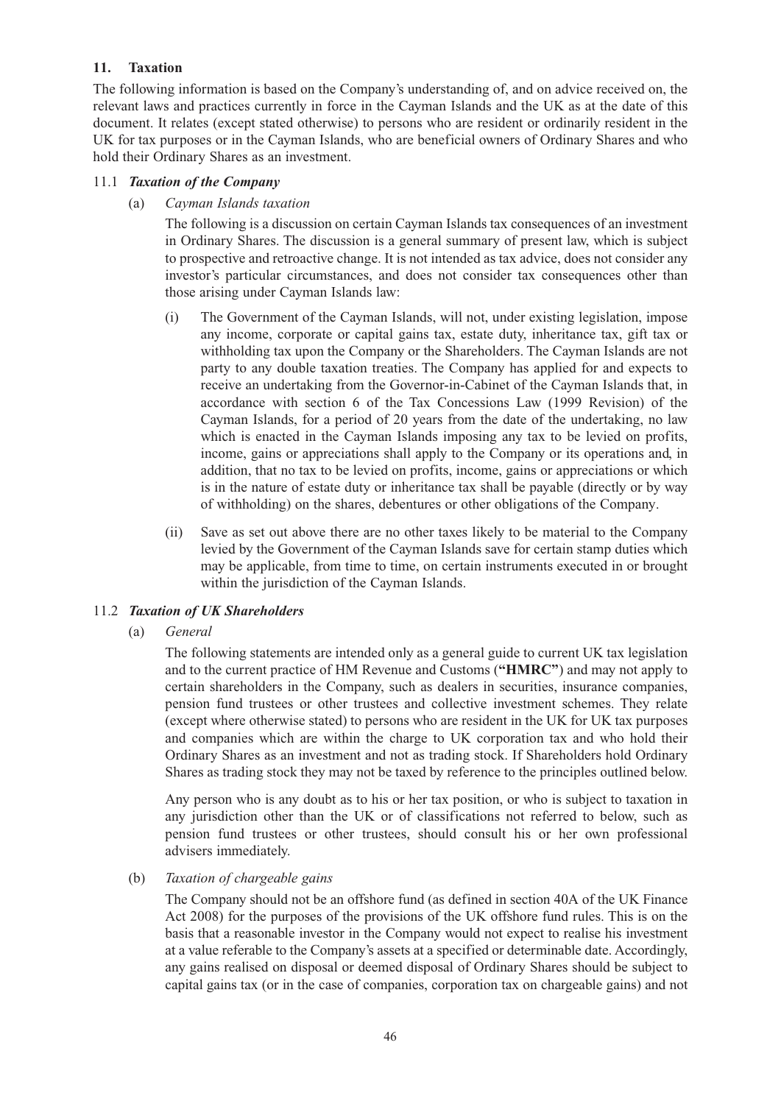### **11. Taxation**

The following information is based on the Company's understanding of, and on advice received on, the relevant laws and practices currently in force in the Cayman Islands and the UK as at the date of this document. It relates (except stated otherwise) to persons who are resident or ordinarily resident in the UK for tax purposes or in the Cayman Islands, who are beneficial owners of Ordinary Shares and who hold their Ordinary Shares as an investment.

#### 11.1 *Taxation of the Company*

(a) *Cayman Islands taxation*

The following is a discussion on certain Cayman Islands tax consequences of an investment in Ordinary Shares. The discussion is a general summary of present law, which is subject to prospective and retroactive change. It is not intended as tax advice, does not consider any investor's particular circumstances, and does not consider tax consequences other than those arising under Cayman Islands law:

- (i) The Government of the Cayman Islands, will not, under existing legislation, impose any income, corporate or capital gains tax, estate duty, inheritance tax, gift tax or withholding tax upon the Company or the Shareholders. The Cayman Islands are not party to any double taxation treaties. The Company has applied for and expects to receive an undertaking from the Governor-in-Cabinet of the Cayman Islands that, in accordance with section 6 of the Tax Concessions Law (1999 Revision) of the Cayman Islands, for a period of 20 years from the date of the undertaking, no law which is enacted in the Cayman Islands imposing any tax to be levied on profits, income, gains or appreciations shall apply to the Company or its operations and, in addition, that no tax to be levied on profits, income, gains or appreciations or which is in the nature of estate duty or inheritance tax shall be payable (directly or by way of withholding) on the shares, debentures or other obligations of the Company.
- (ii) Save as set out above there are no other taxes likely to be material to the Company levied by the Government of the Cayman Islands save for certain stamp duties which may be applicable, from time to time, on certain instruments executed in or brought within the jurisdiction of the Cayman Islands.

#### 11.2 *Taxation of UK Shareholders*

(a) *General*

The following statements are intended only as a general guide to current UK tax legislation and to the current practice of HM Revenue and Customs (**"HMRC"**) and may not apply to certain shareholders in the Company, such as dealers in securities, insurance companies, pension fund trustees or other trustees and collective investment schemes. They relate (except where otherwise stated) to persons who are resident in the UK for UK tax purposes and companies which are within the charge to UK corporation tax and who hold their Ordinary Shares as an investment and not as trading stock. If Shareholders hold Ordinary Shares as trading stock they may not be taxed by reference to the principles outlined below.

Any person who is any doubt as to his or her tax position, or who is subject to taxation in any jurisdiction other than the UK or of classifications not referred to below, such as pension fund trustees or other trustees, should consult his or her own professional advisers immediately.

(b) *Taxation of chargeable gains*

The Company should not be an offshore fund (as defined in section 40A of the UK Finance Act 2008) for the purposes of the provisions of the UK offshore fund rules. This is on the basis that a reasonable investor in the Company would not expect to realise his investment at a value referable to the Company's assets at a specified or determinable date. Accordingly, any gains realised on disposal or deemed disposal of Ordinary Shares should be subject to capital gains tax (or in the case of companies, corporation tax on chargeable gains) and not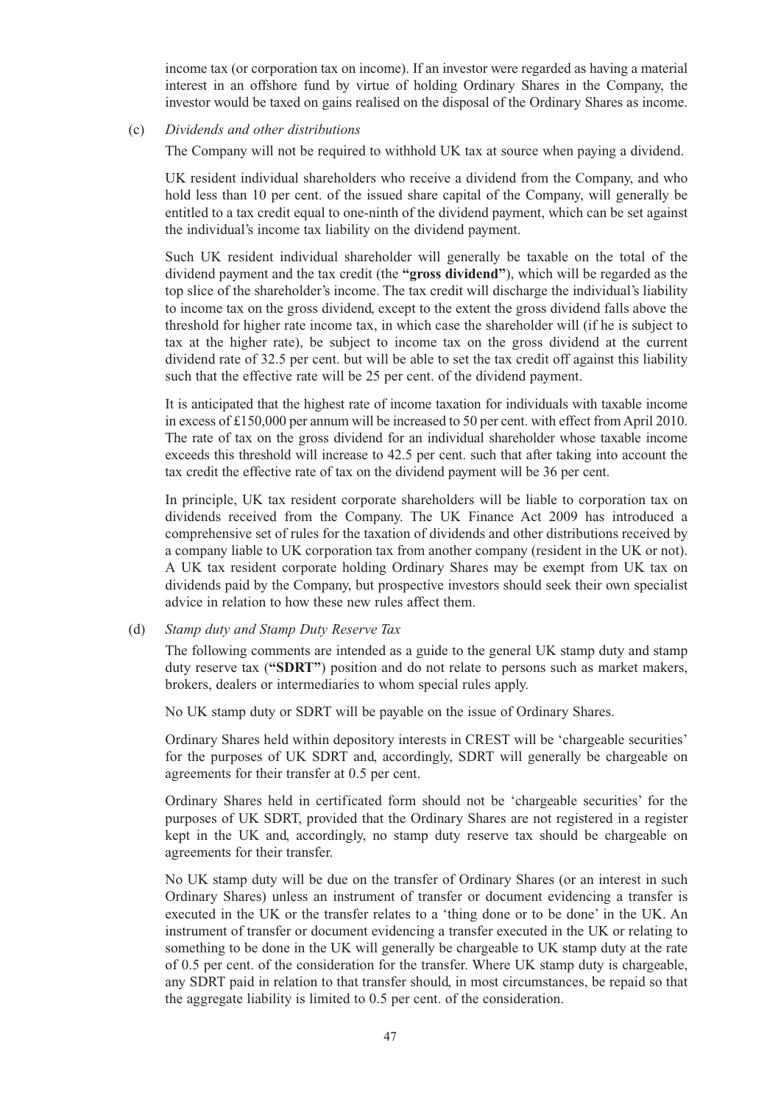income tax (or corporation tax on income). If an investor were regarded as having a material interest in an offshore fund by virtue of holding Ordinary Shares in the Company, the investor would be taxed on gains realised on the disposal of the Ordinary Shares as income.

#### (c) *Dividends and other distributions*

The Company will not be required to withhold UK tax at source when paying a dividend.

UK resident individual shareholders who receive a dividend from the Company, and who hold less than 10 per cent. of the issued share capital of the Company, will generally be entitled to a tax credit equal to one-ninth of the dividend payment, which can be set against the individual's income tax liability on the dividend payment.

Such UK resident individual shareholder will generally be taxable on the total of the dividend payment and the tax credit (the **"gross dividend"**), which will be regarded as the top slice of the shareholder's income. The tax credit will discharge the individual's liability to income tax on the gross dividend, except to the extent the gross dividend falls above the threshold for higher rate income tax, in which case the shareholder will (if he is subject to tax at the higher rate), be subject to income tax on the gross dividend at the current dividend rate of 32.5 per cent. but will be able to set the tax credit off against this liability such that the effective rate will be 25 per cent. of the dividend payment.

It is anticipated that the highest rate of income taxation for individuals with taxable income in excess of £150,000 per annum will be increased to 50 per cent. with effect from April 2010. The rate of tax on the gross dividend for an individual shareholder whose taxable income exceeds this threshold will increase to 42.5 per cent. such that after taking into account the tax credit the effective rate of tax on the dividend payment will be 36 per cent.

In principle, UK tax resident corporate shareholders will be liable to corporation tax on dividends received from the Company. The UK Finance Act 2009 has introduced a comprehensive set of rules for the taxation of dividends and other distributions received by a company liable to UK corporation tax from another company (resident in the UK or not). A UK tax resident corporate holding Ordinary Shares may be exempt from UK tax on dividends paid by the Company, but prospective investors should seek their own specialist advice in relation to how these new rules affect them.

#### (d) *Stamp duty and Stamp Duty Reserve Tax*

The following comments are intended as a guide to the general UK stamp duty and stamp duty reserve tax (**"SDRT"**) position and do not relate to persons such as market makers, brokers, dealers or intermediaries to whom special rules apply.

No UK stamp duty or SDRT will be payable on the issue of Ordinary Shares.

Ordinary Shares held within depository interests in CREST will be 'chargeable securities' for the purposes of UK SDRT and, accordingly, SDRT will generally be chargeable on agreements for their transfer at 0.5 per cent.

Ordinary Shares held in certificated form should not be 'chargeable securities' for the purposes of UK SDRT, provided that the Ordinary Shares are not registered in a register kept in the UK and, accordingly, no stamp duty reserve tax should be chargeable on agreements for their transfer.

No UK stamp duty will be due on the transfer of Ordinary Shares (or an interest in such Ordinary Shares) unless an instrument of transfer or document evidencing a transfer is executed in the UK or the transfer relates to a 'thing done or to be done' in the UK. An instrument of transfer or document evidencing a transfer executed in the UK or relating to something to be done in the UK will generally be chargeable to UK stamp duty at the rate of 0.5 per cent. of the consideration for the transfer. Where UK stamp duty is chargeable, any SDRT paid in relation to that transfer should, in most circumstances, be repaid so that the aggregate liability is limited to 0.5 per cent. of the consideration.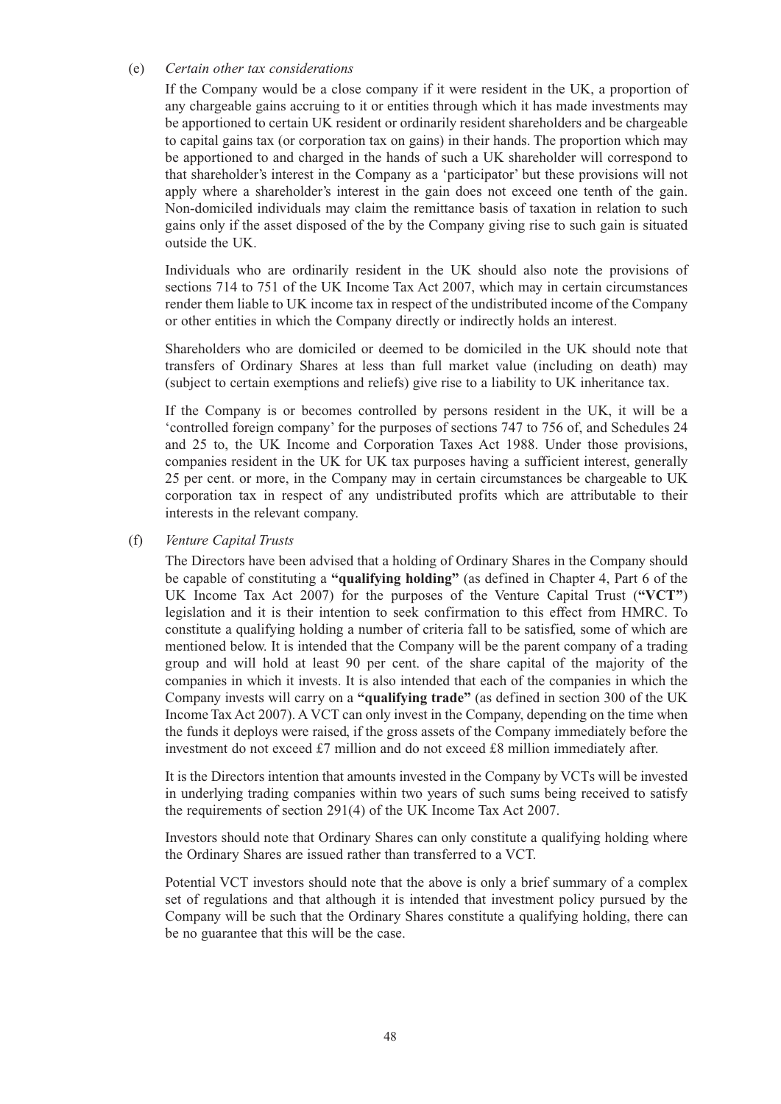#### (e) *Certain other tax considerations*

If the Company would be a close company if it were resident in the UK, a proportion of any chargeable gains accruing to it or entities through which it has made investments may be apportioned to certain UK resident or ordinarily resident shareholders and be chargeable to capital gains tax (or corporation tax on gains) in their hands. The proportion which may be apportioned to and charged in the hands of such a UK shareholder will correspond to that shareholder's interest in the Company as a 'participator' but these provisions will not apply where a shareholder's interest in the gain does not exceed one tenth of the gain. Non-domiciled individuals may claim the remittance basis of taxation in relation to such gains only if the asset disposed of the by the Company giving rise to such gain is situated outside the UK.

Individuals who are ordinarily resident in the UK should also note the provisions of sections 714 to 751 of the UK Income Tax Act 2007, which may in certain circumstances render them liable to UK income tax in respect of the undistributed income of the Company or other entities in which the Company directly or indirectly holds an interest.

Shareholders who are domiciled or deemed to be domiciled in the UK should note that transfers of Ordinary Shares at less than full market value (including on death) may (subject to certain exemptions and reliefs) give rise to a liability to UK inheritance tax.

If the Company is or becomes controlled by persons resident in the UK, it will be a 'controlled foreign company' for the purposes of sections 747 to 756 of, and Schedules 24 and 25 to, the UK Income and Corporation Taxes Act 1988. Under those provisions, companies resident in the UK for UK tax purposes having a sufficient interest, generally 25 per cent. or more, in the Company may in certain circumstances be chargeable to UK corporation tax in respect of any undistributed profits which are attributable to their interests in the relevant company.

#### (f) *Venture Capital Trusts*

The Directors have been advised that a holding of Ordinary Shares in the Company should be capable of constituting a **"qualifying holding"** (as defined in Chapter 4, Part 6 of the UK Income Tax Act 2007) for the purposes of the Venture Capital Trust (**"VCT"**) legislation and it is their intention to seek confirmation to this effect from HMRC. To constitute a qualifying holding a number of criteria fall to be satisfied, some of which are mentioned below. It is intended that the Company will be the parent company of a trading group and will hold at least 90 per cent. of the share capital of the majority of the companies in which it invests. It is also intended that each of the companies in which the Company invests will carry on a **"qualifying trade"** (as defined in section 300 of the UK Income Tax Act 2007). A VCT can only invest in the Company, depending on the time when the funds it deploys were raised, if the gross assets of the Company immediately before the investment do not exceed £7 million and do not exceed £8 million immediately after.

It is the Directors intention that amounts invested in the Company by VCTs will be invested in underlying trading companies within two years of such sums being received to satisfy the requirements of section 291(4) of the UK Income Tax Act 2007.

Investors should note that Ordinary Shares can only constitute a qualifying holding where the Ordinary Shares are issued rather than transferred to a VCT.

Potential VCT investors should note that the above is only a brief summary of a complex set of regulations and that although it is intended that investment policy pursued by the Company will be such that the Ordinary Shares constitute a qualifying holding, there can be no guarantee that this will be the case.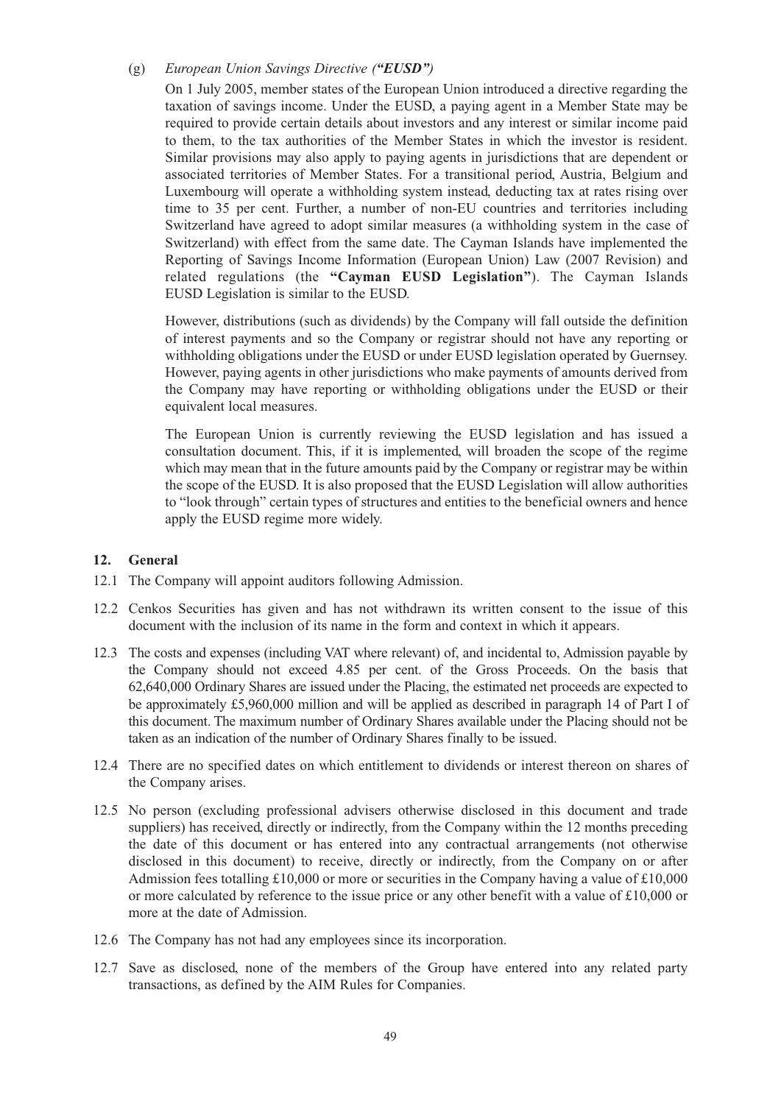#### (g) *European Union Savings Directive ("EUSD")*

On 1 July 2005, member states of the European Union introduced a directive regarding the taxation of savings income. Under the EUSD, a paying agent in a Member State may be required to provide certain details about investors and any interest or similar income paid to them, to the tax authorities of the Member States in which the investor is resident. Similar provisions may also apply to paying agents in jurisdictions that are dependent or associated territories of Member States. For a transitional period, Austria, Belgium and Luxembourg will operate a withholding system instead, deducting tax at rates rising over time to 35 per cent. Further, a number of non-EU countries and territories including Switzerland have agreed to adopt similar measures (a withholding system in the case of Switzerland) with effect from the same date. The Cayman Islands have implemented the Reporting of Savings Income Information (European Union) Law (2007 Revision) and related regulations (the **"Cayman EUSD Legislation"**). The Cayman Islands EUSD Legislation is similar to the EUSD.

However, distributions (such as dividends) by the Company will fall outside the definition of interest payments and so the Company or registrar should not have any reporting or withholding obligations under the EUSD or under EUSD legislation operated by Guernsey. However, paying agents in other jurisdictions who make payments of amounts derived from the Company may have reporting or withholding obligations under the EUSD or their equivalent local measures.

The European Union is currently reviewing the EUSD legislation and has issued a consultation document. This, if it is implemented, will broaden the scope of the regime which may mean that in the future amounts paid by the Company or registrar may be within the scope of the EUSD. It is also proposed that the EUSD Legislation will allow authorities to "look through" certain types of structures and entities to the beneficial owners and hence apply the EUSD regime more widely.

#### **12. General**

- 12.1 The Company will appoint auditors following Admission.
- 12.2 Cenkos Securities has given and has not withdrawn its written consent to the issue of this document with the inclusion of its name in the form and context in which it appears.
- 12.3 The costs and expenses (including VAT where relevant) of, and incidental to, Admission payable by the Company should not exceed 4.85 per cent. of the Gross Proceeds. On the basis that 62,640,000 Ordinary Shares are issued under the Placing, the estimated net proceeds are expected to be approximately £5,960,000 million and will be applied as described in paragraph 14 of Part I of this document. The maximum number of Ordinary Shares available under the Placing should not be taken as an indication of the number of Ordinary Shares finally to be issued.
- 12.4 There are no specified dates on which entitlement to dividends or interest thereon on shares of the Company arises.
- 12.5 No person (excluding professional advisers otherwise disclosed in this document and trade suppliers) has received, directly or indirectly, from the Company within the 12 months preceding the date of this document or has entered into any contractual arrangements (not otherwise disclosed in this document) to receive, directly or indirectly, from the Company on or after Admission fees totalling £10,000 or more or securities in the Company having a value of £10,000 or more calculated by reference to the issue price or any other benefit with a value of £10,000 or more at the date of Admission.
- 12.6 The Company has not had any employees since its incorporation.
- 12.7 Save as disclosed, none of the members of the Group have entered into any related party transactions, as defined by the AIM Rules for Companies.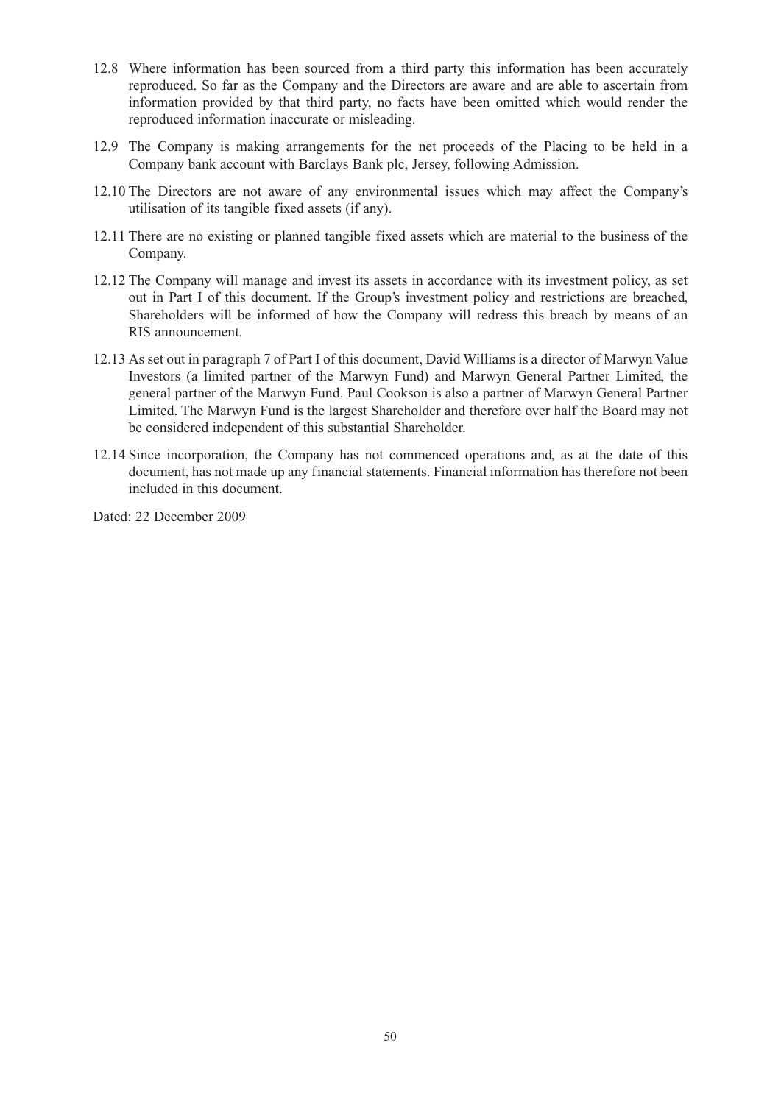- 12.8 Where information has been sourced from a third party this information has been accurately reproduced. So far as the Company and the Directors are aware and are able to ascertain from information provided by that third party, no facts have been omitted which would render the reproduced information inaccurate or misleading.
- 12.9 The Company is making arrangements for the net proceeds of the Placing to be held in a Company bank account with Barclays Bank plc, Jersey, following Admission.
- 12.10 The Directors are not aware of any environmental issues which may affect the Company's utilisation of its tangible fixed assets (if any).
- 12.11 There are no existing or planned tangible fixed assets which are material to the business of the Company.
- 12.12 The Company will manage and invest its assets in accordance with its investment policy, as set out in Part I of this document. If the Group's investment policy and restrictions are breached, Shareholders will be informed of how the Company will redress this breach by means of an RIS announcement.
- 12.13 As set out in paragraph 7 of Part I of this document, David Williams is a director of Marwyn Value Investors (a limited partner of the Marwyn Fund) and Marwyn General Partner Limited, the general partner of the Marwyn Fund. Paul Cookson is also a partner of Marwyn General Partner Limited. The Marwyn Fund is the largest Shareholder and therefore over half the Board may not be considered independent of this substantial Shareholder.
- 12.14 Since incorporation, the Company has not commenced operations and, as at the date of this document, has not made up any financial statements. Financial information has therefore not been included in this document.

Dated: 22 December 2009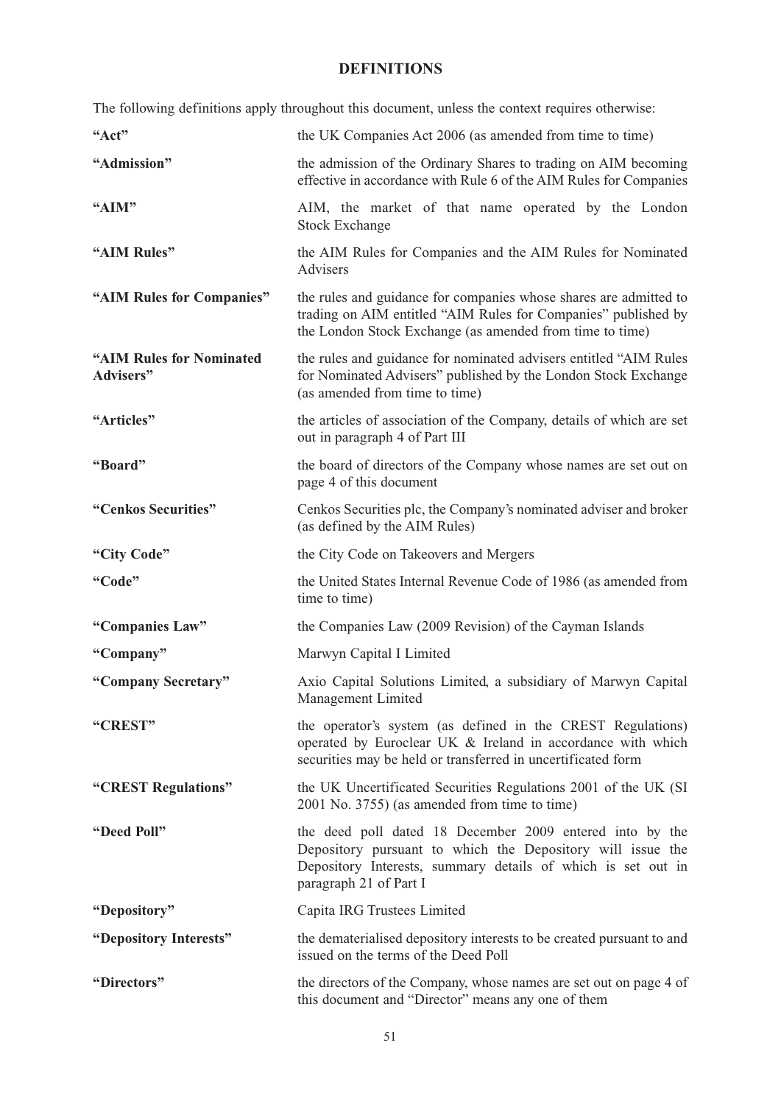# **DEFINITIONS**

The following definitions apply throughout this document, unless the context requires otherwise:

| "Act"                                         | the UK Companies Act 2006 (as amended from time to time)                                                                                                                                                         |
|-----------------------------------------------|------------------------------------------------------------------------------------------------------------------------------------------------------------------------------------------------------------------|
| "Admission"                                   | the admission of the Ordinary Shares to trading on AIM becoming<br>effective in accordance with Rule 6 of the AIM Rules for Companies                                                                            |
| "AIM"                                         | AIM, the market of that name operated by the London<br><b>Stock Exchange</b>                                                                                                                                     |
| "AIM Rules"                                   | the AIM Rules for Companies and the AIM Rules for Nominated<br><b>Advisers</b>                                                                                                                                   |
| "AIM Rules for Companies"                     | the rules and guidance for companies whose shares are admitted to<br>trading on AIM entitled "AIM Rules for Companies" published by<br>the London Stock Exchange (as amended from time to time)                  |
| "AIM Rules for Nominated<br><b>Advisers</b> " | the rules and guidance for nominated advisers entitled "AIM Rules<br>for Nominated Advisers" published by the London Stock Exchange<br>(as amended from time to time)                                            |
| "Articles"                                    | the articles of association of the Company, details of which are set<br>out in paragraph 4 of Part III                                                                                                           |
| "Board"                                       | the board of directors of the Company whose names are set out on<br>page 4 of this document                                                                                                                      |
| "Cenkos Securities"                           | Cenkos Securities plc, the Company's nominated adviser and broker<br>(as defined by the AIM Rules)                                                                                                               |
| "City Code"                                   | the City Code on Takeovers and Mergers                                                                                                                                                                           |
| "Code"                                        | the United States Internal Revenue Code of 1986 (as amended from<br>time to time)                                                                                                                                |
| "Companies Law"                               | the Companies Law (2009 Revision) of the Cayman Islands                                                                                                                                                          |
| "Company"                                     | Marwyn Capital I Limited                                                                                                                                                                                         |
| "Company Secretary"                           | Axio Capital Solutions Limited, a subsidiary of Marwyn Capital<br>Management Limited                                                                                                                             |
| "CREST"                                       | the operator's system (as defined in the CREST Regulations)<br>operated by Euroclear UK & Ireland in accordance with which<br>securities may be held or transferred in uncertificated form                       |
| "CREST Regulations"                           | the UK Uncertificated Securities Regulations 2001 of the UK (SI)<br>2001 No. 3755) (as amended from time to time)                                                                                                |
| "Deed Poll"                                   | the deed poll dated 18 December 2009 entered into by the<br>Depository pursuant to which the Depository will issue the<br>Depository Interests, summary details of which is set out in<br>paragraph 21 of Part I |
| "Depository"                                  | Capita IRG Trustees Limited                                                                                                                                                                                      |
| "Depository Interests"                        | the dematerialised depository interests to be created pursuant to and<br>issued on the terms of the Deed Poll                                                                                                    |
| "Directors"                                   | the directors of the Company, whose names are set out on page 4 of<br>this document and "Director" means any one of them                                                                                         |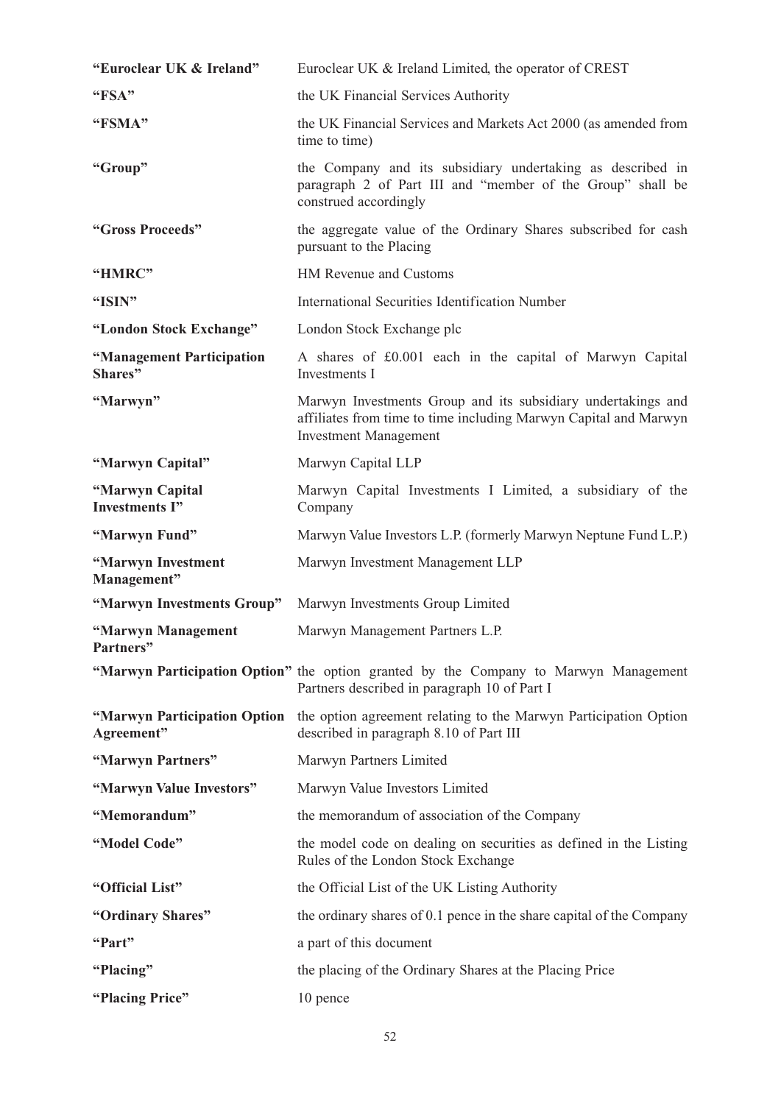| "Euroclear UK & Ireland"                   | Euroclear UK & Ireland Limited, the operator of CREST                                                                                                            |
|--------------------------------------------|------------------------------------------------------------------------------------------------------------------------------------------------------------------|
| "FSA"                                      | the UK Financial Services Authority                                                                                                                              |
| "FSMA"                                     | the UK Financial Services and Markets Act 2000 (as amended from<br>time to time)                                                                                 |
| "Group"                                    | the Company and its subsidiary undertaking as described in<br>paragraph 2 of Part III and "member of the Group" shall be<br>construed accordingly                |
| "Gross Proceeds"                           | the aggregate value of the Ordinary Shares subscribed for cash<br>pursuant to the Placing                                                                        |
| "HMRC"                                     | HM Revenue and Customs                                                                                                                                           |
| "ISIN"                                     | International Securities Identification Number                                                                                                                   |
| "London Stock Exchange"                    | London Stock Exchange plc                                                                                                                                        |
| "Management Participation<br>Shares"       | A shares of £0.001 each in the capital of Marwyn Capital<br>Investments I                                                                                        |
| "Marwyn"                                   | Marwyn Investments Group and its subsidiary undertakings and<br>affiliates from time to time including Marwyn Capital and Marwyn<br><b>Investment Management</b> |
| "Marwyn Capital"                           | Marwyn Capital LLP                                                                                                                                               |
| "Marwyn Capital<br><b>Investments I"</b>   | Marwyn Capital Investments I Limited, a subsidiary of the<br>Company                                                                                             |
| "Marwyn Fund"                              | Marwyn Value Investors L.P. (formerly Marwyn Neptune Fund L.P.)                                                                                                  |
| "Marwyn Investment<br>Management"          | Marwyn Investment Management LLP                                                                                                                                 |
| "Marwyn Investments Group"                 | Marwyn Investments Group Limited                                                                                                                                 |
| "Marwyn Management<br>Partners"            | Marwyn Management Partners L.P.                                                                                                                                  |
|                                            | "Marwyn Participation Option" the option granted by the Company to Marwyn Management<br>Partners described in paragraph 10 of Part I                             |
| "Marwyn Participation Option<br>Agreement" | the option agreement relating to the Marwyn Participation Option<br>described in paragraph 8.10 of Part III                                                      |
| "Marwyn Partners"                          | Marwyn Partners Limited                                                                                                                                          |
| "Marwyn Value Investors"                   | Marwyn Value Investors Limited                                                                                                                                   |
| "Memorandum"                               | the memorandum of association of the Company                                                                                                                     |
| "Model Code"                               | the model code on dealing on securities as defined in the Listing<br>Rules of the London Stock Exchange                                                          |
| "Official List"                            | the Official List of the UK Listing Authority                                                                                                                    |
| "Ordinary Shares"                          | the ordinary shares of 0.1 pence in the share capital of the Company                                                                                             |
| "Part"                                     | a part of this document                                                                                                                                          |
| "Placing"                                  | the placing of the Ordinary Shares at the Placing Price                                                                                                          |
| "Placing Price"                            | 10 pence                                                                                                                                                         |